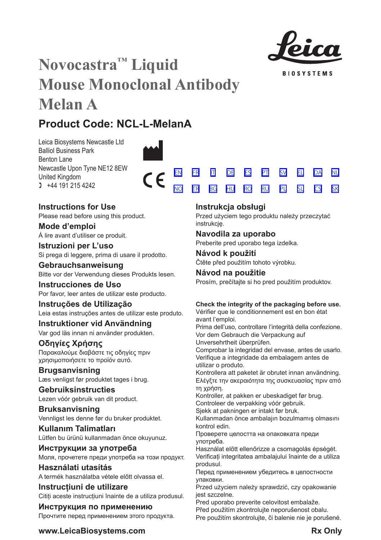

**BIOSYSTEMS** 

[SV](#page-20-0) [EL](#page-23-0) [DA](#page-26-0) [PL](#page-50-0) [SL](#page-53-0) [CS](#page-56-0)

[NL](#page-29-0)

[SK](#page-59-0)

# **Novocastra™ Liquid Mouse Monoclonal Antibody Melan A**

# **Product Code: NCL-L-MelanA**

Leica Biosystems Newcastle Ltd Balliol Business Park Benton Lane Newcastle Upon Tyne NE12 8EW United Kingdom  $1 +44 191 215 4242$ 



## **Instructions for Use**

Please read before using this product.

**Mode d'emploi** Á lire avant d'utiliser ce produit.

**Istruzioni per L'uso** Si prega di leggere, prima di usare il prodotto.

**Gebrauchsanweisung** Bitte vor der Verwendung dieses Produkts lesen.

**Instrucciones de Uso** Por favor, leer antes de utilizar este producto.

## **Instruções de Utilização**

Leia estas instruções antes de utilizar este produto.

## **Instruktioner vid Användning**

Var god läs innan ni använder produkten.

## **Οδηγίες Χρήσης** Παρακαλούμε διαβάστε τις οδηγίες πριν

χρησιμοποιήσετε το προϊόν αυτό.

## **Brugsanvisning**

Læs venligst før produktet tages i brug.

## **Gebruiksinstructies**

Lezen vóór gebruik van dit product.

## **Bruksanvisning** Vennligst les denne før du bruker produktet.

**Kullanım Talimatları** Lütfen bu ürünü kullanmadan önce okuyunuz.

## **Инструкции за употреба** Моля, прочетете преди употреба на този продукт.

**Használati utasítás** A termék használatba vétele előtt olvassa el.

## **Instrucțiuni de utilizare** Cititi aceste instructiuni înainte de a utiliza produsul.

**Инструкция по применению** Прочтите перед применением этого продукта.

## **Instrukcja obsługi**

<u>[NO](#page-32-0) [TR](#page-35-0) [BG](#page-38-0) [HU](#page-41-0) [RO](#page-44-0) [RU](#page-47-0)</u>

Przed użyciem tego produktu należy przeczytać instrukcję.

## **Navodila za uporabo**

Preberite pred uporabo tega izdelka.

## **Návod k použití** Čtěte před použitím tohoto výrobku.

## **Návod na použitie**

Prosím, prečítajte si ho pred použitím produktov.

## **Check the integrity of the packaging before use.**

Vérifier que le conditionnement est en bon état avant l'emploi.

Prima dell'uso, controllare l'integrità della confezione. Vor dem Gebrauch die Verpackung auf

Unversehrtheit überprüfen.

Comprobar la integridad del envase, antes de usarlo. Verifique a integridade da embalagem antes de utilizar o produto.

Kontrollera att paketet är obrutet innan användning. Ελέγξτε την ακεραιότητα της συσκευασίας πριν από τη χρήση.

Kontroller, at pakken er ubeskadiget før brug. Controleer de verpakking vóór gebruik.

Sjekk at pakningen er intakt før bruk.

Kullanmadan önce ambalajın bozulmamış olmasını kontrol edin.

Проверете целостта на опаковката преди употреба.

Használat előtt ellenőrizze a csomagolás épségét. Verificați integritatea ambalajului înainte de a utiliza produsul.

Перед применением убедитесь в целостности упаковки.

Przed użyciem należy sprawdzić, czy opakowanie jest szczelne.

Pred uporabo preverite celovitost embalaže.

Před použitím zkontrolujte neporušenost obalu. Pre použitím skontrolujte, či balenie nie je porušené.

## **www.LeicaBiosystems.com Rx** Only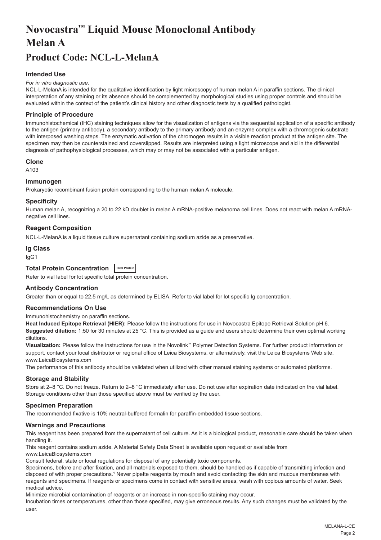# <span id="page-2-0"></span>**Novocastra™ Liquid Mouse Monoclonal Antibody Melan A**

## **Product Code: NCL-L-MelanA**

## **Intended Use**

#### *For in vitro diagnostic use.*

NCL-L-MelanA is intended for the qualitative identification by light microscopy of human melan A in paraffin sections. The clinical interpretation of any staining or its absence should be complemented by morphological studies using proper controls and should be evaluated within the context of the patient's clinical history and other diagnostic tests by a qualified pathologist.

## **Principle of Procedure**

Immunohistochemical (IHC) staining techniques allow for the visualization of antigens via the sequential application of a specific antibody to the antigen (primary antibody), a secondary antibody to the primary antibody and an enzyme complex with a chromogenic substrate with interposed washing steps. The enzymatic activation of the chromogen results in a visible reaction product at the antigen site. The specimen may then be counterstained and coverslipped. Results are interpreted using a light microscope and aid in the differential diagnosis of pathophysiological processes, which may or may not be associated with a particular antigen.

#### **Clone**

A<sub>103</sub>

### **Immunogen**

Prokaryotic recombinant fusion protein corresponding to the human melan A molecule.

#### **Specificity**

Human melan A, recognizing a 20 to 22 kD doublet in melan A mRNA-positive melanoma cell lines. Does not react with melan A mRNAnegative cell lines.

## **Reagent Composition**

NCL-L-MelanA is a liquid tissue culture supernatant containing sodium azide as a preservative.

## **Ig Class**

IgG1

## **Total Protein Concentration Total Protein**

Refer to vial label for lot specific total protein concentration.

## **Antibody Concentration**

Greater than or equal to 22.5 mg/L as determined by ELISA. Refer to vial label for lot specific Ig concentration.

#### **Recommendations On Use**

Immunohistochemistry on paraffin sections.

**Heat Induced Epitope Retrieval (HIER):** Please follow the instructions for use in Novocastra Epitope Retrieval Solution pH 6. **Suggested dilution:** 1:50 for 30 minutes at 25 °C. This is provided as a guide and users should determine their own optimal working dilutions.

**Visualization:** Please follow the instructions for use in the Novolink™ Polymer Detection Systems. For further product information or support, contact your local distributor or regional office of Leica Biosystems, or alternatively, visit the Leica Biosystems Web site, www.LeicaBiosystems.com

The performance of this antibody should be validated when utilized with other manual staining systems or automated platforms.

## **Storage and Stability**

Store at 2–8 °C. Do not freeze. Return to 2–8 °C immediately after use. Do not use after expiration date indicated on the vial label. Storage conditions other than those specified above must be verified by the user.

## **Specimen Preparation**

The recommended fixative is 10% neutral-buffered formalin for paraffin-embedded tissue sections.

#### **Warnings and Precautions**

This reagent has been prepared from the supernatant of cell culture. As it is a biological product, reasonable care should be taken when handling it.

This reagent contains sodium azide. A Material Safety Data Sheet is available upon request or available from www.LeicaBiosystems.com

Consult federal, state or local regulations for disposal of any potentially toxic components.

Specimens, before and after fixation, and all materials exposed to them, should be handled as if capable of transmitting infection and disposed of with proper precautions.1 Never pipette reagents by mouth and avoid contacting the skin and mucous membranes with reagents and specimens. If reagents or specimens come in contact with sensitive areas, wash with copious amounts of water. Seek medical advice.

Minimize microbial contamination of reagents or an increase in non-specific staining may occur.

Incubation times or temperatures, other than those specified, may give erroneous results. Any such changes must be validated by the user.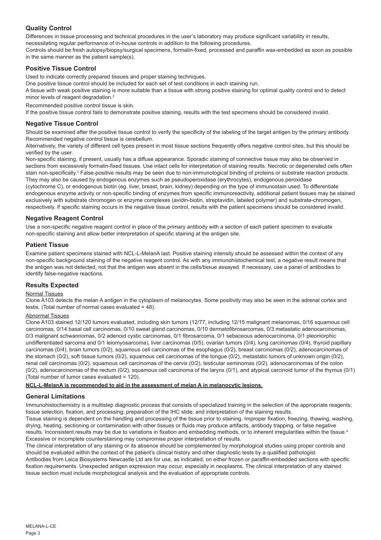## **Quality Control**

Differences in tissue processing and technical procedures in the user's laboratory may produce significant variability in results, necessitating regular performance of in-house controls in addition to the following procedures.

Controls should be fresh autopsy/biopsy/surgical specimens, formalin-fixed, processed and paraffin wax-embedded as soon as possible in the same manner as the patient sample(s).

## **Positive Tissue Control**

Used to indicate correctly prepared tissues and proper staining techniques.

One positive tissue control should be included for each set of test conditions in each staining run.

A tissue with weak positive staining is more suitable than a tissue with strong positive staining for optimal quality control and to detect minor levels of reagent degradation.<sup>2</sup>

Recommended positive control tissue is skin.

If the positive tissue control fails to demonstrate positive staining, results with the test specimens should be considered invalid.

## **Negative Tissue Control**

Should be examined after the positive tissue control to verify the specificity of the labeling of the target antigen by the primary antibody. Recommended negative control tissue is cerebellum.

Alternatively, the variety of different cell types present in most tissue sections frequently offers negative control sites, but this should be verified by the user.

Non-specific staining, if present, usually has a diffuse appearance. Sporadic staining of connective tissue may also be observed in sections from excessively formalin-fixed tissues. Use intact cells for interpretation of staining results. Necrotic or degenerated cells often stain non-specifically.<sup>3</sup> False-positive results may be seen due to non-immunological binding of proteins or substrate reaction products. They may also be caused by endogenous enzymes such as pseudoperoxidase (erythrocytes), endogenous peroxidase

(cytochrome C), or endogenous biotin (eg. liver, breast, brain, kidney) depending on the type of immunostain used. To differentiate endogenous enzyme activity or non-specific binding of enzymes from specific immunoreactivity, additional patient tissues may be stained exclusively with substrate chromogen or enzyme complexes (avidin-biotin, streptavidin, labeled polymer) and substrate-chromogen, respectively. If specific staining occurs in the negative tissue control, results with the patient specimens should be considered invalid.

## **Negative Reagent Control**

Use a non-specific negative reagent control in place of the primary antibody with a section of each patient specimen to evaluate non-specific staining and allow better interpretation of specific staining at the antigen site.

## **Patient Tissue**

Examine patient specimens stained with NCL-L-MelanA last. Positive staining intensity should be assessed within the context of any non-specific background staining of the negative reagent control. As with any immunohistochemical test, a negative result means that the antigen was not detected, not that the antigen was absent in the cells/tissue assayed. If necessary, use a panel of antibodies to identify false-negative reactions.

## **Results Expected**

## Normal Tissues

Clone A103 detects the melan A antigen in the cytoplasm of melanocytes. Some positivity may also be seen in the adrenal cortex and testis. (Total number of normal cases evaluated = 48).

#### Abnormal Tissues

Clone A103 stained 12/120 tumors evaluated, including skin tumors (12/77, including 12/15 malignant melanomas, 0/16 squamous cell carcinomas, 0/14 basal cell carcinomas, 0/10 sweat gland carcinomas, 0/10 dermatofibrosarcomas, 0/3 metastatic adenocarcinomas, 0/3 malignant schwannomas, 0/2 adenoid cystic carcinomas, 0/1 fibrosarcoma, 0/1 sebaceous adenocarcinoma, 0/1 pleomorphic undifferentiated sarcoma and 0/1 leiomyosarcoma), liver carcinomas (0/5), ovarian tumors (0/4), lung carcinomas (0/4), thyroid papillary carcinomas (0/4), brain tumors (0/2), squamous cell carcinomas of the esophagus (0/2), breast carcinomas (0/2), adenocarcinomas of the stomach (0/2), soft tissue tumors (0/2), squamous cell carcinomas of the tongue (0/2), metastatic tumors of unknown origin (0/2), renal cell carcinomas (0/2), squamous cell carcinomas of the cervix (0/2), testicular seminomas (0/2), adenocarcinomas of the colon (0/2), adenocarcinomas of the rectum (0/2), squamous cell carcinoma of the larynx (0/1), and atypical carcinoid tumor of the thymus (0/1) (Total number of tumor cases evaluated = 120).

#### **NCL-L-MelanA is recommended to aid in the assessment of melan A in melanocytic lesions.**

## **General Limitations**

Immunohistochemistry is a multistep diagnostic process that consists of specialized training in the selection of the appropriate reagents; tissue selection, fixation, and processing; preparation of the IHC slide; and interpretation of the staining results.

Tissue staining is dependent on the handling and processing of the tissue prior to staining. Improper fixation, freezing, thawing, washing, drying, heating, sectioning or contamination with other tissues or fluids may produce artifacts, antibody trapping, or false negative results. Inconsistent results may be due to variations in fixation and embedding methods, or to inherent irregularities within the tissue.4 Excessive or incomplete counterstaining may compromise proper interpretation of results.

The clinical interpretation of any staining or its absence should be complemented by morphological studies using proper controls and should be evaluated within the context of the patient's clinical history and other diagnostic tests by a qualified pathologist.

Antibodies from Leica Biosystems Newcastle Ltd are for use, as indicated, on either frozen or paraffin-embedded sections with specific fixation requirements. Unexpected antigen expression may occur, especially in neoplasms. The clinical interpretation of any stained tissue section must include morphological analysis and the evaluation of appropriate controls.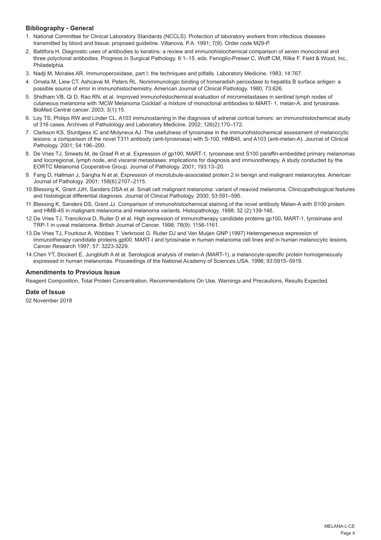## **Bibliography - General**

- 1. National Committee for Clinical Laboratory Standards (NCCLS). Protection of laboratory workers from infectious diseases transmitted by blood and tissue; proposed guideline. Villanova, P.A. 1991; 7(9). Order code M29-P.
- 2. Battifora H. Diagnostic uses of antibodies to keratins: a review and immunohistochemical comparison of seven monoclonal and three polyclonal antibodies. Progress in Surgical Pathology. 6:1–15. eds. Fenoglio-Preiser C, Wolff CM, Rilke F. Field & Wood, Inc., Philadelphia.
- 3. Nadji M, Morales AR. Immunoperoxidase, part I: the techniques and pitfalls. Laboratory Medicine. 1983; 14:767.
- 4. Omata M, Liew CT, Ashcavai M, Peters RL. Nonimmunologic binding of horseradish peroxidase to hepatitis B surface antigen: a possible source of error in immunohistochemistry. American Journal of Clinical Pathology. 1980; 73:626.
- 5. Shidham VB, Qi D, Rao RN, et al. Improved immunohistochemical evaluation of micrometastases in sentinel lymph nodes of cutaneous melanoma with 'MCW Melanoma Cocktail'-a mixture of monoclonal antibodies to MART- 1, melan-A, and tyrosinase. BioMed Central cancer. 2003; 3(1):15.
- 6. Loy TS, Philips RW and Linder CL. A103 immunostaining in the diagnosis of adrenal cortical tumors: an immunohistochemical study of 316 cases. Archives of Patholology and Laboratory Medicine. 2002; 126(2):170–172.
- 7. Clarkson KS, Sturdgess IC and Molyneux AJ. The usefulness of tyrosinase in the immunohistochemical assessment of melanocytic lesions: a comparison of the novel T311 antibody (anti-tyrosinase) with S-100, HMB45, and A103 (anti-melan-A). Journal of Clinical Pathology. 2001; 54:196–200.
- 8. De Vries TJ, Smeets M, de Graaf R et al. Expression of gp100, MART-1, tyrosinase and S100 paraffin-embedded primary melanomas and locoregional, lymph node, and visceral metastases: implications for diagnosis and immunotherapy. A study conducted by the EORTC Melanoma Cooperative Group. Journal of Pathology. 2001; 193:13–20.
- 9. Fang D, Hallman J, Sangha N et al. Expression of microtubule-associated protein 2 in benign and malignant melanocytes. American Journal of Pathology. 2001; 158(6):2107–2115.
- 10.Blessing K, Grant JJH, Sanders DSA et al. Small cell malignant melanoma: variant of neavoid melanoma. Clinicopathological features and histological differential diagnosis. Journal of Clinical Pathology. 2000; 53:591–595.
- 11.Blessing K, Sanders DS, Grant JJ. Comparison of immunohistochemical staining of the novel antibody Melan-A with S100 protein and HMB-45 in malignant melanoma and melanoma variants. Histopathology. 1998; 32 (2):139-146.
- 12.De Vries TJ, Trancikova D, Ruiter D et al. High expression of immunotherapy candidate proteins gp100, MART-1, tyrosinase and TRP-1 in uveal melanoma. British Journal of Cancer. 1998; 78(9): 1156-1161.
- 13.De Vries TJ, Fourkour A. Wobbes T. Verkroost G. Ruiter DJ and Van Muijen GNP (1997) Heterogeneous expression of immunotherapy candidate proteins gpl00. MART-I and tyrosinase in human melanoma cell lines and in human melanocytic lesions. Cancer Research 1997; 57: 3223-3229.
- 14.Chen YT, Stockert E, Jungbluth A et al. Serological analysis of melan-A (MART-1), a melanocyte-specific protein homogeneously expressed in human melanomas. Proceedings of the National Academy of Sciences USA. 1996; 93:5915–5919.

#### **Amendments to Previous Issue**

Reagent Composition, Total Protein Concentration, Recommendations On Use, Warnings and Precautions, Results Expected.

#### **Date of Issue**

02 November 2018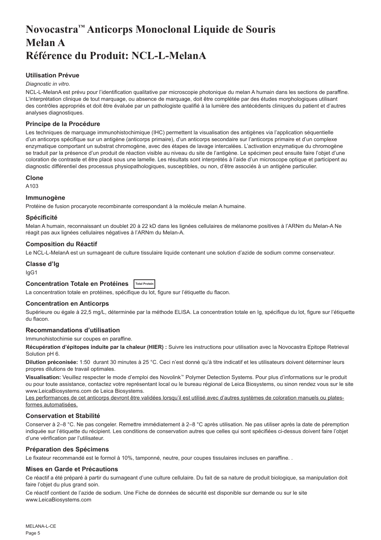## <span id="page-5-0"></span>**Novocastra™ Anticorps Monoclonal Liquide de Souris Melan A Référence du Produit: NCL-L-MelanA**

## **Utilisation Prévue**

#### *Diagnostic in vitro*.

NCL-L-MelanA est prévu pour l'identification qualitative par microscopie photonique du melan A humain dans les sections de paraffine. L'interprétation clinique de tout marquage, ou absence de marquage, doit être complétée par des études morphologiques utilisant des contrôles appropriés et doit être évaluée par un pathologiste qualifié à la lumière des antécédents cliniques du patient et d'autres analyses diagnostiques.

### **Principe de la Procédure**

Les techniques de marquage immunohistochimique (IHC) permettent la visualisation des antigènes via l'application séquentielle d'un anticorps spécifique sur un antigène (anticorps primaire), d'un anticorps secondaire sur l'anticorps primaire et d'un complexe enzymatique comportant un substrat chromogène, avec des étapes de lavage intercalées. L'activation enzymatique du chromogène se traduit par la présence d'un produit de réaction visible au niveau du site de l'antigène. Le spécimen peut ensuite faire l'objet d'une coloration de contraste et être placé sous une lamelle. Les résultats sont interprétés à l'aide d'un microscope optique et participent au diagnostic différentiel des processus physiopathologiques, susceptibles, ou non, d'être associés à un antigène particulier.

#### **Clone**

A103

#### **Immunogène**

Protéine de fusion procaryote recombinante correspondant à la molécule melan A humaine.

#### **Spécificité**

Melan A humain, reconnaissant un doublet 20 à 22 kD dans les lignées cellulaires de mélanome positives à l'ARNm du Melan-A Ne réagit pas aux lignées cellulaires négatives à l'ARNm du Melan-A.

#### **Composition du Réactif**

Le NCL-L-MelanA est un surnageant de culture tissulaire liquide contenant une solution d'azide de sodium comme conservateur.

#### **Classe d'Ig**

IgG1

## **Concentration Totale en Protéines Total Protein**

La concentration totale en protéines, spécifique du lot, figure sur l'étiquette du flacon.

#### **Concentration en Anticorps**

Supérieure ou égale à 22,5 mg/L, déterminée par la méthode ELISA. La concentration totale en Ig, spécifique du lot, figure sur l'étiquette du flacon.

## **Recommandations d'utilisation**

Immunohistochimie sur coupes en paraffine.

**Récupération d'épitopes induite par la chaleur (HIER) :** Suivre les instructions pour utilisation avec la Novocastra Epitope Retrieval Solution pH 6.

**Dilution préconisée:** 1:50 durant 30 minutes à 25 °C. Ceci n'est donné qu'à titre indicatif et les utilisateurs doivent déterminer leurs propres dilutions de travail optimales.

**Visualisation:** Veuillez respecter le mode d'emploi des Novolink™ Polymer Detection Systems. Pour plus d'informations sur le produit ou pour toute assistance, contactez votre représentant local ou le bureau régional de Leica Biosystems, ou sinon rendez vous sur le site www.LeicaBiosystems.com de Leica Biosystems.

Les performances de cet anticorps devront être validées lorsqu'il est utilisé avec d'autres systèmes de coloration manuels ou platesformes automatisées.

#### **Conservation et Stabilité**

Conserver à 2–8 °C. Ne pas congeler. Remettre immédiatement à 2–8 °C après utilisation. Ne pas utiliser après la date de péremption indiquée sur l'étiquette du récipient. Les conditions de conservation autres que celles qui sont spécifiées ci-dessus doivent faire l'objet d'une vérification par l'utilisateur.

#### **Préparation des Spécimens**

Le fixateur recommandé est le formol à 10%, tamponné, neutre, pour coupes tissulaires incluses en paraffine. .

#### **Mises en Garde et Précautions**

Ce réactif a été préparé à partir du surnageant d'une culture cellulaire. Du fait de sa nature de produit biologique, sa manipulation doit faire l'objet du plus grand soin.

Ce réactif contient de l'azide de sodium. Une Fiche de données de sécurité est disponible sur demande ou sur le site www.LeicaBiosystems.com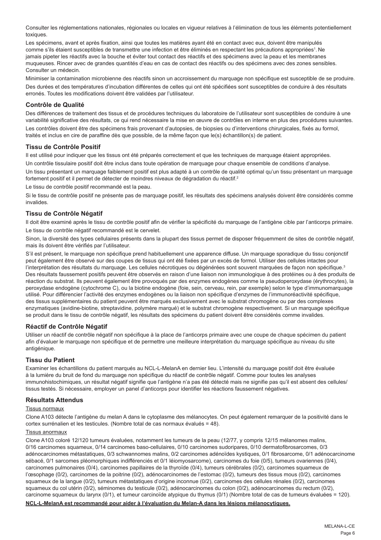Consulter les réglementations nationales, régionales ou locales en vigueur relatives à l'élimination de tous les éléments potentiellement toxiques.

Les spécimens, avant et après fixation, ainsi que toutes les matières ayant été en contact avec eux, doivent être manipulés comme s'ils étaient susceptibles de transmettre une infection et être éliminés en respectant les précautions appropriées<sup>1</sup>. Ne jamais pipeter les réactifs avec la bouche et éviter tout contact des réactifs et des spécimens avec la peau et les membranes muqueuses. Rincer avec de grandes quantités d'eau en cas de contact des réactifs ou des spécimens avec des zones sensibles. Consulter un médecin.

Minimiser la contamination microbienne des réactifs sinon un accroissement du marquage non spécifique est susceptible de se produire. Des durées et des températures d'incubation différentes de celles qui ont été spécifiées sont susceptibles de conduire à des résultats erronés. Toutes les modifications doivent être validées par l'utilisateur.

## **Contrôle de Qualité**

Des différences de traitement des tissus et de procédures techniques du laboratoire de l'utilisateur sont susceptibles de conduire à une variabilité significative des résultats, ce qui rend nécessaire la mise en œuvre de contrôles en interne en plus des procédures suivantes. Les contrôles doivent être des spécimens frais provenant d'autopsies, de biopsies ou d'interventions chirurgicales, fixés au formol, traités et inclus en cire de paraffine dès que possible, de la même façon que le(s) échantillon(s) de patient.

#### **Tissu de Contrôle Positif**

Il est utilisé pour indiquer que les tissus ont été préparés correctement et que les techniques de marquage étaient appropriées.

Un contrôle tissulaire positif doit être inclus dans toute opération de marquage pour chaque ensemble de conditions d'analyse.

Un tissu présentant un marquage faiblement positif est plus adapté à un contrôle de qualité optimal qu'un tissu présentant un marquage fortement positif et il permet de détecter de moindres niveaux de dégradation du réactif.<sup>2</sup>

Le tissu de contrôle positif recommandé est la peau.

Si le tissu de contrôle positif ne présente pas de marquage positif, les résultats des spécimens analysés doivent être considérés comme invalides.

#### **Tissu de Contrôle Négatif**

Il doit être examiné après le tissu de contrôle positif afin de vérifier la spécificité du marquage de l'antigène cible par l'anticorps primaire.

Le tissu de contrôle négatif recommandé est le cervelet.

Sinon, la diversité des types cellulaires présents dans la plupart des tissus permet de disposer fréquemment de sites de contrôle négatif, mais ils doivent être vérifiés par l'utilisateur.

S'il est présent, le marquage non spécifique prend habituellement une apparence diffuse. Un marquage sporadique du tissu conjonctif peut également être observé sur des coupes de tissus qui ont été fixées par un excès de formol. Utiliser des cellules intactes pour l'interprétation des résultats du marquage. Les cellules nécrotiques ou dégénérées sont souvent marquées de façon non spécifique.<sup>3</sup> Des résultats faussement positifs peuvent être observés en raison d'une liaison non immunologique à des protéines ou à des produits de réaction du substrat. Ils peuvent également être provoqués par des enzymes endogènes comme la pseudoperoxydase (érythrocytes), la peroxydase endogène (cytochrome C), ou la biotine endogène (foie, sein, cerveau, rein, par exemple) selon le type d'immunomarquage utilisé. Pour différencier l'activité des enzymes endogènes ou la liaison non spécifique d'enzymes de l'immunoréactivité spécifique, des tissus supplémentaires du patient peuvent être marqués exclusivement avec le substrat chromogène ou par des complexes enzymatiques (avidine-biotine, streptavidine, polymère marqué) et le substrat chromogène respectivement. Si un marquage spécifique se produit dans le tissu de contrôle négatif, les résultats des spécimens du patient doivent être considérés comme invalides.

#### **Réactif de Contrôle Négatif**

Utiliser un réactif de contrôle négatif non spécifique à la place de l'anticorps primaire avec une coupe de chaque spécimen du patient afin d'évaluer le marquage non spécifique et de permettre une meilleure interprétation du marquage spécifique au niveau du site antigénique.

#### **Tissu du Patient**

Examiner les échantillons du patient marqués au NCL-L-MelanA en dernier lieu. L'intensité du marquage positif doit être évaluée à la lumière du bruit de fond du marquage non spécifique du réactif de contrôle négatif. Comme pour toutes les analyses immunohistochimiques, un résultat négatif signifie que l'antigène n'a pas été détecté mais ne signifie pas qu'il est absent des cellules/ tissus testés. Si nécessaire, employer un panel d'anticorps pour identifier les réactions faussement négatives.

## **Résultats Attendus**

#### Tissus normaux

Clone A103 détecte l'antigène du melan A dans le cytoplasme des mélanocytes. On peut également remarquer de la positivité dans le cortex surrénalien et les testicules. (Nombre total de cas normaux évalués = 48).

#### Tissus anormaux

Clone A103 coloré 12/120 tumeurs évaluées, notamment les tumeurs de la peau (12/77, y compris 12/15 mélanomes malins, 0/16 carcinomes squameux, 0/14 carcinomes baso-cellulaires, 0/10 carcinomes sudoripares, 0/10 dermatofibrosarcomes, 0/3 adénocarcinomes métastatiques, 0/3 schwannomes malins, 0/2 carcinomes adénoïdes kystiques, 0/1 fibrosarcome, 0/1 adénocarcinome sébacé, 0/1 sarcomes pléomorphiques indifférenciés et 0/1 léiomyosarcome), carcinomes du foie (0/5), tumeurs ovariennes (0/4), carcinomes pulmonaires (0/4), carcinomes papillaires de la thyroïde (0/4), tumeurs cérébrales (0/2), carcinomes squameux de l'œsophage (0/2), carcinomes de la poitrine (0/2), adénocarcinomes de l'estomac (0/2), tumeurs des tissus mous (0/2), carcinomes squameux de la langue (0/2), tumeurs métastatiques d'origine inconnue (0/2), carcinomes des cellules rénales (0/2), carcinomes squameux du col utérin (0/2), séminomes du testicule (0/2), adénocarcinomes du colon (0/2), adénocarcinomes du rectum (0/2), carcinome squameux du larynx (0/1), et tumeur carcinoïde atypique du thymus (0/1) (Nombre total de cas de tumeurs évaluées = 120).

#### **NCL-L-MelanA est recommandé pour aider à l'évaluation du Melan-A dans les lésions mélanocytiques.**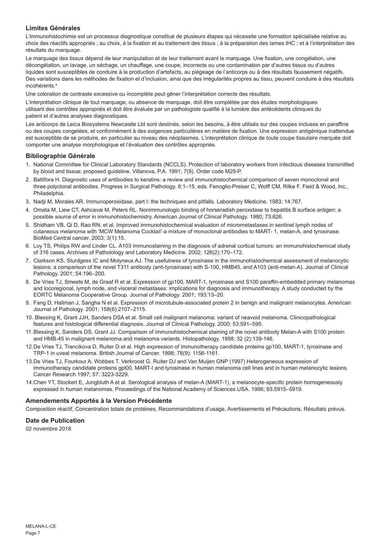## **Limites Générales**

L'immunohistochimie est un processus diagnostique constitué de plusieurs étapes qui nécessite une formation spécialisée relative au choix des réactifs appropriés ; au choix, à la fixation et au traitement des tissus ; à la préparation des lames IHC ; et à l'interprétation des résultats du marquage.

Le marquage des tissus dépend de leur manipulation et de leur traitement avant le marquage. Une fixation, une congélation, une décongélation, un lavage, un séchage, un chauffage, une coupe, incorrects ou une contamination par d'autres tissus ou d'autres liquides sont susceptibles de conduire à la production d'artefacts, au piégeage de l'anticorps ou à des résultats faussement négatifs. Des variations dans les méthodes de fixation et d'inclusion, ainsi que des irrégularités propres au tissu, peuvent conduire à des résultats incohérents.4

Une coloration de contraste excessive ou incomplète peut gêner l'interprétation correcte des résultats.

L'interprétation clinique de tout marquage, ou absence de marquage, doit être complétée par des études morphologiques utilisant des contrôles appropriés et doit être évaluée par un pathologiste qualifié à la lumière des antécédents cliniques du patient et d'autres analyses diagnostiques.

Les anticorps de Leica Biosystems Newcastle Ltd sont destinés, selon les besoins, à être utilisés sur des coupes incluses en paraffine ou des coupes congelées, et conformément à des exigences particulières en matière de fixation. Une expression antigénique inattendue est susceptible de se produire, en particulier au niveau des néoplasmes. L'interprétation clinique de toute coupe tissulaire marquée doit comporter une analyse morphologique et l'évaluation des contrôles appropriés.

#### **Bibliographie Générale**

- 1. National Committee for Clinical Laboratory Standards (NCCLS). Protection of laboratory workers from infectious diseases transmitted by blood and tissue; proposed guideline. Villanova, P.A. 1991; 7(9). Order code M29-P.
- 2. Battifora H. Diagnostic uses of antibodies to keratins: a review and immunohistochemical comparison of seven monoclonal and three polyclonal antibodies. Progress in Surgical Pathology. 6:1–15. eds. Fenoglio-Preiser C, Wolff CM, Rilke F. Field & Wood, Inc., Philadelphia.
- 3. Nadji M, Morales AR. Immunoperoxidase, part I: the techniques and pitfalls. Laboratory Medicine. 1983; 14:767.
- 4. Omata M, Liew CT, Ashcavai M, Peters RL. Nonimmunologic binding of horseradish peroxidase to hepatitis B surface antigen: a possible source of error in immunohistochemistry. American Journal of Clinical Pathology. 1980; 73:626.
- 5. Shidham VB, Qi D, Rao RN, et al. Improved immunohistochemical evaluation of micrometastases in sentinel lymph nodes of cutaneous melanoma with 'MCW Melanoma Cocktail'-a mixture of monoclonal antibodies to MART- 1, melan-A, and tyrosinase. BioMed Central cancer. 2003; 3(1):15.
- 6. Loy TS, Philips RW and Linder CL. A103 immunostaining in the diagnosis of adrenal cortical tumors: an immunohistochemical study of 316 cases. Archives of Patholology and Laboratory Medicine. 2002; 126(2):170–172.
- 7. Clarkson KS, Sturdgess IC and Molyneux AJ. The usefulness of tyrosinase in the immunohistochemical assessment of melanocytic lesions: a comparison of the novel T311 antibody (anti-tyrosinase) with S-100, HMB45, and A103 (anti-melan-A). Journal of Clinical Pathology. 2001; 54:196–200.
- 8. De Vries TJ, Smeets M, de Graaf R et al. Expression of gp100, MART-1, tyrosinase and S100 paraffin-embedded primary melanomas and locoregional, lymph node, and visceral metastases: implications for diagnosis and immunotherapy. A study conducted by the EORTC Melanoma Cooperative Group. Journal of Pathology. 2001; 193:13–20.
- 9. Fang D, Hallman J, Sangha N et al. Expression of microtubule-associated protein 2 in benign and malignant melanocytes. American Journal of Pathology. 2001; 158(6):2107–2115.
- 10. Blessing K, Grant JJH, Sanders DSA et al. Small cell malignant melanoma: variant of neavoid melanoma. Clinicopathological features and histological differential diagnosis. Journal of Clinical Pathology. 2000; 53:591–595.
- 11.Blessing K, Sanders DS, Grant JJ. Comparison of immunohistochemical staining of the novel antibody Melan-A with S100 protein and HMB-45 in malignant melanoma and melanoma variants. Histopathology. 1998; 32 (2):139-146.
- 12.De Vries TJ, Trancikova D, Ruiter D et al. High expression of immunotherapy candidate proteins gp100, MART-1, tyrosinase and TRP-1 in uveal melanoma. British Journal of Cancer. 1998; 78(9): 1156-1161.
- 13.De Vries TJ, Fourkour A. Wobbes T. Verkroost G. Ruiter DJ and Van Muijen GNP (1997) Heterogeneous expression of immunotherapy candidate proteins gpl00. MART-I and tyrosinase in human melanoma cell lines and in human melanocytic lesions. Cancer Research 1997; 57: 3223-3229.
- 14.Chen YT, Stockert E, Jungbluth A et al. Serological analysis of melan-A (MART-1), a melanocyte-specific protein homogeneously expressed in human melanomas. Proceedings of the National Academy of Sciences USA. 1996; 93:5915–5919.

#### **Amendements Apportés à la Version Précédente**

Composition réactif, Concentration totale de protéines, Recommandations d'usage, Avertissements et Précautions, Résultats prévus.

## **Date de Publication**

02 novembre 2018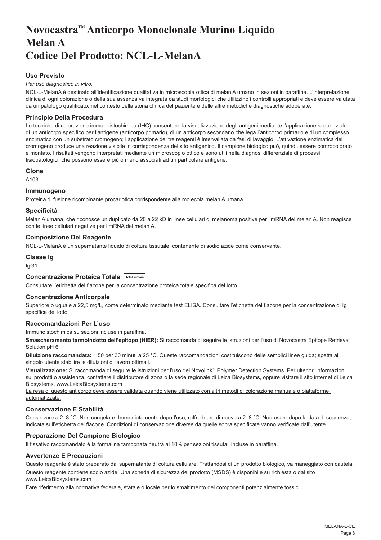## <span id="page-8-0"></span>**Novocastra™ Anticorpo Monoclonale Murino Liquido Melan A Codice Del Prodotto: NCL-L-MelanA**

## **Uso Previsto**

#### *Per uso diagnostico in vitro*.

NCL-L-MelanA è destinato all'identificazione qualitativa in microscopia ottica di melan A umano in sezioni in paraffina. L'interpretazione clinica di ogni colorazione o della sua assenza va integrata da studi morfologici che utilizzino i controlli appropriati e deve essere valutata da un patologo qualificato, nel contesto della storia clinica del paziente e delle altre metodiche diagnostiche adoperate.

## **Principio Della Procedura**

Le tecniche di colorazione immunoistochimica (IHC) consentono la visualizzazione degli antigeni mediante l'applicazione sequenziale di un anticorpo specifico per l'antigene (anticorpo primario), di un anticorpo secondario che lega l'anticorpo primario e di un complesso enzimatico con un substrato cromogeno; l'applicazione dei tre reagenti è intervallata da fasi di lavaggio. L'attivazione enzimatica del cromogeno produce una reazione visibile in corrispondenza del sito antigenico. Il campione biologico può, quindi, essere controcolorato e montato. I risultati vengono interpretati mediante un microscopio ottico e sono utili nella diagnosi differenziale di processi fisiopatologici, che possono essere più o meno associati ad un particolare antigene.

#### **Clone**

A103

#### **Immunogeno**

Proteina di fusione ricombinante procariotica corrispondente alla molecola melan A umana.

#### **Specificità**

Melan A umana, che riconosce un duplicato da 20 a 22 kD in linee cellulari di melanoma positive per l'mRNA del melan A. Non reagisce con le linee cellulari negative per l'mRNA del melan A.

#### **Composizione Del Reagente**

NCL-L-MelanA è un supernatante liquido di coltura tissutale, contenente di sodio azide come conservante.

## **Classe Ig**

IgG1

## **Concentrazione Proteica Totale Total Protein**

Consultare l'etichetta del flacone per la concentrazione proteica totale specifica del lotto.

## **Concentrazione Anticorpale**

Superiore o uguale a 22,5 mg/L, come determinato mediante test ELISA. Consultare l'etichetta del flacone per la concentrazione di Ig specifica del lotto.

## **Raccomandazioni Per L'uso**

Immunoistochimica su sezioni incluse in paraffina.

**Smascheramento termoindotto dell'epitopo (HIER):** Si raccomanda di seguire le istruzioni per l'uso di Novocastra Epitope Retrieval Solution pH 6.

**Diluizione raccomandata:** 1:50 per 30 minuti a 25 °C. Queste raccomandazioni costituiscono delle semplici linee guida; spetta al singolo utente stabilire le diluizioni di lavoro ottimali.

**Visualizzazione:** Si raccomanda di seguire le istruzioni per l'uso dei Novolink™ Polymer Detection Systems. Per ulteriori informazioni sui prodotti o assistenza, contattare il distributore di zona o la sede regionale di Leica Biosystems, oppure visitare il sito internet di Leica Biosystems, www.LeicaBiosystems.com

La resa di questo anticorpo deve essere validata quando viene utilizzato con altri metodi di colorazione manuale o piattaforme automatizzate.

## **Conservazione E Stabilità**

Conservare a 2–8 °C. Non congelare. Immediatamente dopo l'uso, raffreddare di nuovo a 2–8 °C. Non usare dopo la data di scadenza, indicata sull'etichetta del flacone. Condizioni di conservazione diverse da quelle sopra specificate vanno verificate dall'utente.

## **Preparazione Del Campione Biologico**

Il fissativo raccomandato è la formalina tamponata neutra al 10% per sezioni tissutali incluse in paraffina.

## **Avvertenze E Precauzioni**

Questo reagente è stato preparato dal supernatante di coltura cellulare. Trattandosi di un prodotto biologico, va maneggiato con cautela.

Questo reagente contiene sodio azide. Una scheda di sicurezza del prodotto (MSDS) è disponibile su richiesta o dal sito www.LeicaBiosystems.com

Fare riferimento alla normativa federale, statale o locale per lo smaltimento dei componenti potenzialmente tossici.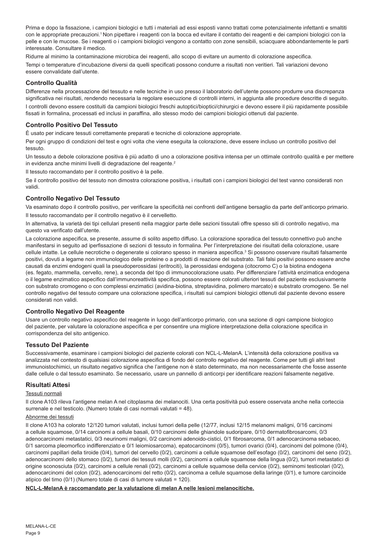Prima e dopo la fissazione, i campioni biologici e tutti i materiali ad essi esposti vanno trattati come potenzialmente infettanti e smaltiti con le appropriate precauzioni.<sup>1</sup> Non pipettare i reagenti con la bocca ed evitare il contatto dei reagenti e dei campioni biologici con la pelle e con le mucose. Se i reagenti o i campioni biologici vengono a contatto con zone sensibili, sciacquare abbondantemente le parti interessate. Consultare il medico.

Ridurre al minimo la contaminazione microbica dei reagenti, allo scopo di evitare un aumento di colorazione aspecifica. Tempi o temperature d'incubazione diversi da quelli specificati possono condurre a risultati non veritieri. Tali variazioni devono essere convalidate dall'utente.

## **Controllo Qualità**

Differenze nella processazione del tessuto e nelle tecniche in uso presso il laboratorio dell'utente possono produrre una discrepanza significativa nei risultati, rendendo necessaria la regolare esecuzione di controlli interni, in aggiunta alle procedure descritte di seguito.

I controlli devono essere costituiti da campioni biologici freschi autoptici/bioptici/chirurgici e devono essere il più rapidamente possibile fissati in formalina, processati ed inclusi in paraffina, allo stesso modo dei campioni biologici ottenuti dal paziente.

## **Controllo Positivo Del Tessuto**

È usato per indicare tessuti correttamente preparati e tecniche di colorazione appropriate.

Per ogni gruppo di condizioni del test e ogni volta che viene eseguita la colorazione, deve essere incluso un controllo positivo del tessuto.

Un tessuto a debole colorazione positiva è più adatto di uno a colorazione positiva intensa per un ottimale controllo qualità e per mettere in evidenza anche minimi livelli di degradazione del reagente.<sup>2</sup>

Il tessuto raccomandato per il controllo positivo è la pelle.

Se il controllo positivo del tessuto non dimostra colorazione positiva, i risultati con i campioni biologici del test vanno considerati non validi.

## **Controllo Negativo Del Tessuto**

Va esaminato dopo il controllo positivo, per verificare la specificità nei confronti dell'antigene bersaglio da parte dell'anticorpo primario. Il tessuto raccomandato per il controllo negativo è il cervelletto.

In alternativa, la varietà dei tipi cellulari presenti nella maggior parte delle sezioni tissutali offre spesso siti di controllo negativo, ma questo va verificato dall'utente.

La colorazione aspecifica, se presente, assume di solito aspetto diffuso. La colorazione sporadica del tessuto connettivo può anche manifestarsi in seguito ad iperfissazione di sezioni di tessuto in formalina. Per l'interpretazione dei risultati della colorazione, usare cellule intatte. Le cellule necrotiche o degenerate si colorano spesso in maniera aspecifica.<sup>3</sup> Si possono osservare risultati falsamente positivi, dovuti a legame non immunologico delle proteine o a prodotti di reazione del substrato. Tali falsi positivi possono essere anche causati da enzimi endogeni quali la pseudoperossidasi (eritrociti), la perossidasi endogena (citocromo C) o la biotina endogena (es. fegato, mammella, cervello, rene), a seconda del tipo di immunocolorazione usato. Per differenziare l'attività enzimatica endogena o il legame enzimatico aspecifico dall'immunoreattività specifica, possono essere colorati ulteriori tessuti del paziente esclusivamente con substrato cromogeno o con complessi enzimatici (avidina-biotina, streptavidina, polimero marcato) e substrato cromogeno. Se nel controllo negativo del tessuto compare una colorazione specifica, i risultati sui campioni biologici ottenuti dal paziente devono essere considerati non validi.

## **Controllo Negativo Del Reagente**

Usare un controllo negativo aspecifico del reagente in luogo dell'anticorpo primario, con una sezione di ogni campione biologico del paziente, per valutare la colorazione aspecifica e per consentire una migliore interpretazione della colorazione specifica in corrispondenza del sito antigenico.

## **Tessuto Del Paziente**

Successivamente, esaminare i campioni biologici del paziente colorati con NCL-L-MelanA. L'intensità della colorazione positiva va analizzata nel contesto di qualsiasi colorazione aspecifica di fondo del controllo negativo del reagente. Come per tutti gli altri test immunoistochimici, un risultato negativo significa che l'antigene non è stato determinato, ma non necessariamente che fosse assente dalle cellule o dal tessuto esaminato. Se necessario, usare un pannello di anticorpi per identificare reazioni falsamente negative.

## **Risultati Attesi**

#### Tessuti normali

Il clone A103 rileva l'antigene melan A nel citoplasma dei melanociti. Una certa positività può essere osservata anche nella corteccia surrenale e nel testicolo. (Numero totale di casi normali valutati = 48).

#### Abnorme dei tessuti

Il clone A103 ha colorato 12/120 tumori valutati, inclusi tumori della pelle (12/77, inclusi 12/15 melanomi maligni, 0/16 carcinomi a cellule squamose, 0/14 carcinomi a cellule basali, 0/10 carcinomi delle ghiandole sudoripare, 0/10 dermatofibrosarcomi, 0/3 adenocarcinomi metastatici, 0/3 neurinomi maligni, 0/2 carcinomi adenoido-cistici, 0/1 fibrosarcoma, 0/1 adenocarcinoma sebaceo, 0/1 sarcoma pleomorfico indifferenziato e 0/1 leiomiosarcoma), epatocarcinomi (0/5), tumori ovarici (0/4), carcinomi del polmone (0/4), carcinomi papillari della tiroide (0/4), tumori del cervello (0/2), carcinomi a cellule squamose dell'esofago (0/2), carcinomi del seno (0/2), adenocarcinomi dello stomaco (0/2), tumori dei tessuti molli (0/2), carcinomi a cellule squamose della lingua (0/2), tumori metastatici di origine sconosciuta (0/2), carcinomi a cellule renali (0/2), carcinomi a cellule squamose della cervice (0/2), seminomi testicolari (0/2), adenocarcinomi del colon (0/2), adenocarcinomi del retto (0/2), carcinoma a cellule squamose della laringe (0/1), e tumore carcinoide atipico del timo (0/1) (Numero totale di casi di tumore valutati = 120).

#### **NCL-L-MelanA è raccomandato per la valutazione di melan A nelle lesioni melanocitiche.**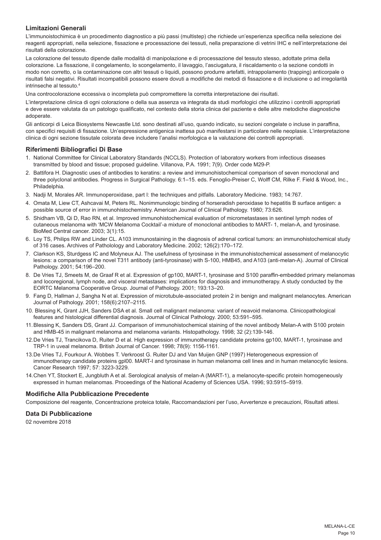## **Limitazioni Generali**

L'immunoistochimica è un procedimento diagnostico a più passi (multistep) che richiede un'esperienza specifica nella selezione dei reagenti appropriati, nella selezione, fissazione e processazione dei tessuti, nella preparazione di vetrini IHC e nell'interpretazione dei risultati della colorazione.

La colorazione del tessuto dipende dalle modalità di manipolazione e di processazione del tessuto stesso, adottate prima della colorazione. La fissazione, il congelamento, lo scongelamento, il lavaggio, l'asciugatura, il riscaldamento o la sezione condotti in modo non corretto, o la contaminazione con altri tessuti o liquidi, possono produrre artefatti, intrappolamento (trapping) anticorpale o risultati falsi negativi. Risultati incompatibili possono essere dovuti a modifiche dei metodi di fissazione e di inclusione o ad irregolarità intrinseche al tessuto.4

Una controcolorazione eccessiva o incompleta può compromettere la corretta interpretazione dei risultati.

L'interpretazione clinica di ogni colorazione o della sua assenza va integrata da studi morfologici che utilizzino i controlli appropriati e deve essere valutata da un patologo qualificato, nel contesto della storia clinica del paziente e delle altre metodiche diagnostiche adoperate.

Gli anticorpi di Leica Biosystems Newcastle Ltd. sono destinati all'uso, quando indicato, su sezioni congelate o incluse in paraffina, con specifici requisiti di fissazione. Un'espressione antigenica inattesa può manifestarsi in particolare nelle neoplasie. L'interpretazione clinica di ogni sezione tissutale colorata deve includere l'analisi morfologica e la valutazione dei controlli appropriati.

### **Riferimenti Bibliografici Di Base**

- 1. National Committee for Clinical Laboratory Standards (NCCLS). Protection of laboratory workers from infectious diseases transmitted by blood and tissue; proposed guideline. Villanova, P.A. 1991; 7(9). Order code M29-P.
- 2. Battifora H. Diagnostic uses of antibodies to keratins: a review and immunohistochemical comparison of seven monoclonal and three polyclonal antibodies. Progress in Surgical Pathology. 6:1–15. eds. Fenoglio-Preiser C, Wolff CM, Rilke F. Field & Wood, Inc., Philadelphia.
- 3. Nadji M, Morales AR. Immunoperoxidase, part I: the techniques and pitfalls. Laboratory Medicine. 1983; 14:767.
- 4. Omata M, Liew CT, Ashcavai M, Peters RL. Nonimmunologic binding of horseradish peroxidase to hepatitis B surface antigen: a possible source of error in immunohistochemistry. American Journal of Clinical Pathology. 1980; 73:626.
- 5. Shidham VB, Qi D, Rao RN, et al. Improved immunohistochemical evaluation of micrometastases in sentinel lymph nodes of cutaneous melanoma with 'MCW Melanoma Cocktail'-a mixture of monoclonal antibodies to MART- 1, melan-A, and tyrosinase. BioMed Central cancer. 2003; 3(1):15.
- 6. Loy TS, Philips RW and Linder CL. A103 immunostaining in the diagnosis of adrenal cortical tumors: an immunohistochemical study of 316 cases. Archives of Patholology and Laboratory Medicine. 2002; 126(2):170–172.
- 7. Clarkson KS, Sturdgess IC and Molyneux AJ. The usefulness of tyrosinase in the immunohistochemical assessment of melanocytic lesions: a comparison of the novel T311 antibody (anti-tyrosinase) with S-100, HMB45, and A103 (anti-melan-A). Journal of Clinical Pathology. 2001; 54:196–200.
- 8. De Vries TJ, Smeets M, de Graaf R et al. Expression of gp100, MART-1, tyrosinase and S100 paraffin-embedded primary melanomas and locoregional, lymph node, and visceral metastases: implications for diagnosis and immunotherapy. A study conducted by the EORTC Melanoma Cooperative Group. Journal of Pathology. 2001; 193:13–20.
- 9. Fang D, Hallman J, Sangha N et al. Expression of microtubule-associated protein 2 in benign and malignant melanocytes. American Journal of Pathology. 2001; 158(6):2107–2115.
- 10. Blessing K, Grant JJH, Sanders DSA et al. Small cell malignant melanoma: variant of neavoid melanoma. Clinicopathological features and histological differential diagnosis. Journal of Clinical Pathology. 2000; 53:591–595.
- 11.Blessing K, Sanders DS, Grant JJ. Comparison of immunohistochemical staining of the novel antibody Melan-A with S100 protein and HMB-45 in malignant melanoma and melanoma variants. Histopathology. 1998; 32 (2):139-146.
- 12.De Vries TJ, Trancikova D, Ruiter D et al. High expression of immunotherapy candidate proteins gp100, MART-1, tyrosinase and TRP-1 in uveal melanoma. British Journal of Cancer. 1998; 78(9): 1156-1161.
- 13.De Vries TJ, Fourkour A. Wobbes T. Verkroost G. Ruiter DJ and Van Muijen GNP (1997) Heterogeneous expression of immunotherapy candidate proteins gpl00. MART-I and tyrosinase in human melanoma cell lines and in human melanocytic lesions. Cancer Research 1997; 57: 3223-3229.
- 14.Chen YT, Stockert E, Jungbluth A et al. Serological analysis of melan-A (MART-1), a melanocyte-specific protein homogeneously expressed in human melanomas. Proceedings of the National Academy of Sciences USA. 1996; 93:5915–5919.

## **Modifiche Alla Pubblicazione Precedente**

Composizione del reagente, Concentrazione proteica totale, Raccomandazioni per l'uso, Avvertenze e precauzioni, Risultati attesi.

## **Data Di Pubblicazione**

02 novembre 2018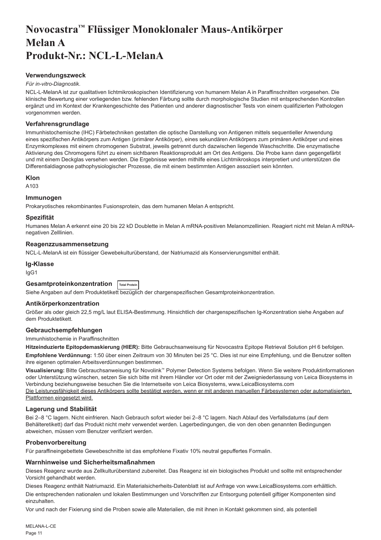## <span id="page-11-0"></span>**Novocastra™ Flüssiger Monoklonaler Maus-Antikörper Melan A Produkt-Nr.: NCL-L-MelanA**

### **Verwendungszweck**

#### *Für in-vitro-Diagnostik*.

NCL-L-MelanA ist zur qualitativen lichtmikroskopischen Identifizierung von humanem Melan A in Paraffinschnitten vorgesehen. Die klinische Bewertung einer vorliegenden bzw. fehlenden Färbung sollte durch morphologische Studien mit entsprechenden Kontrollen ergänzt und im Kontext der Krankengeschichte des Patienten und anderer diagnostischer Tests von einem qualifizierten Pathologen vorgenommen werden.

#### **Verfahrensgrundlage**

Immunhistochemische (IHC) Färbetechniken gestatten die optische Darstellung von Antigenen mittels sequentieller Anwendung eines spezifischen Antikörpers zum Antigen (primärer Antikörper), eines sekundären Antikörpers zum primären Antikörper und eines Enzymkomplexes mit einem chromogenen Substrat, jeweils getrennt durch dazwischen liegende Waschschritte. Die enzymatische Aktivierung des Chromogens führt zu einem sichtbaren Reaktionsprodukt am Ort des Antigens. Die Probe kann dann gegengefärbt und mit einem Deckglas versehen werden. Die Ergebnisse werden mithilfe eines Lichtmikroskops interpretiert und unterstützen die Differentialdiagnose pathophysiologischer Prozesse, die mit einem bestimmten Antigen assoziiert sein könnten.

#### **Klon**

A103

## **Immunogen**

Prokaryotisches rekombinantes Fusionsprotein, das dem humanen Melan A entspricht.

#### **Spezifität**

Humanes Melan A erkennt eine 20 bis 22 kD Doublette in Melan A mRNA-positiven Melanomzellinien. Reagiert nicht mit Melan A mRNAnegativen Zelllinien.

#### **Reagenzzusammensetzung**

NCL-L-MelanA ist ein flüssiger Gewebekulturüberstand, der Natriumazid als Konservierungsmittel enthält.

#### **Ig-Klasse**

IgG1

## **Gesamtproteinkonzentration Total Protein**

Siehe Angaben auf dem Produktetikett bezüglich der chargenspezifischen Gesamtproteinkonzentration.

#### **Antikörperkonzentration**

Größer als oder gleich 22,5 mg/L laut ELISA-Bestimmung. Hinsichtlich der chargenspezifischen Ig-Konzentration siehe Angaben auf dem Produktetikett.

#### **Gebrauchsempfehlungen**

Immunhistochemie in Paraffinschnitten

**Hitzeinduzierte Epitopdemaskierung (HIER):** Bitte Gebrauchsanweisung für Novocastra Epitope Retrieval Solution pH 6 befolgen.

**Empfohlene Verdünnung:** 1:50 über einen Zeitraum von 30 Minuten bei 25 °C. Dies ist nur eine Empfehlung, und die Benutzer sollten ihre eigenen optimalen Arbeitsverdünnungen bestimmen.

**Visualisierung:** Bitte Gebrauchsanweisung für Novolink™ Polymer Detection Systems befolgen. Wenn Sie weitere Produktinformationen oder Unterstützung wünschen, setzen Sie sich bitte mit ihrem Händler vor Ort oder mit der Zweigniederlassung von Leica Biosystems in Verbindung beziehungsweise besuchen Sie die Internetseite von Leica Biosystems, www.LeicaBiosystems.com

Die Leistungsfähigkeit dieses Antikörpers sollte bestätigt werden, wenn er mit anderen manuellen Färbesystemen oder automatisierten Plattformen eingesetzt wird.

## **Lagerung und Stabilität**

Bei 2–8 °C lagern. Nicht einfrieren. Nach Gebrauch sofort wieder bei 2–8 °C lagern. Nach Ablauf des Verfallsdatums (auf dem Behälteretikett) darf das Produkt nicht mehr verwendet werden. Lagerbedingungen, die von den oben genannten Bedingungen abweichen, müssen vom Benutzer verifiziert werden.

## **Probenvorbereitung**

Für paraffineingebettete Gewebeschnitte ist das empfohlene Fixativ 10% neutral gepuffertes Formalin.

#### **Warnhinweise und Sicherheitsmaßnahmen**

Dieses Reagenz wurde aus Zellkulturüberstand zubereitet. Das Reagenz ist ein biologisches Produkt und sollte mit entsprechender Vorsicht gehandhabt werden.

Dieses Reagenz enthält Natriumazid. Ein Materialsicherheits-Datenblatt ist auf Anfrage von www.LeicaBiosystems.com erhältlich.

Die entsprechenden nationalen und lokalen Bestimmungen und Vorschriften zur Entsorgung potentiell giftiger Komponenten sind einzuhalten.

Vor und nach der Fixierung sind die Proben sowie alle Materialien, die mit ihnen in Kontakt gekommen sind, als potentiell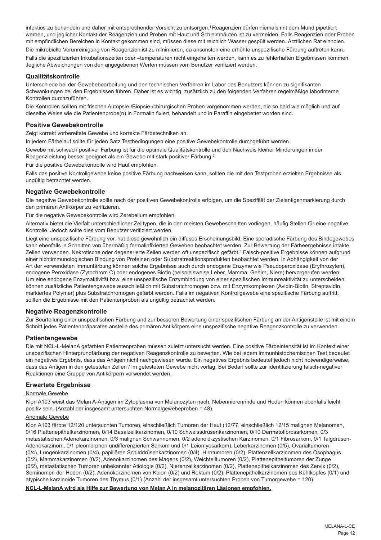infektiös zu behandeln und daher mit entsprechender Vorsicht zu entsorgen.<sup>1</sup> Reagenzien dürfen niemals mit dem Mund pipettiert werden, und jeglicher Kontakt der Reagenzien und Proben mit Haut und Schleimhäuten ist zu vermeiden. Falls Reagenzien oder Proben mit empfindlichen Bereichen in Kontakt gekommen sind, müssen diese mit reichlich Wasser gespült werden. Ärztlichen Rat einholen. Die mikrobielle Verunreinigung von Reagenzien ist zu minimieren, da ansonsten eine erhöhte unspezifische Färbung auftreten kann. Falls die spezifizierten Inkubationszeiten oder –temperaturen nicht eingehalten werden, kann es zu fehlerhaften Ergebnissen kommen.

#### **Qualitätskontrolle**

Unterschiede bei der Gewebebearbeitung und den technischen Verfahren im Labor des Benutzers können zu signifikanten Schwankungen bei den Ergebnissen führen. Daher ist es wichtig, zusätzlich zu den folgenden Verfahren regelmäßige laborinterne Kontrollen durchzuführen.

Die Kontrollen sollten mit frischen Autopsie-/Biopsie-/chirurgischen Proben vorgenommen werden, die so bald wie möglich und auf dieselbe Weise wie die Patientenprobe(n) in Formalin fixiert, behandelt und in Paraffin eingebettet worden sind.

### **Positive Gewebekontrolle**

Zeigt korrekt vorbereitete Gewebe und korrekte Färbetechniken an.

In jedem Färbelauf sollte für jeden Satz Testbedingungen eine positive Gewebekontrolle durchgeführt werden.

Jegliche Abweichungen von den angegebenen Werten müssen vom Benutzer verifiziert werden.

Gewebe mit schwach positiver Färbung ist für die optimale Qualitätskontrolle und den Nachweis kleiner Minderungen in der Reagenzleistung besser geeignet als ein Gewebe mit stark positiver Färbung.<sup>2</sup>

Für die positive Gewebekontrolle wird Haut empfohlen.

Falls das positive Kontrollgewebe keine positive Färbung nachweisen kann, sollten die mit den Testproben erzielten Ergebnisse als ungültig betrachtet werden.

#### **Negative Gewebekontrolle**

Die negative Gewebekontrolle sollte nach der positiven Gewebekontrolle erfolgen, um die Spezifität der Zielantigenmarkierung durch den primären Antikörper zu verifizieren.

Für die negative Gewebekontrolle wird Zerebellum empfohlen.

Alternativ bietet die Vielfalt unterschiedlicher Zelltypen, die in den meisten Gewebeschnitten vorliegen, häufig Stellen für eine negative Kontrolle. Jedoch sollte dies vom Benutzer verifiziert werden.

Liegt eine unspezifische Färbung vor, hat diese gewöhnlich ein diffuses Erscheinungsbild. Eine sporadische Färbung des Bindegewebes kann ebenfalls in Schnitten von übermäßig formalinfixierten Geweben beobachtet werden. Zur Bewertung der Färbeergebnisse intakte Zellen verwenden. Nekrotische oder degenerierte Zellen werden oft unspezifisch gefärbt.<sup>3</sup> Falsch-positive Ergebnisse können aufgrund einer nichtimmunologischen Bindung von Proteinen oder Substratreaktionsprodukten beobachtet werden. In Abhängigkeit von der Art der verwendeten Immunfärbung können solche Ergebnisse auch durch endogene Enzyme wie Pseudoperoxidase (Erythrozyten), endogene Peroxidase (Zytochrom C) oder endogenes Biotin (beispielsweise Leber, Mamma, Gehirn, Niere) hervorgerufen werden. Um eine endogene Enzymaktivität bzw. eine unspezifische Enzymbindung von einer spezifischen Immunreaktivität zu unterscheiden, können zusätzliche Patientengewebe ausschließlich mit Substratchromogen bzw. mit Enzymkomplexen (Avidin-Biotin, Streptavidin, markiertes Polymer) plus Substratchromogen gefärbt werden. Falls im negativen Kontrollgewebe eine spezifische Färbung auftritt, sollten die Ergebnisse mit den Patientenproben als ungültig betrachtet werden.

## **Negative Reagenzkontrolle**

Zur Beurteilung einer unspezifischen Färbung und zur besseren Bewertung einer spezifischen Färbung an der Antigenstelle ist mit einem Schnitt jedes Patientenpräparates anstelle des primären Antikörpers eine unspezifische negative Reagenzkontrolle zu verwenden.

#### **Patientengewebe**

Die mit NCL-L-MelanA gefärbten Patientenproben müssen zuletzt untersucht werden. Eine positive Färbeintensität ist im Kontext einer unspezifischen Hintergrundfärbung der negativen Reagenzkontrolle zu bewerten. Wie bei jedem immunhistochemischen Test bedeutet ein negatives Ergebnis, dass das Antigen nicht nachgewiesen wurde. Ein negatives Ergebnis bedeutet jedoch nicht notwendigerweise, dass das Antigen in den getesteten Zellen / im getesteten Gewebe nicht vorlag. Bei Bedarf sollte zur Identifizierung falsch-negativer Reaktionen eine Gruppe von Antikörpern verwendet werden.

#### **Erwartete Ergebnisse**

#### Normale Gewebe

Klon A103 weist das Melan A-Antigen im Zytoplasma von Melanozyten nach. Nebennierenrinde und Hoden können ebenfalls leicht positiv sein. (Anzahl der insgesamt untersuchten Normalgewebeproben = 48).

#### Anomale Gewebe

Klon A103 färbte 12/120 untersuchten Tumoren, einschließlich Tumoren der Haut (12/77, einschließlich 12/15 malignen Melanomen, 0/16 Plattenepithelkarzinomen, 0/14 Basalzellkarzinomen, 0/10 Schweissdrüsenkarzinomen, 0/10 Dermatofibrosarkomen, 0/3 metastatischen Adenokarzinomen, 0/3 malignen Schwannomen, 0/2 adenoid-zystischen Karzinomen, 0/1 Fibrosarkom, 0/1 Talgdrüsen-Adenokarzinom, 0/1 pleomorphen undifferenzierten Sarkom und 0/1 Leiomyosarkom), Leberkarzinomen (0/5), Ovarialtumoren (0/4), Lungenkarzinomen (0/4), papillären Schilddrüsenkarzinomen (0/4), Hirntumoren (0/2), Plattenzellkarzinomen des Ösophagus (0/2), Mammakarzinomen (0/2), Adenokarzinomen des Magens (0/2), Weichteiltumoren (0/2), Plattenepitheltumoren der Zunge (0/2), metastatischen Tumoren unbekannter Ätiologie (0/2), Nierenzellkarzinomen (0/2), Plattenepithelkarzinomen des Zervix (0/2), Seminomen der Hoden (0/2), Adenokarzinomen von Kolon (0/2) und Rektum (0/2), Plattenepithelkarzinomen des Kehlkopfes (0/1) und atypische karzinoide Tumoren des Thymus (0/1) (Anzahl der insgesamt untersuchten Proben von Tumorgewebe = 120).

**NCL-L-MelanA wird als Hilfe zur Bewertung von Melan A in melanozitären Läsionen empfohlen.**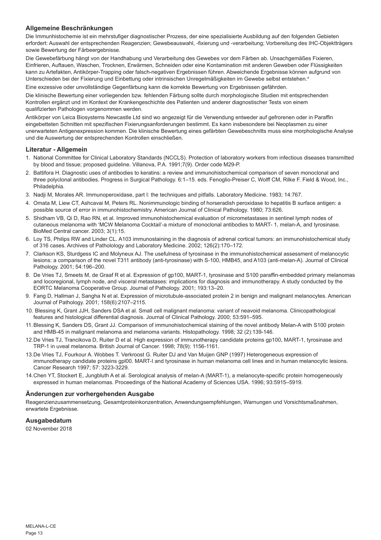## **Allgemeine Beschränkungen**

Die Immunhistochemie ist ein mehrstufiger diagnostischer Prozess, der eine spezialisierte Ausbildung auf den folgenden Gebieten erfordert: Auswahl der entsprechenden Reagenzien; Gewebeauswahl, -fixierung und -verarbeitung; Vorbereitung des IHC-Objektträgers sowie Bewertung der Färbeergebnisse.

Die Gewebefärbung hängt von der Handhabung und Verarbeitung des Gewebes vor dem Färben ab. Unsachgemäßes Fixieren, Einfrieren, Auftauen, Waschen, Trocknen, Erwärmen, Schneiden oder eine Kontamination mit anderen Geweben oder Flüssigkeiten kann zu Artefakten, Antikörper-Trapping oder falsch-negativen Ergebnissen führen. Abweichende Ergebnisse können aufgrund von Unterschieden bei der Fixierung und Einbettung oder intrinsischen Unregelmäßigkeiten im Gewebe selbst entstehen.4

Eine exzessive oder unvollständige Gegenfärbung kann die korrekte Bewertung von Ergebnissen gefährden.

Die klinische Bewertung einer vorliegenden bzw. fehlenden Färbung sollte durch morphologische Studien mit entsprechenden Kontrollen ergänzt und im Kontext der Krankengeschichte des Patienten und anderer diagnostischer Tests von einem qualifizierten Pathologen vorgenommen werden.

Antikörper von Leica Biosystems Newcastle Ltd sind wo angezeigt für die Verwendung entweder auf gefrorenen oder in Paraffin eingebetteten Schnitten mit spezifischen Fixierungsanforderungen bestimmt. Es kann insbesondere bei Neoplasmen zu einer unerwarteten Antigenexpression kommen. Die klinische Bewertung eines gefärbten Gewebeschnitts muss eine morphologische Analyse und die Auswertung der entsprechenden Kontrollen einschließen.

### **Literatur - Allgemein**

- 1. National Committee for Clinical Laboratory Standards (NCCLS). Protection of laboratory workers from infectious diseases transmitted by blood and tissue; proposed guideline. Villanova, P.A. 1991;7(9). Order code M29-P.
- 2. Battifora H. Diagnostic uses of antibodies to keratins: a review and immunohistochemical comparison of seven monoclonal and three polyclonal antibodies. Progress in Surgical Pathology. 6:1–15. eds. Fenoglio-Preiser C, Wolff CM, Rilke F. Field & Wood, Inc., Philadelphia.
- 3. Nadji M, Morales AR. Immunoperoxidase, part I: the techniques and pitfalls. Laboratory Medicine. 1983; 14:767.
- 4. Omata M, Liew CT, Ashcavai M, Peters RL. Nonimmunologic binding of horseradish peroxidase to hepatitis B surface antigen: a possible source of error in immunohistochemistry. American Journal of Clinical Pathology. 1980; 73:626.
- 5. Shidham VB, Qi D, Rao RN, et al. Improved immunohistochemical evaluation of micrometastases in sentinel lymph nodes of cutaneous melanoma with 'MCW Melanoma Cocktail'-a mixture of monoclonal antibodies to MART- 1, melan-A, and tyrosinase. BioMed Central cancer. 2003; 3(1):15.
- 6. Loy TS, Philips RW and Linder CL. A103 immunostaining in the diagnosis of adrenal cortical tumors: an immunohistochemical study of 316 cases. Archives of Patholology and Laboratory Medicine. 2002; 126(2):170–172.
- 7. Clarkson KS, Sturdgess IC and Molyneux AJ. The usefulness of tyrosinase in the immunohistochemical assessment of melanocytic lesions: a comparison of the novel T311 antibody (anti-tyrosinase) with S-100, HMB45, and A103 (anti-melan-A). Journal of Clinical Pathology. 2001; 54:196–200.
- 8. De Vries TJ, Smeets M, de Graaf R et al. Expression of gp100, MART-1, tyrosinase and S100 paraffin-embedded primary melanomas and locoregional, lymph node, and visceral metastases: implications for diagnosis and immunotherapy. A study conducted by the EORTC Melanoma Cooperative Group. Journal of Pathology. 2001; 193:13–20.
- 9. Fang D, Hallman J, Sangha N et al. Expression of microtubule-associated protein 2 in benign and malignant melanocytes. American Journal of Pathology. 2001; 158(6):2107–2115.
- 10. Blessing K, Grant JJH, Sanders DSA et al. Small cell malignant melanoma: variant of neavoid melanoma. Clinicopathological features and histological differential diagnosis. Journal of Clinical Pathology. 2000; 53:591–595.
- 11.Blessing K, Sanders DS, Grant JJ. Comparison of immunohistochemical staining of the novel antibody Melan-A with S100 protein and HMB-45 in malignant melanoma and melanoma variants. Histopathology. 1998; 32 (2):139-146.
- 12.De Vries TJ, Trancikova D, Ruiter D et al. High expression of immunotherapy candidate proteins gp100, MART-1, tyrosinase and TRP-1 in uveal melanoma. British Journal of Cancer. 1998; 78(9): 1156-1161.
- 13.De Vries TJ, Fourkour A. Wobbes T. Verkroost G. Ruiter DJ and Van Muijen GNP (1997) Heterogeneous expression of immunotherapy candidate proteins gpl00. MART-I and tyrosinase in human melanoma cell lines and in human melanocytic lesions. Cancer Research 1997; 57: 3223-3229.
- 14.Chen YT, Stockert E, Jungbluth A et al. Serological analysis of melan-A (MART-1), a melanocyte-specific protein homogeneously expressed in human melanomas. Proceedings of the National Academy of Sciences USA. 1996; 93:5915–5919.

#### **Änderungen zur vorhergehenden Ausgabe**

Reagenzienzusammensetzung, Gesamtproteinkonzentration, Anwendungsempfehlungen, Warnungen und Vorsichtsmaßnahmen, erwartete Ergebnisse.

## **Ausgabedatum**

02 November 2018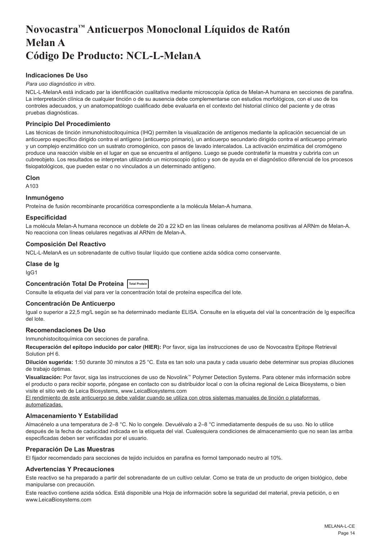## <span id="page-14-0"></span>**Novocastra™ Anticuerpos Monoclonal Líquidos de Ratón Melan A Código De Producto: NCL-L-MelanA**

## **Indicaciones De Uso**

#### *Para uso diagnóstico in vitro*.

NCL-L-MelanA está indicado par la identificación cualitativa mediante microscopía óptica de Melan-A humana en secciones de parafina. La interpretación clínica de cualquier tinción o de su ausencia debe complementarse con estudios morfológicos, con el uso de los controles adecuados, y un anatomopatólogo cualificado debe evaluarla en el contexto del historial clínico del paciente y de otras pruebas diagnósticas.

## **Principio Del Procedimiento**

Las técnicas de tinción inmunohistocitoquímica (IHQ) permiten la visualización de antígenos mediante la aplicación secuencial de un anticuerpo específico dirigido contra el antígeno (anticuerpo primario), un anticuerpo secundario dirigido contra el anticuerpo primario y un complejo enzimático con un sustrato cromogénico, con pasos de lavado intercalados. La activación enzimática del cromógeno produce una reacción visible en el lugar en que se encuentra el antígeno. Luego se puede contrateñir la muestra y cubrirla con un cubreobjeto. Los resultados se interpretan utilizando un microscopio óptico y son de ayuda en el diagnóstico diferencial de los procesos fisiopatológicos, que pueden estar o no vinculados a un determinado antígeno.

#### **Clon**

A103

#### **Inmunógeno**

Proteína de fusión recombinante procariótica correspondiente a la molécula Melan-A humana.

## **Especificidad**

La molécula Melan-A humana reconoce un doblete de 20 a 22 kD en las líneas celulares de melanoma positivas al ARNm de Melan-A. No reacciona con líneas celulares negativas al ARNm de Melan-A.

#### **Composición Del Reactivo**

NCL-L-MelanA es un sobrenadante de cultivo tisular líquido que contiene azida sódica como conservante.

### **Clase de Ig**

IgG1

## **Concentración Total De Proteína Total Protein**

Consulte la etiqueta del vial para ver la concentración total de proteína específica del lote.

#### **Concentración De Anticuerpo**

Igual o superior a 22,5 mg/L según se ha determinado mediante ELISA. Consulte en la etiqueta del vial la concentración de Ig específica del lote.

## **Recomendaciones De Uso**

Inmunohistocitoquímica con secciones de parafina.

**Recuperación del epítopo inducido por calor (HIER):** Por favor, siga las instrucciones de uso de Novocastra Epitope Retrieval Solution pH 6.

**Dilución sugerida:** 1:50 durante 30 minutos a 25 °C. Esta es tan solo una pauta y cada usuario debe determinar sus propias diluciones de trabajo óptimas.

**Visualización:** Por favor, siga las instrucciones de uso de Novolink™ Polymer Detection Systems. Para obtener más información sobre el producto o para recibir soporte, póngase en contacto con su distribuidor local o con la oficina regional de Leica Biosystems, o bien visite el sitio web de Leica Biosystems, www.LeicaBiosystems.com

El rendimiento de este anticuerpo se debe validar cuando se utiliza con otros sistemas manuales de tinción o plataformas automatizadas.

## **Almacenamiento Y Estabilidad**

Almacénelo a una temperatura de 2–8 °C. No lo congele. Devuélvalo a 2–8 °C inmediatamente después de su uso. No lo utilice después de la fecha de caducidad indicada en la etiqueta del vial. Cualesquiera condiciones de almacenamiento que no sean las arriba especificadas deben ser verificadas por el usuario.

#### **Preparación De Las Muestras**

El fijador recomendado para secciones de tejido incluidos en parafina es formol tamponado neutro al 10%.

## **Advertencias Y Precauciones**

Este reactivo se ha preparado a partir del sobrenadante de un cultivo celular. Como se trata de un producto de origen biológico, debe manipularse con precaución.

Este reactivo contiene azida sódica. Está disponible una Hoja de información sobre la seguridad del material, previa petición, o en www.LeicaBiosystems.com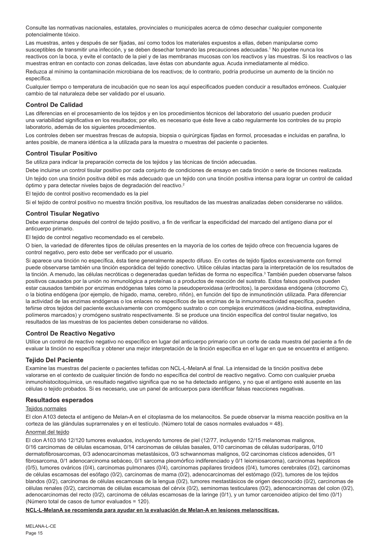Consulte las normativas nacionales, estatales, provinciales o municipales acerca de cómo desechar cualquier componente potencialmente tóxico.

Las muestras, antes y después de ser fijadas, así como todos los materiales expuestos a ellas, deben manipularse como susceptibles de transmitir una infección, y se deben desechar tomando las precauciones adecuadas.<sup>1</sup> No pipetee nunca los reactivos con la boca, y evite el contacto de la piel y de las membranas mucosas con los reactivos y las muestras. Si los reactivos o las muestras entran en contacto con zonas delicadas, lave éstas con abundante agua. Acuda inmediatamente al médico.

Reduzca al mínimo la contaminación microbiana de los reactivos; de lo contrario, podría producirse un aumento de la tinción no específica.

Cualquier tiempo o temperatura de incubación que no sean los aquí especificados pueden conducir a resultados erróneos. Cualquier cambio de tal naturaleza debe ser validado por el usuario.

## **Control De Calidad**

Las diferencias en el procesamiento de los tejidos y en los procedimientos técnicos del laboratorio del usuario pueden producir una variabilidad significativa en los resultados; por ello, es necesario que éste lleve a cabo regularmente los controles de su propio laboratorio, además de los siguientes procedimientos.

Los controles deben ser muestras frescas de autopsia, biopsia o quirúrgicas fijadas en formol, procesadas e incluidas en parafina, lo antes posible, de manera idéntica a la utilizada para la muestra o muestras del paciente o pacientes.

## **Control Tisular Positivo**

Se utiliza para indicar la preparación correcta de los tejidos y las técnicas de tinción adecuadas.

Debe incluirse un control tisular positivo por cada conjunto de condiciones de ensayo en cada tinción o serie de tinciones realizada.

Un tejido con una tinción positiva débil es más adecuado que un tejido con una tinción positiva intensa para lograr un control de calidad óptimo y para detectar niveles bajos de degradación del reactivo.<sup>2</sup>

El tejido de control positivo recomendado es la piel

Si el tejido de control positivo no muestra tinción positiva, los resultados de las muestras analizadas deben considerarse no válidos.

#### **Control Tisular Negativo**

Debe examinarse después del control de tejido positivo, a fin de verificar la especificidad del marcado del antígeno diana por el anticuerpo primario.

El tejido de control negativo recomendado es el cerebelo.

O bien, la variedad de diferentes tipos de células presentes en la mayoría de los cortes de tejido ofrece con frecuencia lugares de control negativo, pero esto debe ser verificado por el usuario.

Si aparece una tinción no específica, ésta tiene generalmente aspecto difuso. En cortes de tejido fijados excesivamente con formol puede observarse también una tinción esporádica del tejido conectivo. Utilice células intactas para la interpretación de los resultados de la tinción. A menudo, las células necróticas o degeneradas quedan teñidas de forma no específica.<sup>3</sup> También pueden observarse falsos positivos causados por la unión no inmunológica a proteínas o a productos de reacción del sustrato. Estos falsos positivos pueden estar causados también por enzimas endógenas tales como la pseudoperoxidasa (eritrocitos), la peroxidasa endógena (citocromo C), o la biotina endógena (por ejemplo, de hígado, mama, cerebro, riñón), en función del tipo de inmunotinción utilizada. Para diferenciar la actividad de las enzimas endógenas o los enlaces no específicos de las enzimas de la inmunorreactividad específica, pueden teñirse otros tejidos del paciente exclusivamente con cromógeno sustrato o con complejos enzimáticos (avidina-biotina, estreptavidina, polímeros marcados) y cromógeno sustrato respectivamente. Si se produce una tinción específica del control tisular negativo, los resultados de las muestras de los pacientes deben considerarse no válidos.

## **Control De Reactivo Negativo**

Utilice un control de reactivo negativo no específico en lugar del anticuerpo primario con un corte de cada muestra del paciente a fin de evaluar la tinción no específica y obtener una mejor interpretación de la tinción específica en el lugar en que se encuentra el antígeno.

## **Tejido Del Paciente**

Examine las muestras del paciente o pacientes teñidas con NCL-L-MelanA al final. La intensidad de la tinción positiva debe valorarse en el contexto de cualquier tinción de fondo no específica del control de reactivo negativo. Como con cualquier prueba inmunohistocitoquímica, un resultado negativo significa que no se ha detectado antígeno, y no que el antígeno esté ausente en las células o tejido probados. Si es necesario, use un panel de anticuerpos para identificar falsas reacciones negativas.

## **Resultados esperados**

### Teiidos normales

El clon A103 detecta el antígeno de Melan-A en el citoplasma de los melanocitos. Se puede observar la misma reacción positiva en la corteza de las glándulas suprarrenales y en el testículo. (Número total de casos normales evaluados = 48).

## Anormal del tejido

El clon A103 tiñó 12/120 tumores evaluados, incluyendo tumores de piel (12/77, incluyendo 12/15 melanomas malignos, 0/16 carcinomas de células escamosas, 0/14 carcinomas de células basales, 0/10 carcinomas de células sudoríparas, 0/10 dermatofibrosarcomas, 0/3 adenocarcinomas metastásicos, 0/3 schwannomas malignos, 0/2 carcinomas císticos adenoides, 0/1 fibrosarcoma, 0/1 adenocarcinoma sebáceo, 0/1 sarcoma pleomórfico indiferenciado y 0/1 leiomiosarcoma), carcinomas hepáticos (0/5), tumores ováricos (0/4), carcinomas pulmonares (0/4), carcinomas papilares tiroideos (0/4), tumores cerebrales (0/2), carcinomas de células escamosas del esófago (0/2), carcinomas de mama (0/2), adenocarcinomas del estómago (0/2), tumores de los tejidos blandos (0/2), carcinomas de células escamosas de la lengua (0/2), tumores mestastásicos de origen desconocido (0/2), carcinomas de células renales (0/2), carcinomas de células escamosas del cérvix (0/2), seminomas testiculares (0/2), adenocarcinomas del colon (0/2), adenocarcinomas del recto (0/2), carcinoma de células escamosas de la laringe (0/1), y un tumor carcenoideo atípico del timo (0/1) (Número total de casos de tumor evaluados = 120).

**NCL-L-MelanA se recomienda para ayudar en la evaluación de Melan-A en lesiones melanocíticas.**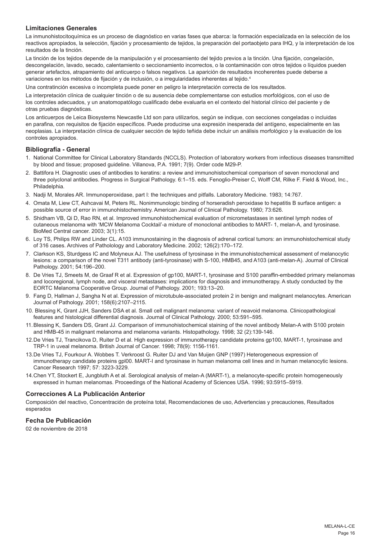## **Limitaciones Generales**

La inmunohistocitoquímica es un proceso de diagnóstico en varias fases que abarca: la formación especializada en la selección de los reactivos apropiados, la selección, fijación y procesamiento de tejidos, la preparación del portaobjeto para IHQ, y la interpretación de los resultados de la tinción.

La tinción de los tejidos depende de la manipulación y el procesamiento del tejido previos a la tinción. Una fijación, congelación, descongelación, lavado, secado, calentamiento o seccionamiento incorrectos, o la contaminación con otros tejidos o líquidos pueden generar artefactos, atrapamiento del anticuerpo o falsos negativos. La aparición de resultados incoherentes puede deberse a variaciones en los métodos de fijación y de inclusión, o a irregularidades inherentes al tejido.<sup>4</sup>

Una contratinción excesiva o incompleta puede poner en peligro la interpretación correcta de los resultados.

La interpretación clínica de cualquier tinción o de su ausencia debe complementarse con estudios morfológicos, con el uso de los controles adecuados, y un anatomopatólogo cualificado debe evaluarla en el contexto del historial clínico del paciente y de otras pruebas diagnósticas.

Los anticuerpos de Leica Biosystems Newcastle Ltd son para utilizarlos, según se indique, con secciones congeladas o incluidas en parafina, con requisitos de fijación específicos. Puede producirse una expresión inesperada del antígeno, especialmente en las neoplasias. La interpretación clínica de cualquier sección de tejido teñida debe incluir un análisis morfológico y la evaluación de los controles apropiados.

#### **Bibliografía - General**

- 1. National Committee for Clinical Laboratory Standards (NCCLS). Protection of laboratory workers from infectious diseases transmitted by blood and tissue; proposed guideline. Villanova, P.A. 1991; 7(9). Order code M29-P.
- 2. Battifora H. Diagnostic uses of antibodies to keratins: a review and immunohistochemical comparison of seven monoclonal and three polyclonal antibodies. Progress in Surgical Pathology. 6:1–15. eds. Fenoglio-Preiser C, Wolff CM, Rilke F. Field & Wood, Inc., Philadelphia.
- 3. Nadji M, Morales AR. Immunoperoxidase, part I: the techniques and pitfalls. Laboratory Medicine. 1983; 14:767.
- 4. Omata M, Liew CT, Ashcavai M, Peters RL. Nonimmunologic binding of horseradish peroxidase to hepatitis B surface antigen: a possible source of error in immunohistochemistry. American Journal of Clinical Pathology. 1980; 73:626.
- 5. Shidham VB, Qi D, Rao RN, et al. Improved immunohistochemical evaluation of micrometastases in sentinel lymph nodes of cutaneous melanoma with 'MCW Melanoma Cocktail'-a mixture of monoclonal antibodies to MART- 1, melan-A, and tyrosinase. BioMed Central cancer. 2003; 3(1):15.
- 6. Loy TS, Philips RW and Linder CL. A103 immunostaining in the diagnosis of adrenal cortical tumors: an immunohistochemical study of 316 cases. Archives of Patholology and Laboratory Medicine. 2002; 126(2):170–172.
- 7. Clarkson KS, Sturdgess IC and Molyneux AJ. The usefulness of tyrosinase in the immunohistochemical assessment of melanocytic lesions: a comparison of the novel T311 antibody (anti-tyrosinase) with S-100, HMB45, and A103 (anti-melan-A). Journal of Clinical Pathology. 2001; 54:196–200.
- 8. De Vries TJ, Smeets M, de Graaf R et al. Expression of gp100, MART-1, tyrosinase and S100 paraffin-embedded primary melanomas and locoregional, lymph node, and visceral metastases: implications for diagnosis and immunotherapy. A study conducted by the EORTC Melanoma Cooperative Group. Journal of Pathology. 2001; 193:13–20.
- 9. Fang D, Hallman J, Sangha N et al. Expression of microtubule-associated protein 2 in benign and malignant melanocytes. American Journal of Pathology. 2001; 158(6):2107–2115.
- 10. Blessing K, Grant JJH, Sanders DSA et al. Small cell malignant melanoma: variant of neavoid melanoma. Clinicopathological features and histological differential diagnosis. Journal of Clinical Pathology. 2000; 53:591–595.
- 11.Blessing K, Sanders DS, Grant JJ. Comparison of immunohistochemical staining of the novel antibody Melan-A with S100 protein and HMB-45 in malignant melanoma and melanoma variants. Histopathology. 1998; 32 (2):139-146.
- 12.De Vries TJ, Trancikova D, Ruiter D et al. High expression of immunotherapy candidate proteins gp100, MART-1, tyrosinase and TRP-1 in uveal melanoma. British Journal of Cancer. 1998; 78(9): 1156-1161.
- 13.De Vries TJ, Fourkour A. Wobbes T. Verkroost G. Ruiter DJ and Van Muijen GNP (1997) Heterogeneous expression of immunotherapy candidate proteins gpl00. MART-I and tyrosinase in human melanoma cell lines and in human melanocytic lesions. Cancer Research 1997; 57: 3223-3229.
- 14.Chen YT, Stockert E, Jungbluth A et al. Serological analysis of melan-A (MART-1), a melanocyte-specific protein homogeneously expressed in human melanomas. Proceedings of the National Academy of Sciences USA. 1996; 93:5915–5919.

#### **Correcciones A La Publicación Anterior**

Composición del reactivo, Concentración de proteína total, Recomendaciones de uso, Advertencias y precauciones, Resultados esperados

## **Fecha De Publicación**

02 de noviembre de 2018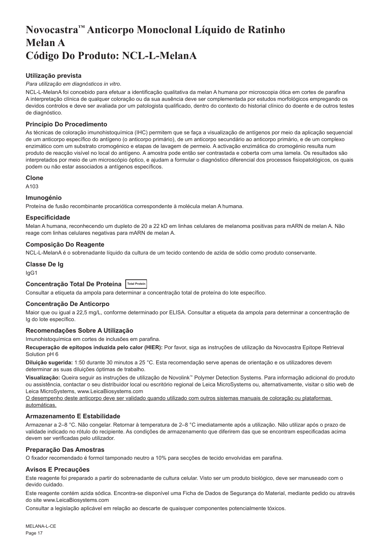## <span id="page-17-0"></span>**Novocastra™ Anticorpo Monoclonal Líquido de Ratinho Melan A Código Do Produto: NCL-L-MelanA**

## **Utilização prevista**

#### *Para utilização em diagnósticos in vitro*.

NCL-L-MelanA foi concebido para efetuar a identificação qualitativa da melan A humana por microscopia ótica em cortes de parafina A interpretação clínica de qualquer coloração ou da sua ausência deve ser complementada por estudos morfológicos empregando os devidos controlos e deve ser avaliada por um patologista qualificado, dentro do contexto do historial clínico do doente e de outros testes de diagnóstico.

## **Princípio Do Procedimento**

As técnicas de coloração imunohistoquímica (IHC) permitem que se faça a visualização de antígenos por meio da aplicação sequencial de um anticorpo específico do antígeno (o anticorpo primário), de um anticorpo secundário ao anticorpo primário, e de um complexo enzimático com um substrato cromogénico e etapas de lavagem de permeio. A activação enzimática do cromogénio resulta num produto de reacção visível no local do antígeno. A amostra pode então ser contrastada e coberta com uma lamela. Os resultados são interpretados por meio de um microscópio óptico, e ajudam a formular o diagnóstico diferencial dos processos fisiopatológicos, os quais podem ou não estar associados a antígenos específicos.

#### **Clone**

A103

#### **Imunogénio**

Proteína de fusão recombinante procariótica correspondente à molécula melan A humana.

#### **Especificidade**

Melan A humana, reconhecendo um dupleto de 20 a 22 kD em linhas celulares de melanoma positivas para mARN de melan A. Não reage com linhas celulares negativas para mARN de melan A.

## **Composição Do Reagente**

NCL-L-MelanA é o sobrenadante líquido da cultura de um tecido contendo de azida de sódio como produto conservante.

#### **Classe De Ig**

IgG1

## **Concentração Total De Proteína Total Protein**

Consultar a etiqueta da ampola para determinar a concentração total de proteína do lote específico.

#### **Concentração De Anticorpo**

Maior que ou igual a 22,5 mg/L, conforme determinado por ELISA. Consultar a etiqueta da ampola para determinar a concentração de Ig do lote específico.

## **Recomendações Sobre A Utilização**

Imunohistoquímica em cortes de inclusões em parafina.

**Recuperação de epítopos induzida pelo calor (HIER):** Por favor, siga as instruções de utilização da Novocastra Epitope Retrieval Solution pH 6

**Diluição sugerida:** 1:50 durante 30 minutos a 25 °C. Esta recomendação serve apenas de orientação e os utilizadores devem determinar as suas diluições óptimas de trabalho.

**Visualização:** Queira seguir as instruções de utilização de Novolink™ Polymer Detection Systems. Para informação adicional do produto ou assistência, contactar o seu distribuidor local ou escritório regional de Leica MicroSystems ou, alternativamente, visitar o sitio web de Leica MicroSystems, www.LeicaBiosystems.com

O desempenho deste anticorpo deve ser validado quando utilizado com outros sistemas manuais de coloração ou plataformas automáticas.

#### **Armazenamento E Estabilidade**

Armazenar a 2–8 °C. Não congelar. Retornar à temperatura de 2–8 °C imediatamente após a utilização. Não utilizar após o prazo de validade indicado no rótulo do recipiente. As condições de armazenamento que diferirem das que se encontram especificadas acima devem ser verificadas pelo utilizador.

#### **Preparação Das Amostras**

O fixador recomendado é formol tamponado neutro a 10% para secções de tecido envolvidas em parafina.

#### **Avisos E Precauções**

Este reagente foi preparado a partir do sobrenadante de cultura celular. Visto ser um produto biológico, deve ser manuseado com o devido cuidado.

Este reagente contém azida sódica. Encontra-se disponível uma Ficha de Dados de Segurança do Material, mediante pedido ou através do site www.LeicaBiosystems.com

Consultar a legislação aplicável em relação ao descarte de quaisquer componentes potencialmente tóxicos.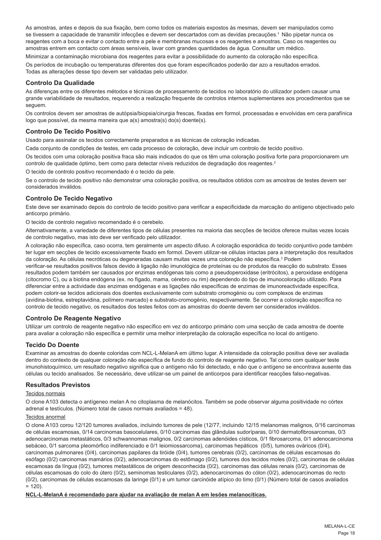As amostras, antes e depois da sua fixação, bem como todos os materiais expostos às mesmas, devem ser manipulados como se tivessem a capacidade de transmitir infecções e devem ser descartados com as devidas precauções.<sup>1</sup> Não pipetar nunca os reagentes com a boca e evitar o contacto entre a pele e membranas mucosas e os reagentes e amostras. Caso os reagentes ou amostras entrem em contacto com áreas sensíveis, lavar com grandes quantidades de água. Consultar um médico.

Minimizar a contaminação microbiana dos reagentes para evitar a possibilidade do aumento da coloração não específica. Os períodos de incubação ou temperaturas diferentes dos que foram especificados poderão dar azo a resultados errados. Todas as alterações desse tipo devem ser validadas pelo utilizador.

## **Controlo Da Qualidade**

As diferenças entre os diferentes métodos e técnicas de processamento de tecidos no laboratório do utilizador podem causar uma grande variabilidade de resultados, requerendo a realização frequente de controlos internos suplementares aos procedimentos que se seguem.

Os controlos devem ser amostras de autópsia/biopsia/cirurgia frescas, fixadas em formol, processadas e envolvidas em cera parafínica logo que possível, da mesma maneira que a(s) amostra(s) do(s) doente(s).

## **Controlo De Tecido Positivo**

Usado para assinalar os tecidos correctamente preparados e as técnicas de coloração indicadas.

Cada conjunto de condições de testes, em cada processo de coloração, deve incluir um controlo de tecido positivo.

Os tecidos com uma coloração positiva fraca são mais indicados do que os têm uma coloração positiva forte para proporcionarem um controlo de qualidade óptimo, bem como para detectar níveis reduzidos de degradação dos reagentes.<sup>2</sup>

O tecido de controlo positivo recomendado é o tecido da pele.

Se o controlo de tecido positivo não demonstrar uma coloração positiva, os resultados obtidos com as amostras de testes devem ser considerados inválidos.

## **Controlo De Tecido Negativo**

Este deve ser examinado depois do controlo de tecido positivo para verificar a especificidade da marcação do antígeno objectivado pelo anticorpo primário.

O tecido de controlo negativo recomendado é o cerebelo.

Alternativamente, a variedade de diferentes tipos de células presentes na maioria das secções de tecidos oferece muitas vezes locais de controlo negativo, mas isto deve ser verificado pelo utilizador.

A coloração não específica, caso ocorra, tem geralmente um aspecto difuso. A coloração esporádica do tecido conjuntivo pode também ter lugar em secções de tecido excessivamente fixado em formol. Devem utilizar-se células intactas para a interpretação dos resultados da coloração. As células necróticas ou degeneradas causam muitas vezes uma coloração não específica.<sup>3</sup> Podem

verificar-se resultados positivos falsos devido à ligação não imunológica de proteínas ou de produtos da reacção do substrato. Esses resultados podem também ser causados por enzimas endógenas tais como a pseudoperoxidase (eritrócitos), a peroxidase endógena (citocromo C), ou a biotina endógena (ex. no fígado, mama, cérebro ou rim) dependendo do tipo de imunocoloração utilizado. Para diferenciar entre a actividade das enzimas endógenas e as ligações não específicas de enzimas de imunoreactividade específica, podem colorir-se tecidos adicionais dos doentes exclusivamente com substrato cromogénio ou com complexos de enzimas (avidina-biotina, estreptavidina, polímero marcado) e substrato-cromogénio, respectivamente. Se ocorrer a coloração específica no controlo de tecido negativo, os resultados dos testes feitos com as amostras do doente devem ser considerados inválidos.

## **Controlo De Reagente Negativo**

Utilizar um controlo de reagente negativo não específico em vez do anticorpo primário com uma secção de cada amostra de doente para avaliar a coloração não específica e permitir uma melhor interpretação da coloração específica no local do antígeno.

## **Tecido Do Doente**

Examinar as amostras do doente coloridas com NCL-L-MelanA em último lugar. A intensidade da coloração positiva deve ser avaliada dentro do contexto de qualquer coloração não específica de fundo do controlo de reagente negativo. Tal como com qualquer teste imunohistoquímico, um resultado negativo significa que o antígeno não foi detectado, e não que o antígeno se encontrava ausente das células ou tecido analisados. Se necessário, deve utilizar-se um painel de anticorpos para identificar reacções falso-negativas.

## **Resultados Previstos**

#### Tecidos normais

O clone A103 detecta o antígeneo melan A no citoplasma de melanócitos. Também se pode observar alguma positividade no córtex adrenal e testículos. (Número total de casos normais avaliados = 48).

#### Tecidos anormal

O clone A103 corou 12/120 tumores avaliados, incluindo tumores de pele (12/77, incluindo 12/15 melanomas malignos, 0/16 carcinomas de células escamosas, 0/14 carcinomas basocelulares, 0/10 carcinomas das glândulas sudoríparas, 0/10 dermatofibrosarcomas, 0/3 adenocarcinomas metastáticos, 0/3 schwannomas malignos, 0/2 carcinomas adenóides císticos, 0/1 fibrosarcoma, 0/1 adenocarcinoma sebáceo, 0/1 sarcoma pleomórfico indiferenciado e 0/1 leiomiossarcoma), carcinomas hepáticos (0/5), tumores ováricos (0/4), carcinomas pulmonares (0/4), carcinomas papilares da tiróide (0/4), tumores cerebrais (0/2), carcinomas de células escamosas do esófago (0/2) carcinomas mamários (0/2), adenocarcinomas do estômago (0/2), tumores dos tecidos moles (0/2), carcinomas de células escamosas da língua (0/2), tumores metastáticos de origem desconhecida (0/2), carcinomas das células renais (0/2), carcinomas de células escamosas do colo do útero (0/2), seminomas testiculares (0/2), adenocarcinomas do cólon (0/2), adenocarcinomas do recto (0/2), carcinomas de células escamosas da laringe (0/1) e um tumor carcinóide atípico do timo (0/1) (Número total de casos avaliados  $= 120$ 

**NCL-L-MelanA é recomendado para ajudar na avaliação de melan A em lesões melanocíticas.**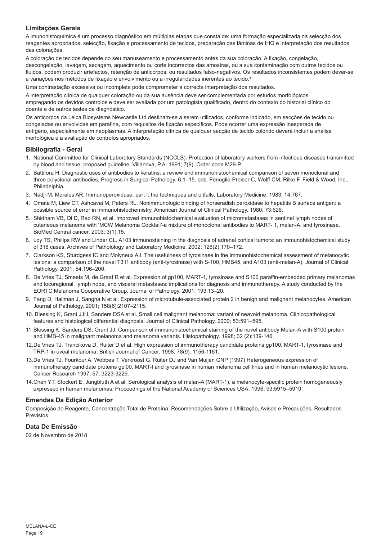## **Limitações Gerais**

A imunohistoquímica é um processo diagnóstico em múltiplas etapas que consta de: uma formação especializada na selecção dos reagentes apropriados, selecção, fixação e processamento de tecidos, preparação das lâminas de IHQ e interpretação dos resultados das colorações.

A coloração de tecidos depende do seu manuseamento e processamento antes da sua coloração. A fixação, congelação, descongelação, lavagem, secagem, aquecimento ou corte incorrectos das amostras, ou a sua contaminação com outros tecidos ou fluidos, podem produzir artefactos, retenção de anticorpos, ou resultados falso-negativos. Os resultados inconsistentes podem dever-se a variações nos métodos de fixação e envolvimento ou a irregularidades inerentes ao tecido.4

Uma contrastação excessiva ou incompleta pode comprometer a correcta interpretação dos resultados.

A interpretação clínica de qualquer coloração ou da sua ausência deve ser complementada por estudos morfológicos empregando os devidos controlos e deve ser avaliada por um patologista qualificado, dentro do contexto do historial clínico do doente e de outros testes de diagnóstico.

Os anticorpos da Leica Biosystems Newcastle Ltd destinam-se a serem utilizados, conforme indicado, em secções de tecido ou congeladas ou envolvidas em parafina, com requisitos de fixação específicos. Pode ocorrer uma expressão inesperada de antígeno, especialmente em neoplasmas. A interpretação clínica de qualquer secção de tecido colorido deverá incluir a análise morfológica e a avaliação de controlos apropriados.

## **Bibliografia - Geral**

- 1. National Committee for Clinical Laboratory Standards (NCCLS). Protection of laboratory workers from infectious diseases transmitted by blood and tissue; proposed guideline. Villanova, P.A. 1991; 7(9). Order code M29-P.
- 2. Battifora H. Diagnostic uses of antibodies to keratins: a review and immunohistochemical comparison of seven monoclonal and three polyclonal antibodies. Progress in Surgical Pathology. 6:1–15. eds. Fenoglio-Preiser C, Wolff CM, Rilke F. Field & Wood, Inc., Philadelphia.
- 3. Nadji M, Morales AR. Immunoperoxidase, part I: the techniques and pitfalls. Laboratory Medicine. 1983; 14:767.
- 4. Omata M, Liew CT, Ashcavai M, Peters RL. Nonimmunologic binding of horseradish peroxidase to hepatitis B surface antigen: a possible source of error in immunohistochemistry. American Journal of Clinical Pathology. 1980; 73:626.
- 5. Shidham VB, Qi D, Rao RN, et al. Improved immunohistochemical evaluation of micrometastases in sentinel lymph nodes of cutaneous melanoma with 'MCW Melanoma Cocktail'-a mixture of monoclonal antibodies to MART- 1, melan-A, and tyrosinase. BioMed Central cancer. 2003; 3(1):15.
- 6. Loy TS, Philips RW and Linder CL. A103 immunostaining in the diagnosis of adrenal cortical tumors: an immunohistochemical study of 316 cases. Archives of Patholology and Laboratory Medicine. 2002; 126(2):170–172.
- 7. Clarkson KS, Sturdgess IC and Molyneux AJ. The usefulness of tyrosinase in the immunohistochemical assessment of melanocytic lesions: a comparison of the novel T311 antibody (anti-tyrosinase) with S-100, HMB45, and A103 (anti-melan-A). Journal of Clinical Pathology. 2001; 54:196–200.
- 8. De Vries TJ, Smeets M, de Graaf R et al. Expression of gp100, MART-1, tyrosinase and S100 paraffin-embedded primary melanomas and locoregional, lymph node, and visceral metastases: implications for diagnosis and immunotherapy. A study conducted by the EORTC Melanoma Cooperative Group. Journal of Pathology. 2001; 193:13–20.
- 9. Fang D, Hallman J, Sangha N et al. Expression of microtubule-associated protein 2 in benign and malignant melanocytes. American Journal of Pathology. 2001; 158(6):2107–2115.
- 10. Blessing K, Grant JJH, Sanders DSA et al. Small cell malignant melanoma: variant of neavoid melanoma. Clinicopathological features and histological differential diagnosis. Journal of Clinical Pathology. 2000; 53:591–595.
- 11.Blessing K, Sanders DS, Grant JJ. Comparison of immunohistochemical staining of the novel antibody Melan-A with S100 protein and HMB-45 in malignant melanoma and melanoma variants. Histopathology. 1998; 32 (2):139-146.
- 12.De Vries TJ, Trancikova D, Ruiter D et al. High expression of immunotherapy candidate proteins gp100, MART-1, tyrosinase and TRP-1 in uveal melanoma. British Journal of Cancer. 1998; 78(9): 1156-1161.
- 13.De Vries TJ, Fourkour A. Wobbes T. Verkroost G. Ruiter DJ and Van Muijen GNP (1997) Heterogeneous expression of immunotherapy candidate proteins gpl00. MART-I and tyrosinase in human melanoma cell lines and in human melanocytic lesions. Cancer Research 1997; 57: 3223-3229.
- 14.Chen YT, Stockert E, Jungbluth A et al. Serological analysis of melan-A (MART-1), a melanocyte-specific protein homogeneously expressed in human melanomas. Proceedings of the National Academy of Sciences USA. 1996; 93:5915–5919.

## **Emendas Da Edição Anterior**

Composição do Reagente, Concentração Total de Proteína, Recomendações Sobre a Utilização, Avisos e Precauções, Resultados Previstos.

## **Data De Emissão**

02 de Novembro de 2018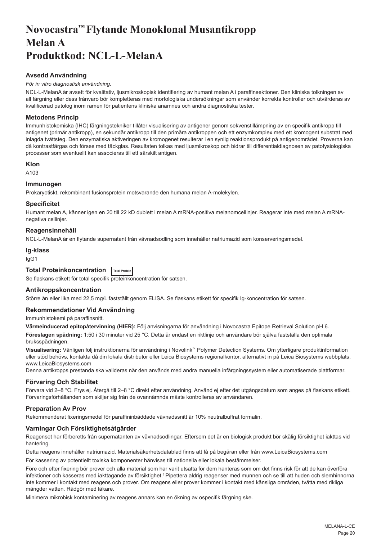## <span id="page-20-0"></span>**Novocastra™ Flytande Monoklonal Musantikropp Melan A Produktkod: NCL-L-MelanA**

## **Avsedd Användning**

#### *För in vitro diagnostisk användning*.

NCL-L-MelanA är avsett för kvalitativ, ljusmikroskopisk identifiering av humant melan A i paraffinsektioner. Den kliniska tolkningen av all färgning eller dess frånvaro bör kompletteras med morfologiska undersökningar som använder korrekta kontroller och utvärderas av kvalificerad patolog inom ramen för patientens kliniska anamnes och andra diagnostiska tester.

## **Metodens Princip**

Immunhistokemiska (IHC) färgningstekniker tillåter visualisering av antigener genom sekvenstillämpning av en specifik antikropp till antigenet (primär antikropp), en sekundär antikropp till den primära antikroppen och ett enzymkomplex med ett kromogent substrat med inlagda tvättsteg. Den enzymatiska aktiveringen av kromogenet resulterar i en synlig reaktionsprodukt på antigenområdet. Proverna kan då kontrastfärgas och förses med täckglas. Resultaten tolkas med ljusmikroskop och bidrar till differentialdiagnosen av patofysiologiska processer som eventuellt kan associeras till ett särskilt antigen.

#### **Klon**

A103

## **Immunogen**

Prokaryotiskt, rekombinant fusionsprotein motsvarande den humana melan A-molekylen.

## **Specificitet**

Humant melan A, känner igen en 20 till 22 kD dublett i melan A mRNA-positiva melanomcellinjer. Reagerar inte med melan A mRNAnegativa cellinjer.

## **Reagensinnehåll**

NCL-L-MelanA är en flytande supernatant från vävnadsodling som innehåller natriumazid som konserveringsmedel.

#### **Ig-klass**

IgG1

| Total Proteinkoncentration   Total Protein |  |  |
|--------------------------------------------|--|--|
|--------------------------------------------|--|--|

Se flaskans etikett för total specifik proteinkoncentration för satsen.

## **Antikroppskoncentration**

Större än eller lika med 22,5 mg/L fastställt genom ELISA. Se flaskans etikett för specifik Ig-koncentration för satsen.

## **Rekommendationer Vid Användning**

Immunhistokemi på paraffinsnitt.

**Värmeinducerad epitopåtervinning (HIER):** Följ anvisningarna för användning i Novocastra Epitope Retrieval Solution pH 6.

**Föreslagen spädning:** 1:50 i 30 minuter vid 25 °C. Detta är endast en riktlinje och användare bör själva fastställa den optimala bruksspädningen.

**Visualisering:** Vänligen följ instruktionerna för användning i Novolink™ Polymer Detection Systems. Om ytterligare produktinformation eller stöd behövs, kontakta då din lokala distributör eller Leica Biosystems regionalkontor, alternativt in på Leica Biosystems webbplats, www.LeicaBiosystems.com

Denna antikropps prestanda ska valideras när den används med andra manuella infärgningssystem eller automatiserade plattformar.

#### **Förvaring Och Stabilitet**

Förvara vid 2–8 °C. Frys ej. Återgå till 2–8 °C direkt efter användning. Använd ej efter det utgångsdatum som anges på flaskans etikett. Förvaringsförhållanden som skiljer sig från de ovannämnda måste kontrolleras av användaren.

## **Preparation Av Prov**

Rekommenderat fixeringsmedel för paraffininbäddade vävnadssnitt är 10% neutralbuffrat formalin.

## **Varningar Och Försiktighetsåtgärder**

Reagenset har förberetts från supernatanten av vävnadsodlingar. Eftersom det är en biologisk produkt bör skälig försiktighet iakttas vid hantering.

Detta reagens innehåller natriumazid. Materialsäkerhetsdatablad finns att få på begäran eller från www.LeicaBiosystems.com

För kassering av potentiellt toxiska komponenter hänvisas till nationella eller lokala bestämmelser.

Före och efter fixering bör prover och alla material som har varit utsatta för dem hanteras som om det finns risk för att de kan överföra infektioner och kasseras med iakttagande av försiktighet.<sup>1</sup> Pipettera aldrig reagenser med munnen och se till att huden och slemhinnorna inte kommer i kontakt med reagens och prover. Om reagens eller prover kommer i kontakt med känsliga områden, tvätta med rikliga mängder vatten. Rådgör med läkare.

Minimera mikrobisk kontaminering av reagens annars kan en ökning av ospecifik färgning ske.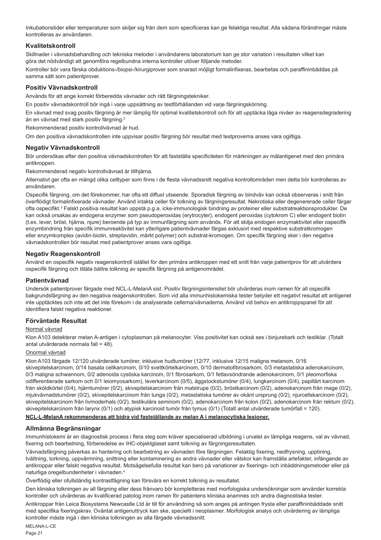Inkubationstider eller temperaturer som skiljer sig från dem som specificeras kan ge felaktiga resultat. Alla sådana förändringar måste kontrolleras av användaren.

## **Kvalitetskontroll**

Skillnader i vävnadsbehandling och tekniska metoder i användarens laboratorium kan ge stor variation i resultaten vilket kan göra det nödvändigt att genomföra regelbundna interna kontroller utöver följande metoder.

Kontroller bör vara färska obduktions-/biopsi-/kirurgiprover som snarast möjligt formalinfixeras, bearbetas och paraffininbäddas på samma sätt som patientprover.

## **Positiv Vävnadskontroll**

Används för att ange korrekt förberedda vävnader och rätt färgningstekniker.

En positiv vävnadskontroll bör ingå i varje uppsättning av testförhållanden vid varje färgningskörning.

En vävnad med svag positiv färgning är mer lämplig för optimal kvalitetskontroll och för att upptäcka låga nivåer av reagensdegradering än en vävnad med stark positiv färgning.<sup>2</sup>

Rekommenderad positiv kontrollvävnad är hud.

Om den positiva vävnadskontrollen inte uppvisar positiv färgning bör resultat med testproverna anses vara ogiltiga.

## **Negativ Vävnadskontroll**

Bör undersökas efter den positiva vävnadskontrollen för att fastställa specificiteten för märkningen av målantigenet med den primära antikroppen

Rekommenderad negativ kontrollvävnad är lillhjärna.

Alternativt ger ofta en mängd olika celltyper som finns i de flesta vävnadssnitt negativa kontrollområden men detta bör kontrolleras av användaren.

Ospecifik färgning, om det förekommer, har ofta ett diffust utseende. Sporadisk färgning av bindväv kan också observeras i snitt från överflödigt formalinfixerade vävnader. Använd intakta celler för tolkning av färgningsresultat. Nekrotiska eller degenererade celler färgar ofta ospecifikt.<sup>s</sup> Falskt positiva resultat kan uppstå p.g.a. icke-immunologisk bindning av proteiner eller substratreaktionsprodukter. De kan också orsakas av endogena enzymer som pseudoperoxidas (erytrocyter), endogent peroxidas (cytokrom C) eller endogent biotin (t.ex. lever, bröst, hjärna, njure) beroende på typ av immunfärgning som används. För att skilja endogen enzymaktivitet eller ospecifik enzymbindning från specifik immunreaktivitet kan ytterligare patientvävnader färgas exklusivt med respektive substratkromogen eller enzymkomplex (avidin-biotin, streptavidin, märkt polymer) och substrat-kromogen. Om specifik färgning sker i den negativa vävnadskontrollen bör resultat med patientprover anses vara ogiltiga.

## **Negativ Reagenskontroll**

Använd en ospecifik negativ reagenskontroll istället för den primära antikroppen med ett snitt från varje patientprov för att utvärdera ospecifik färgning och tillåta bättre tolkning av specifik färgning på antigenområdet.

#### **Patientvävnad**

Undersök patientprover färgade med NCL-L-MelanA sist. Positiv färgningsintensitet bör utvärderas inom ramen för all ospecifik bakgrundsfärgning av den negativa reagenskontrollen. Som vid alla immunhistokemiska tester betyder ett negativt resultat att antigenet inte upptäcktes och inte att det inte förekom i de analyserade cellerna/vävnaderna. Använd vid behov en antikroppspanel för att identifiera falskt negativa reaktioner.

## **Förväntade Resultat**

#### Normal vävnad

Klon A103 detekterar melan A-antigen i cytoplasman på melanocyter. Viss positivitet kan också ses i binjurebark och testiklar. (Totalt antal utvärderade normala fall = 48).

## Onormal vävnad

Klon A103 färgade 12/120 utvärderade tumörer, inklusive hudtumörer (12/77, inklusive 12/15 maligna melanom, 0/16 skivepitelskarcinom, 0/14 basala cellkarcinom, 0/10 svettkörtelkarcinom, 0/10 dermatofibrosarkom, 0/3 metastatiska adenokarcinom, 0/3 maligna schwannom, 0/2 adenoida cystiska karcinom, 0/1 fibrosarkom, 0/1 fettavsöndrande adenokarcinom, 0/1 pleomorfiska odifferentierade sarkom och 0/1 leiomyosarkom), leverkarcinom (0/5), äggstockstumörer (0/4), lungkarcinom (0/4), papillärt karcinom från sköldkörtel (0/4), hjärntumörer (0/2), skivepitelskarcinom från matstrupe (0/2), bröstkarcinom (0/2), adenokarcinom från mage (0/2), mjukvävnadstumörer (0/2), skivepitelskarcinom från tunga (0/2), metastatiska tumörer av okänt ursprung (0/2), njurcellskarcinom (0/2), skivepitelskarcinom från livmoderhals (0/2), testikulära seminom (0/2), adenokarcinom från kolon (0/2), adenokarcinom från rektum (0/2), skivepitelskarcinom från larynx (0/1) och atypisk karcinoid tumör från tymus (0/1) (Totalt antal utvärderade tumörfall = 120).

## **NCL-L-MelanA rekommenderas att bidra vid fastställande av melan A i melanocytiska lesioner.**

## **Allmänna Begränsningar**

Immunhistokemi är en diagnostisk process i flera steg som kräver specialiserad utbildning i urvalet av lämpliga reagens, val av vävnad, fixering och bearbetning, förberedelse av IHC-objektglaset samt tolkning av färgningsresultaten.

Vävnadsfärgning påverkas av hantering och bearbetning av vävnaden före färgningen. Felaktig fixering, nedfrysning, upptining, tvättning, torkning, uppvärmning, snittning eller kontaminering av andra vävnader eller vätskor kan framställa artefakter, infångande av antikroppar eller falskt negativa resultat. Motsägelsefulla resultat kan bero på variationer av fixerings- och inbäddningsmetoder eller på naturliga oregelbundenheter i vävnaden.4

Överflödig eller ofullständig kontrastfägning kan försvåra en korrekt tolkning av resultatet.

Den kliniska tolkningen av all färgning eller dess frånvaro bör kompletteras med morfologiska undersökningar som använder korrekta kontroller och utvärderas av kvalificerad patolog inom ramen för patientens kliniska anamnes och andra diagnostiska tester.

Antikroppar från Leica Biosystems Newcastle Ltd är till för användning så som anges på antingen frysta eller paraffininbäddade snitt med specifika fixeringskrav. Oväntat antigenuttryck kan ske, speciellt i neoplasmer. Morfologisk analys och utvärdering av lämpliga kontroller måste ingå i den kliniska tolkningen av alla färgade vävnadssnitt.

MELANA-L-CE Page 21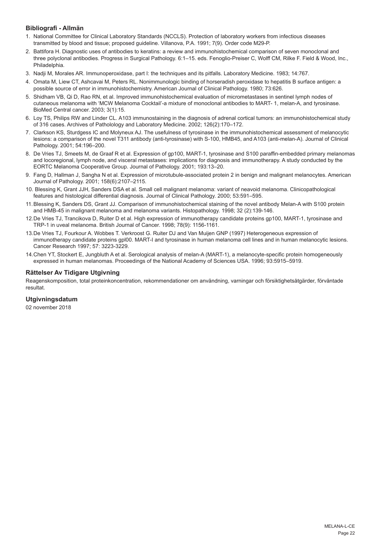## **Bibliografi - Allmän**

- 1. National Committee for Clinical Laboratory Standards (NCCLS). Protection of laboratory workers from infectious diseases transmitted by blood and tissue; proposed guideline. Villanova, P.A. 1991; 7(9). Order code M29-P.
- 2. Battifora H. Diagnostic uses of antibodies to keratins: a review and immunohistochemical comparison of seven monoclonal and three polyclonal antibodies. Progress in Surgical Pathology. 6:1–15. eds. Fenoglio-Preiser C, Wolff CM, Rilke F. Field & Wood, Inc., Philadelphia.
- 3. Nadji M, Morales AR. Immunoperoxidase, part I: the techniques and its pitfalls. Laboratory Medicine. 1983; 14:767.
- 4. Omata M, Liew CT, Ashcavai M, Peters RL. Nonimmunologic binding of horseradish peroxidase to hepatitis B surface antigen: a possible source of error in immunohistochemistry. American Journal of Clinical Pathology. 1980; 73:626.
- 5. Shidham VB, Qi D, Rao RN, et al. Improved immunohistochemical evaluation of micrometastases in sentinel lymph nodes of cutaneous melanoma with 'MCW Melanoma Cocktail'-a mixture of monoclonal antibodies to MART- 1, melan-A, and tyrosinase. BioMed Central cancer. 2003; 3(1):15.
- 6. Loy TS, Philips RW and Linder CL. A103 immunostaining in the diagnosis of adrenal cortical tumors: an immunohistochemical study of 316 cases. Archives of Patholology and Laboratory Medicine. 2002; 126(2):170–172.
- 7. Clarkson KS, Sturdgess IC and Molyneux AJ. The usefulness of tyrosinase in the immunohistochemical assessment of melanocytic lesions: a comparison of the novel T311 antibody (anti-tyrosinase) with S-100, HMB45, and A103 (anti-melan-A). Journal of Clinical Pathology. 2001; 54:196–200.
- 8. De Vries TJ, Smeets M, de Graaf R et al. Expression of gp100, MART-1, tyrosinase and S100 paraffin-embedded primary melanomas and locoregional, lymph node, and visceral metastases: implications for diagnosis and immunotherapy. A study conducted by the EORTC Melanoma Cooperative Group. Journal of Pathology. 2001; 193:13–20.
- 9. Fang D, Hallman J, Sangha N et al. Expression of microtubule-associated protein 2 in benign and malignant melanocytes. American Journal of Pathology. 2001; 158(6):2107–2115.
- 10. Blessing K, Grant JJH, Sanders DSA et al. Small cell malignant melanoma: variant of neavoid melanoma. Clinicopathological features and histological differential diagnosis. Journal of Clinical Pathology. 2000; 53:591–595.
- 11.Blessing K, Sanders DS, Grant JJ. Comparison of immunohistochemical staining of the novel antibody Melan-A with S100 protein and HMB-45 in malignant melanoma and melanoma variants. Histopathology. 1998; 32 (2):139-146.
- 12.De Vries TJ, Trancikova D, Ruiter D et al. High expression of immunotherapy candidate proteins gp100, MART-1, tyrosinase and TRP-1 in uveal melanoma. British Journal of Cancer. 1998; 78(9): 1156-1161.
- 13.De Vries TJ, Fourkour A. Wobbes T. Verkroost G. Ruiter DJ and Van Muijen GNP (1997) Heterogeneous expression of immunotherapy candidate proteins gpl00. MART-I and tyrosinase in human melanoma cell lines and in human melanocytic lesions. Cancer Research 1997; 57: 3223-3229.
- 14.Chen YT, Stockert E, Jungbluth A et al. Serological analysis of melan-A (MART-1), a melanocyte-specific protein homogeneously expressed in human melanomas. Proceedings of the National Academy of Sciences USA. 1996; 93:5915–5919.

## **Rättelser Av Tidigare Utgivning**

Reagenskomposition, total proteinkoncentration, rekommendationer om användning, varningar och försiktighetsåtgärder, förväntade resultat.

## **Utgivningsdatum**

02 november 2018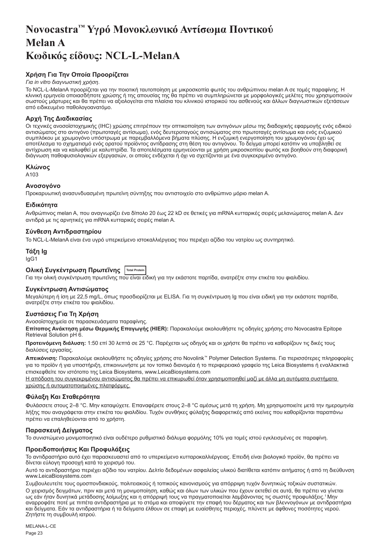## <span id="page-23-0"></span>**Novocastra™ Υγρό Μονοκλωνικό Αντίσωμα Ποντικού Melan A Κωδικός είδους: NCL-L-MelanA**

## **Χρήση Για Την Οποία Προορίζεται**

### *Για in vitro διαγνωστική χρήση*.

Το NCL-L-MelanA προορίζεται για την ποιοτική ταυτοποίηση με μικροσκοπία φωτός του ανθρώπινου melan A σε τομές παραφίνης. Η κλινική ερμηνεία οποιασδήποτε χρώσης ή της απουσίας της θα πρέπει να συμπληρώνεται με μορφολογικές μελέτες που χρησιμοποιούν σωστούς μάρτυρες και θα πρέπει να αξιολογείται στα πλαίσια του κλινικού ιστορικού του ασθενούς και άλλων διαγνωστικών εξετάσεων από ειδικευμένο παθολογοανατόμο.

## **Αρχή Της Διαδικασίας**

Οι τεχνικές ανοσοϊστοχημικής (IHC) χρώσης επιτρέπουν την οπτικοποίηση των αντιγόνων μέσω της διαδοχικής εφαρμογής ενός ειδικού αντισώματος στο αντιγόνο (πρωτοταγές αντίσωμα), ενός δευτεροταγούς αντισώματος στο πρωτοταγές αντίσωμα και ενός ενζυμικού συμπλόκου με χρωμογόνο υπόστρωμα με παρεμβαλλόμενα βήματα πλύσης. Η ενζυμική ενεργοποίηση του χρωμογόνου έχει ως αποτέλεσμα το σχηματισμό ενός ορατού προϊόντος αντίδρασης στη θέση του αντιγόνου. Το δείγμα μπορεί κατόπιν να υποβληθεί σε αντίχρωση και να καλυφθεί με καλυπτρίδα. Τα αποτελέσματα ερμηνεύονται με χρήση μικροσκοπίου φωτός και βοηθούν στη διαφορική διάγνωση παθοφυσιολογικών εξεργασιών, οι οποίες ενδέχεται ή όχι να σχετίζονται με ένα συγκεκριμένο αντιγόνο.

#### **Κλώνος**

A103

## **Ανοσογόνο**

Προκαρυωτική ανασυνδυασμένη πρωτεϊνη σύντηξης που αντιστοιχείο στο ανθρώπινο μόριο melan A.

#### **Ειδικότητα**

Ανθρώπινος melan A, που αναγνωρίζει ένα δίπολο 20 έως 22 kD σε θετικές για mRNA κυτταρικές σειρές μελανώματος melan A. Δεν αντιδρά με τις αρνητικές για mRNA κυτταρικές σειρές melan A.

## **Σύνθεση Αντιδραστηρίου**

Το NCL-L-MelanA είναι ένα υγρό υπερκείμενο ιστοκαλλιέργειας που περιέχει αζίδιο του νατρίου ως συντηρητικό.

## **Τάξη Ig**

IgG1

## **Ολική Συγκέντρωση Πρωτεΐνης Total Protein**

Για την ολική συγκέντρωση πρωτεΐνης που είναι ειδική για την εκάστοτε παρτίδα, ανατρέξτε στην ετικέτα του φιαλιδίου.

#### **Συγκέντρωση Αντισώματος**

Μεγαλύτερη ή ίση με 22,5 mg/L, όπως προσδιορίζεται με ELISA. Για τη συγκέντρωση Ig που είναι ειδική για την εκάστοτε παρτίδα, ανατρέξτε στην ετικέτα του φιαλιδίου.

## **Συστάσεις Για Τη Χρήση**

Ανοσοϊστοχημεία σε παρασκευάσματα παραφίνης.

**Επίτοπος Ανάκτηση μέσω Θερμικής Επαγωγής (HIER):** Παρακαλούμε ακολουθήστε τις οδηγίες χρήσης στο Novocastra Epitope Retrieval Solution pH 6.

**Προτεινόμενη διάλυση:** 1:50 επί 30 λεπτά σε 25 °C. Παρέχεται ως οδηγός και οι χρήστε θα πρέπει να καθορίζουν τις δικές τους διαλύσεις εργασίας.

**Απεικόνιση:** Παρακαλούμε ακολουθήστε τις οδηγίες χρήσης στο Novolink™ Polymer Detection Systems. Για περισσότερες πληροφορίες για το προϊόν ή για υποστήριξη, επικοινωνήστε με τον τοπικό διανομέα ή το περιφερειακό γραφείο της Leica Biosystems ή εναλλακτικά επισκεφθείτε τον ιστότοπο της Leica Biosystems, www.LeicaBiosystems.com

Η απόδοση του συγκεκριμένου αντισώματος θα πρέπει να επικυρωθεί όταν χρησιμοποιηθεί μαζί με άλλα μη αυτόματα συστήματα χρώσης ή αυτοματοποιημένες πλατφόρμες.

## **Φύλαξη Και Σταθερότητα**

Φυλάσσετε στους 2–8 °C. Μην καταψύχετε. Επαναφέρετε στους 2–8 °C αμέσως μετά τη χρήση. Μη χρησιμοποιείτε μετά την ημερομηνία λήξης που αναγράφεται στην ετικέτα του φιαλιδίου. Τυχόν συνθήκες φύλαξης διαφορετικές από εκείνες που καθορίζονται παραπάνω πρέπει να επαληθεύονται από το χρήστη.

## **Παρασκευή Δείγματος**

Το συνιστώμενο μονιμοποιητικό είναι ουδέτερο ρυθμιστικό διάλυμα φορμόλης 10% για τομές ιστού εγκλεισμένες σε παραφίνη.

#### **Προειδοποιήσεις Και Προφυλάξεις**

Το αντιδραστήριο αυτό έχει παρασκευαστεί από το υπερκείμενο κυτταροκαλλιέργειας. Επειδή είναι βιολογικό προϊόν, θα πρέπει να δίνεται εύλογη προσοχή κατά το χειρισμό του.

Αυτό το αντιδραστήριο περιέχει αζίδιο του νατρίου. Δελτίο δεδομένων ασφαλείας υλικού διατίθεται κατόπιν αιτήματος ή από τη διεύθυνση www.LeicaBiosystems.com

Συμβουλευτείτε τους ομοσπονδιακούς, πολιτειακούς ή τοπικούς κανονισμούς για απόρριψη τυχόν δυνητικώς τοξικών συστατικών. Ο χειρισμός δειγμάτων, πριν και μετά τη μονιμοποίηση, καθώς και όλων των υλικών που έχουν εκτεθεί σε αυτά, θα πρέπει να γίνεται ως εάν ήταν δυνητικά μετάδοσης λοίμωξης και η απόρριψή τους να πραγματοποιείται λαμβάνοντας τις σωστές προφυλάξεις.<sup>1</sup>Μην αναρροφάτε ποτέ με πιπέτα αντιδραστήρια με το στόμα και αποφύγετε την επαφή του δέρματος και των βλεννογόνων με αντιδραστήρια και δείγματα. Εάν τα αντιδραστήρια ή τα δείγματα έλθουν σε επαφή με ευαίσθητες περιοχές, πλύνετε με άφθονες ποσότητες νερού. Ζητήστε τη συμβουλή ιατρού.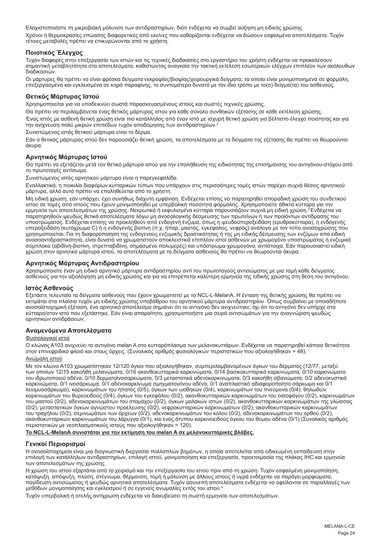Ελαχιστοποιήστε τη μικροβιακή μόλυνση των αντιδραστηρίων, διότι ενδέχεται να συμβεί αύξηση μη ειδικής χρώσης. Χρόνοι ή θερμοκρασίες επώασης διαφορετικές από εκείνες που καθορίζονται ενδέχεται να δώσουν εσφαλμένα αποτελέσματα. Τυχόν τέτοιες μεταβολές πρέπει να επικυρώνονται από το χρήστη.

## **Ποιοτικός Έλεγχος**

Τυχόν διαφορές στην επεξεργασία των ιστών και τις τεχνικές διαδικασίες στο εργαστήριο του χρήστη ενδέχεται να προκαλέσουν σημαντική μεταβλητότητα στα αποτελέσματα, καθιστώντας αναγκαία την τακτική εκτέλεση εσωτερικών ελέγχων επιπλέον των ακόλουθων διαδικασιών.

Οι μάρτυρες θα πρέπει να είναι φρέσκα δείγματα νεκροψίας/βιοψίας/χειρουργικά δείγματα, τα οποία είναι μονιμοποιημένα σε φορμόλη, επεξεργασμένα και εγκλεισμένα σε κηρό παραφίνης, το συντομότερο δυνατό με τον ίδιο τρόπο με το(α) δείγμα(τα) του ασθενούς.

## **Θετικός Μάρτυρας Ιστού**

Χρησιμοποιείται για να υποδεικνύει σωστά παρασκευασμένους ιστούς και σωστές τεχνικές χρώσης.

Θα πρέπει να περιλαμβάνεται ένας θετικός μάρτυρας ιστού για κάθε σύνολο συνθηκών εξέτασης σε κάθε εκτέλεση χρώσης.

Ένας ιστός με ασθενή θετική χρώση είναι πιο κατάλληλος από έναν ιστό με ισχυρή θετική χρώση για βέλτιστο έλεγχο ποιότητας και για την ανίχνευση πολύ μικρών επιπέδων τυχόν αποδόμησης των αντιδραστηρίων.<sup>2</sup>

Συνιστώμενος ιστός θετικού μάρτυρα είναι το δέρμα.

Εάν ο θετικός μάρτυρας ιστού δεν παρουσιάζει θετική χρώση, τα αποτελέσματα με τα δείγματα της εξέτασης θα πρέπει να θεωρούνται άκυρα.

## **Αρνητικός Μάρτυρας Ιστού**

Θα πρέπει να εξετάζεται μετά τον θετικό μάρτυρα ιστού για την επαλήθευση της ειδικότητας της επισήμανσης του αντιγόνου-στόχου από το πρωτοταγές αντίσωμα.

Συνιστώμενος ιστός αρνητικού μάρτυρα είναι η παρεγκεφαλίδα.

Εναλλακτικά, η ποικιλία διαφόρων κυτταρικών τύπων που υπάρχουν στις περισσότερες τομές ιστών παρέχει συχνά θέσεις αρνητικού μάρτυρα, αλλά αυτό πρέπει να επαληθεύεται από το χρήστη.

Μη ειδική χρώση, εάν υπάρχει, έχει συνήθως διάχυτη εμφάνιση. Ενδέχεται επίσης να παρατηρηθεί σποραδική χρώση του συνδετικού ιστού σε τομές από ιστούς που έχουν μονιμοποιηθεί με υπερβολική ποσότητα φορμόλης. Χρησιμοποιείτε άθικτα κύτταρα για την<br>ερμηνεία των αποτελεσμάτων της χρώσης. Νεκρωτικά ή εκφυλισμένα κύτταρα παρουσιάζουν συχνά μη ειδική παρατηρηθούν ψευδώς θετικά αποτελέσματα λόγω μη ανοσολογικής δέσμευσης των πρωτεϊνών ή των προϊόντων αντίδρασης του υποστρώματος. Ενδέχεται επίσης να προκληθούν από ενδογενή ένζυμα, όπως η ψευδοϋπεροξειδάση (ερυθροκύτταρα), η ενδογενής υπεροξειδάση (κυτόχρωμα C) ή η ενδογενής βιοτίνη (π.χ. ήπαρ, μαστός, εγκέφαλος, νεφρός) ανάλογα με τον τύπο ανοσοχρώσης που χρησιμοποιείται. Για τη διαφοροποίηση της ενδογενούς ενζυμικής δραστικότητας ή της μη ειδικής δέσμευσης των ενζύμων από ειδική ανοσοαντιδραστικότητα, είναι δυνατό να χρωματιστούν αποκλειστικά επιπλέον ιστοί ασθενών με χρωμογόνο υποστρώματος ή ενζυμικά σύμπλοκα (αβιδίνη-βιοτίνη, στρεπταβιδίνη, σημασμένο πολυμερές) και υπόστρωμα-χρωμογόνο, αντίστοιχα. Εάν παρουσιαστεί ειδική χρώση στον αρνητικό μάρτυρα ιστού, τα αποτελέσματα με τα δείγματα ασθενούς θα πρέπει να θεωρούνται άκυρα.

## **Αρνητικός Μάρτυρας Αντιδραστηρίου**

Χρησιμοποιείτε έναν μη ειδικό αρνητικό μάρτυρα αντιδραστηρίου αντί του πρωτοταγούς αντισώματος με μια τομή κάθε δείγματος<br>ασθενούς για την αξιολόγηση μη ειδικής χρώσης και για να επιτρέπεται καλύτερη ερμηνεία της ειδικής

## **Ιστός Ασθενούς**

Εξετάστε τελευταία τα δείγματα ασθενούς που έχουν χρωματιστεί με το NCL-L-MelanA. Η ένταση της θετικής χρώσης θα πρέπει να εκτιμάται στα πλαίσια τυχόν μη ειδικής χρώσης υποβάθρου του αρνητικού μάρτυρα αντιδραστηρίου. Όπως συμβαίνει με οποιαδήποτε ανοσοϊστοχημική εξέταση, ένα αρνητικό αποτέλεσμα σημαίνει ότι το αντιγόνο δεν ανιχνεύτηκε, όχι ότι το αντιγόνο δεν υπήρχε στα κύτταρα/στον ιστό που εξετάστηκε. Εάν είναι απαραίτητο, χρησιμοποιήστε μια σειρά αντισωμάτων για την αναγνώριση ψευδώς αρνητικών αντιδράσεων.

## **Αναμενόμενα Αποτελέσματα**

#### Φυσιολογικοί ιστοί

Ο κλώνος A103 ανιχνεύει το αντιγόνο melan A στο κυτταρόπλασμα των μελανοκυττάρων. Ενδέχεται να παρατηρηθεί κάποια θετικότητα στον επινεφριδικό φλοιό και στους όρχεις. (Συνολικός αριθμός φυσιολογικών περιστατικών που αξιολογήθηκαν = 48).

## Ανώμαλη ιστού

Με τον κλώνο A103 χρωματίστηκαν 12/120 όγκοι που αξιολογήθηκαν, συμπεριλαμβανομένων όγκων του δέρματος (12/77, μεταξύ των οποίων 12/15 κακοήθη μελανώματα, 0/16 ακανθοκυτταρικά καρκινώματα, 0/14 βασικοκυτταρικά καρκινώματα, 0/10 καρκινώματα του ιδρωτοποιού αδένα, 0/10 δερματοϊνοσαρκώματα, 0/3 μεταστατικά αδενοκαρκινώματα, 0/3 κακοήθη σβανώματα, 0/2 αδενοκυστικά καρκινώματα, 0/1 ινοσάρκωμα, 0/1 αδενοκαρκίνωμα σμηγματογόνου αδένα, 0/1 αναπλαστικό αδιαφοροποίητο σάρκωμα και 0/1 λειομυοσάρκωμα), καρκινωμάτων του ήπατος (0/5), όγκων των ωοθηκών (0/4), καρκινωμάτων του πνεύμονα (0/4), θηλωδών καρκινωμάτων του θυρεοειδούς (0/4), όγκων του εγκεφάλου (0/2), ακανθοκυτταρικών καρκινωμάτων του οισοφάγου (0/2), καρκινωμάτων του μαστού (0/2), αδενοκαρκινωμάτων του στομάχου (0/2), όγκων μαλακών ιστών (0/2), ακανθοκυτταρικών καρκινωμάτων της γλώσσας (0/2), μεταστατικών όγκων αγνώστου προέλευσης (0/2), νεφροκυτταρικών καρκινωμάτων (0/2), ακανθοκυτταρικών καρκινωμάτων του τραχήλου (0/2), σεμινωμάτων των όρχεων (0/2), αδενοκαρκινωμάτων του κόλου (0/2), αδενοκαρκινωμάτων του ορθού (0/2), ακανθοκυτταρικών καρκινωμάτων του λάρυγγα (0/1), και ενός άτυπου καρκινοειδούς όγκου του θύμου αδένα (0/1) (Συνολικός αριθμός περιστατικών με νεοπλασματικούς ιστούς που αξιολογήθηκαν = 120).

## **Το NCL-L-MelanA συνιστάται για την εκτίμηση του melan A σε μελανοκυτταρικές βλάβες.**

## **Γενικοί Περιορισμοί**

Η ανοσοϊστοχημεία είναι μια διαγνωστική διεργασία πολλαπλών βημάτων, η οποία αποτελείται από ειδικευμένη εκπαίδευση στην επιλογή των κατάλληλων αντιδραστηρίων, επιλογή ιστού, μονιμοποίηση και επεξεργασία, προετοιμασία της πλάκας IHC και ερμηνεία των αποτελεσμάτων της χρώσης.

Η χρώση του ιστού εξαρτάται από το χειρισμό και την επεξεργασία του ιστού πριν από τη χρώση. Τυχόν εσφαλμένη μονιμοποίηση, κατάψυξη, απόψυξη, πλύση, στέγνωμα, θέρμανση, τομή ή μόλυνση με άλλους ιστούς ή υγρά ενδέχεται να παράγει μορφώματα, παγίδευση αντισώματος ή ψευδώς αρνητικά αποτελέσματα. Τυχόν ασυνεπή αποτελέσματα ενδέχεται να οφείλονται σε παραλλαγές των μεθόδων μονιμοποίησης και εγκλεισμού ή σε εγγενείς ανωμαλίες εντός του ιστού.4

Τυχόν υπερβολική ή ατελής αντίχρωση ενδέχεται να διακυβεύσει τη σωστή ερμηνεία των αποτελεσμάτων.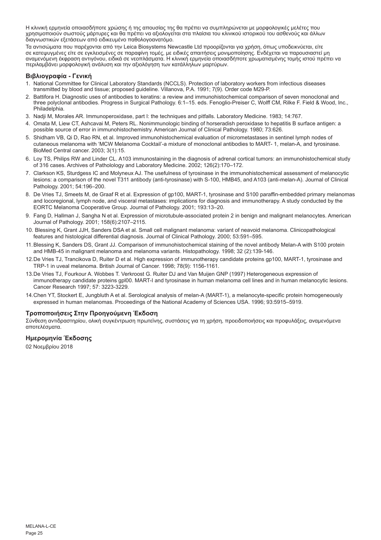Η κλινική ερμηνεία οποιασδήποτε χρώσης ή της απουσίας της θα πρέπει να συμπληρώνεται με μορφολογικές μελέτες που χρησιμοποιούν σωστούς μάρτυρες και θα πρέπει να αξιολογείται στα πλαίσια του κλινικού ιστορικού του ασθενούς και άλλων διαγνωστικών εξετάσεων από ειδικευμένο παθολογοανατόμο.

Τα αντισώματα που παρέχονται από την Leica Biosystems Newcastle Ltd προορίζονται για χρήση, όπως υποδεικνύεται, είτε σε κατεψυγμένες είτε σε εγκλεισμένες σε παραφίνη τομές, με ειδικές απαιτήσεις μονιμοποίησης. Ενδέχεται να παρουσιαστεί μη<br>αναμενόμενη έκφραση αντιγόνου, ειδικά σε νεοπλάσματα. Η κλινική ερμηνεία οποιασδήποτε χρωματισμένης περιλαμβάνει μορφολογική ανάλυση και την αξιολόγηση των κατάλληλων μαρτύρων.

### **Βιβλιογραφία - Γενική**

- 1. National Committee for Clinical Laboratory Standards (NCCLS). Protection of laboratory workers from infectious diseases transmitted by blood and tissue; proposed guideline. Villanova, P.A. 1991; 7(9). Order code M29-P.
- 2. Battifora H. Diagnostic uses of antibodies to keratins: a review and immunohistochemical comparison of seven monoclonal and three polyclonal antibodies. Progress in Surgical Pathology. 6:1–15. eds. Fenoglio-Preiser C, Wolff CM, Rilke F. Field & Wood, Inc., Philadelphia.
- 3. Nadji M, Morales AR. Immunoperoxidase, part I: the techniques and pitfalls. Laboratory Medicine. 1983; 14:767.
- 4. Omata M, Liew CT, Ashcavai M, Peters RL. Nonimmunologic binding of horseradish peroxidase to hepatitis B surface antigen: a possible source of error in immunohistochemistry. American Journal of Clinical Pathology. 1980; 73:626.
- 5. Shidham VB, Qi D, Rao RN, et al. Improved immunohistochemical evaluation of micrometastases in sentinel lymph nodes of cutaneous melanoma with 'MCW Melanoma Cocktail'-a mixture of monoclonal antibodies to MART- 1, melan-A, and tyrosinase. BioMed Central cancer. 2003; 3(1):15.
- 6. Loy TS, Philips RW and Linder CL. A103 immunostaining in the diagnosis of adrenal cortical tumors: an immunohistochemical study of 316 cases. Archives of Patholology and Laboratory Medicine. 2002; 126(2):170–172.
- 7. Clarkson KS, Sturdgess IC and Molyneux AJ. The usefulness of tyrosinase in the immunohistochemical assessment of melanocytic lesions: a comparison of the novel T311 antibody (anti-tyrosinase) with S-100, HMB45, and A103 (anti-melan-A). Journal of Clinical Pathology. 2001; 54:196–200.
- 8. De Vries TJ, Smeets M, de Graaf R et al. Expression of gp100, MART-1, tyrosinase and S100 paraffin-embedded primary melanomas and locoregional, lymph node, and visceral metastases: implications for diagnosis and immunotherapy. A study conducted by the EORTC Melanoma Cooperative Group. Journal of Pathology. 2001; 193:13–20.
- 9. Fang D, Hallman J, Sangha N et al. Expression of microtubule-associated protein 2 in benign and malignant melanocytes. American Journal of Pathology. 2001; 158(6):2107–2115.
- 10. Blessing K, Grant JJH, Sanders DSA et al. Small cell malignant melanoma: variant of neavoid melanoma. Clinicopathological features and histological differential diagnosis. Journal of Clinical Pathology. 2000; 53:591–595.
- 11.Blessing K, Sanders DS, Grant JJ. Comparison of immunohistochemical staining of the novel antibody Melan-A with S100 protein and HMB-45 in malignant melanoma and melanoma variants. Histopathology. 1998; 32 (2):139-146.
- 12.De Vries TJ, Trancikova D, Ruiter D et al. High expression of immunotherapy candidate proteins gp100, MART-1, tyrosinase and TRP-1 in uveal melanoma. British Journal of Cancer. 1998; 78(9): 1156-1161.
- 13.De Vries TJ, Fourkour A. Wobbes T. Verkroost G. Ruiter DJ and Van Muijen GNP (1997) Heterogeneous expression of immunotherapy candidate proteins gpl00. MART-I and tyrosinase in human melanoma cell lines and in human melanocytic lesions. Cancer Research 1997; 57: 3223-3229.
- 14.Chen YT, Stockert E, Jungbluth A et al. Serological analysis of melan-A (MART-1), a melanocyte-specific protein homogeneously expressed in human melanomas. Proceedings of the National Academy of Sciences USA. 1996; 93:5915–5919.

#### **Τροποποιήσεις Στην Προηγούμενη Έκδοση**

Σύνθεση αντιδραστηρίου, ολική συγκέντρωση πρωτεϊνης, συστάσεις για τη χρήση, προειδοποιήσεις και προφυλάξεις, αναμενόμενα αποτελέσματα.

#### **Ημερομηνία Έκδοσης**

02 Νοεμβρίου 2018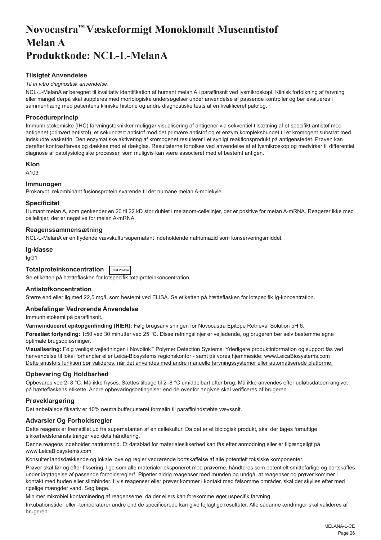## <span id="page-26-0"></span>**Novocastra™ Væskeformigt Monoklonalt Museantistof Melan A Produktkode: NCL-L-MelanA**

## **Tilsigtet Anvendelse**

#### *Til in vitro diagnostisk anvendelse*.

NCL-L-MelanA er beregnet til kvalitativ identifikation af humant melan A i paraffinsnit ved lysmikroskopi. Klinisk fortolkning af farvning eller mangel derpå skal suppleres med morfologiske undersøgelser under anvendelse af passende kontroller og bør evalueres i sammenhæng med patientens kliniske historie og andre diagnostiske tests af en kvalificeret patolog.

## **Procedureprincip**

Immunhistokemiske (IHC) farvningsteknikker muliggør visualisering af antigener via sekventiel tilsætning af et specifikt antistof mod antigenet (primært antistof), et sekundært antistof mod det primære antistof og et enzym kompleksbundet til et kromogent substrat med indskudte vasketrin. Den enzymatiske aktivering af kromogenet resulterer i et synligt reaktionsprodukt på antigenstedet. Prøven kan derefter kontrastfarves og dækkes med et dækglas. Resultaterne fortolkes ved anvendelse af et lysmikroskop og medvirker til differentiel diagnose af patofysiologiske processer, som muligvis kan være associeret med et bestemt antigen.

#### **Klon**

A103

## **Immunogen**

Prokaryot, rekombinant fusionsprotein svarende til det humane melan A-molekyle.

#### **Specificitet**

Humant melan A, som genkender en 20 til 22 kD stor dublet i melanom-cellelinjer, der er positive for melan A-mRNA. Reagerer ikke med cellelinjer, der er negative for melan A-mRNA.

## **Reagenssammensætning**

NCL-L-MelanA er en flydende vævskultursupernatant indeholdende natriumazid som konserveringsmiddel.

#### **Ig-klasse**

IgG1

## **Totalproteinkoncentration Total Protein**

Se etiketten på hætteflasken for lotspecifik totalproteinkoncentration.

## **Antistofkoncentration**

Større end eller lig med 22,5 mg/L som bestemt ved ELISA. Se etiketten på hætteflasken for lotspecifik Ig-koncentration.

## **Anbefalinger Vedrørende Anvendelse**

Immunhistokemi på paraffinsnit.

**Varmeinduceret epitopgenfinding (HIER):** Følg brugsanvisningen for Novocastra Epitope Retrieval Solution pH 6.

**Foreslået fortynding:** 1:50 ved 30 minutter ved 25 °C. Disse retningslinjer er vejledende, og brugeren bør selv bestemme egne optimale brugsopløsninger.

**Visualisering:** Følg venligst vejledningen i Novolink™ Polymer Detection Systems. Yderligere produktinformation og support fås ved henvendelse til lokal forhandler eller Leica-Biosystems regionskontor - samt på vores hjemmeside: www.LeicaBiosystems.com Dette antistofs funktion bør valideres, når det anvendes med andre manuelle farvningssystemer eller automatiserede platforme.

## **Opbevaring Og Holdbarhed**

Opbevares ved 2–8 °C. Må ikke fryses. Sættes tilbage til 2–8 °C umiddelbart efter brug. Må ikke anvendes efter udløbsdatoen angivet på hætteflaskens etikette. Andre opbevaringsbetingelser end de ovenfor angivne skal verificeres af brugeren.

## **Prøveklargøring**

Det anbefalede fiksativ er 10% neutralbufferjusteret formalin til paraffinindstøbte vævssnit.

## **Advarsler Og Forholdsregler**

Dette reagens er fremstillet ud fra supernatanten af en cellekultur. Da det er et biologisk produkt, skal der tages fornuftige sikkerhedsforanstaltninger ved dets håndtering.

Denne reagens indeholder natriumazid. Et datablad for materialesikkerhed kan fås efter anmodning eller er tilgængeligt på www.LeicaBiosystems.com

Konsulter landsdækkende og lokale love og regler vedrørende bortskaffelse af alle potentielt toksiske komponenter.

Prøver skal før og efter fiksering, lige som alle materialer eksponeret mod prøverne, håndteres som potentielt smittefarlige og bortskaffes under iagttagelse af passende forholdsregler<sup>ı</sup>. Pipetter aldrig reagenser med munden og undgå, at reagenser og prøver kommer i kontakt med huden eller slimhinder. Hvis reagenser eller prøver kommer i kontakt med følsomme områder, skal der skylles efter med rigelige mængder vand. Søg læge.

Minimer mikrobiel kontaminering af reagenserne, da der ellers kan forekomme øget uspecifik farvning.

Inkubationstider eller -temperaturer andre end de specificerede kan give fejlagtige resultater. Alle sådanne ændringer skal valideres af brugeren.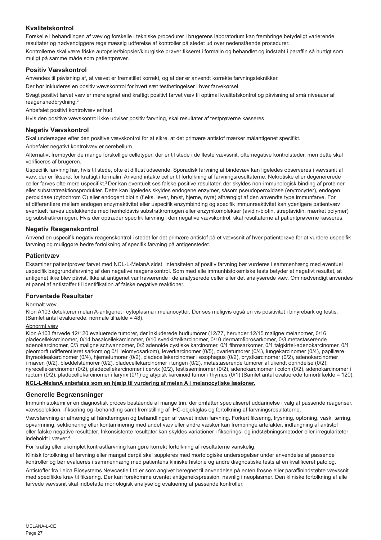## **Kvalitetskontrol**

Forskelle i behandlingen af væv og forskelle i tekniske procedurer i brugerens laboratorium kan frembringe betydeligt varierende resultater og nødvendiggøre regelmæssig udførelse af kontroller på stedet ud over nedenstående procedurer. Kontrollerne skal være friske autopsier/biopsier/kirurgiske prøver fikseret i formalin og behandlet og indstøbt i paraffin så hurtigt som muligt på samme måde som patientprøver.

## **Positiv Vævskontrol**

Anvendes til påvisning af, at vævet er fremstillet korrekt, og at der er anvendt korrekte farvningsteknikker.

Der bør inkluderes en positiv vævskontrol for hvert sæt testbetingelser i hver farvekørsel.

Svagt positivt farvet væv er mere egnet end kraftigt positivt farvet væv til optimal kvalitetskontrol og påvisning af små niveauer af reagensnedbrydning.<sup>2</sup>

Anbefalet positivt kontrolvæv er hud.

Hvis den positive vævskontrol ikke udviser positiv farvning, skal resultater af testprøverne kasseres.

## **Negativ Vævskontrol**

Skal undersøges efter den positive vævskontrol for at sikre, at det primære antistof mærker målantigenet specifikt.

Anbefalet negativt kontrolvæv er cerebellum.

Alternativt frembyder de mange forskellige celletyper, der er til stede i de fleste vævssnit, ofte negative kontrolsteder, men dette skal verificeres af brugeren.

Uspecifik farvning har, hvis til stede, ofte et diffust udseende. Sporadisk farvning af bindevæv kan ligeledes observeres i vævssnit af væv, der er fikseret for kraftigt i formalin. Anvend intakte celler til fortolkning af farvningsresultaterne. Nekrotiske eller degenererede celler farves ofte mere uspecifikt.<sup>3</sup>Der kan eventuelt ses falske positive resultater, der skyldes non-immunologisk binding af proteiner eller substratreaktionsprodukter. Dette kan ligeledes skyldes endogene enzymer, såsom pseudoperoxidase (erytrocytter), endogen peroxidase (cytochrom C) eller endogent biotin (f.eks. lever, bryst, hjerne, nyre) afhængigt af den anvendte type immunfarve. For at differentiere mellem endogen enzymaktivitet eller uspecifik enzymbinding og specifik immunreaktivitet kan yderligere patientvæv eventuelt farves udelukkende med henholdsvis substratkromogen eller enzymkomplekser (avidin-biotin, streptavidin, mærket polymer) og substratkromogen. Hvis der optræder specifik farvning i den negative vævskontrol, skal resultaterne af patientprøverne kasseres.

## **Negativ Reagenskontrol**

Anvend en uspecifik negativ reagenskontrol i stedet for det primære antistof på et vævssnit af hver patientprøve for at vurdere uspecifik farvning og muliggøre bedre fortolkning af specifik farvning på antigenstedet.

#### **Patientvæv**

Eksaminer patientprøver farvet med NCL-L-MelanA sidst. Intensiteten af positiv farvning bør vurderes i sammenhæng med eventuel uspecifik baggrundsfarvning af den negative reagenskontrol. Som med alle immunhistokemiske tests betyder et negativt resultat, at antigenet ikke blev påvist. Ikke at antigenet var fraværende i de analyserede celler eller det analyserede væv. Om nødvendigt anvendes et panel af antistoffer til identifikation af falske negative reaktioner.

## **Forventede Resultater**

#### Normalt væv

Klon A103 detekterer melan A-antigenet i cytoplasma i melanocytter. Der ses muligvis også en vis positivitet i binyrebark og testis. (Samlet antal evaluerede, normale tilfælde = 48).

### Abnormt væv

Klon A103 farvede 12/120 evaluerede tumorer, der inkluderede hudtumorer (12/77, herunder 12/15 maligne melanomer, 0/16 pladecellekarcinomer, 0/14 basalcellekarcinomer, 0/10 svedkirtelkarcinomer, 0/10 dermatofibrosarkomer, 0/3 metastaserende adenokarcinomer, 0/3 maligne schwannomer, 0/2 adenoide cystiske karcinomer, 0/1 fibrosarkomer, 0/1 talgkirtel-adenokarcinomer, 0/1 pleomorft udifferentieret sarkom og 0/1 leiomyosarkom), leverkarcinomer (0/5), ovarietumorer (0/4), lungekarcinomer (0/4), papillære thyreoideakarcinomer (0/4), hjernetumorer (0/2), pladecellekarcinomer i esophagus (0/2), brystkarcinomer (0/2), adenokarcinomer i maven (0/2), bløddelstumorer (0/2), pladecellekarcinomer i tungen (0/2), metastaserende tumorer af ukendt oprindelse (0/2), nyrecellekarcinomer (0/2), pladecellekarcinomer i cervix (0/2), testisseminomer (0/2), adenokarcinomer i colon (0/2), adenokarcinomer i rectum (0/2), pladecellekarcinomer i larynx (0/1) og atypisk karcinoid tumor i thymus (0/1) (Samlet antal evaluerede tumortilfælde = 120).

**NCL-L-MelanA anbefales som en hjælp til vurdering af melan A i melanocytiske læsioner.**

## **Generelle Begrænsninger**

Immunhistokemi er en diagnostisk proces bestående af mange trin, der omfatter specialiseret uddannelse i valg af passende reagenser, vævsselektion, -fiksering og -behandling samt fremstilling af IHC-objektglas og fortolkning af farvningsresultaterne.

Vævsfarvning er afhængig af håndteringen og behandlingen af vævet inden farvning. Forkert fiksering, frysning, optøning, vask, tørring, opvarmning, sektionering eller kontaminering med andet væv eller andre væsker kan frembringe artefakter, indfangning af antistof eller falske negative resultater. Inkonsistente resultater kan skyldes variationer i fikserings- og indstøbningsmetoder eller irregulariteter indeholdt i vævet.4

For kraftig eller ukomplet kontrastfarvning kan gøre korrekt fortolkning af resultaterne vanskelig.

Klinisk fortolkning af farvning eller mangel derpå skal suppleres med morfologiske undersøgelser under anvendelse af passende kontroller og bør evalueres i sammenhæng med patientens kliniske historie og andre diagnostiske tests af en kvalificeret patolog.

Antistoffer fra Leica Biosystems Newcastle Ltd er som angivet beregnet til anvendelse på enten frosne eller paraffinindstøbte vævssnit med specifikke krav til fiksering. Der kan forekomme uventet antigenekspression, navnlig i neoplasmer. Den kliniske fortolkning af alle farvede vævssnit skal indbefatte morfologisk analyse og evaluering af passende kontroller.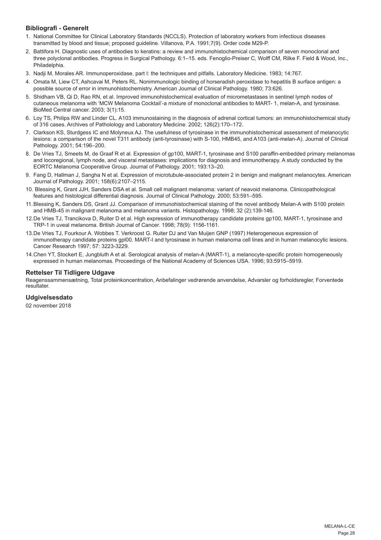## **Bibliografi - Generelt**

- 1. National Committee for Clinical Laboratory Standards (NCCLS). Protection of laboratory workers from infectious diseases transmitted by blood and tissue; proposed guideline. Villanova, P.A. 1991;7(9). Order code M29-P.
- 2. Battifora H. Diagnostic uses of antibodies to keratins: a review and immunohistochemical comparison of seven monoclonal and three polyclonal antibodies. Progress in Surgical Pathology. 6:1–15. eds. Fenoglio-Preiser C, Wolff CM, Rilke F. Field & Wood, Inc., Philadelphia.
- 3. Nadji M, Morales AR. Immunoperoxidase, part I: the techniques and pitfalls. Laboratory Medicine. 1983; 14:767.
- 4. Omata M, Liew CT, Ashcavai M, Peters RL. Nonimmunologic binding of horseradish peroxidase to hepatitis B surface antigen: a possible source of error in immunohistochemistry. American Journal of Clinical Pathology. 1980; 73:626.
- 5. Shidham VB, Qi D, Rao RN, et al. Improved immunohistochemical evaluation of micrometastases in sentinel lymph nodes of cutaneous melanoma with 'MCW Melanoma Cocktail'-a mixture of monoclonal antibodies to MART- 1, melan-A, and tyrosinase. BioMed Central cancer. 2003; 3(1):15.
- 6. Loy TS, Philips RW and Linder CL. A103 immunostaining in the diagnosis of adrenal cortical tumors: an immunohistochemical study of 316 cases. Archives of Patholology and Laboratory Medicine. 2002; 126(2):170–172.
- 7. Clarkson KS, Sturdgess IC and Molyneux AJ. The usefulness of tyrosinase in the immunohistochemical assessment of melanocytic lesions: a comparison of the novel T311 antibody (anti-tyrosinase) with S-100, HMB45, and A103 (anti-melan-A). Journal of Clinical Pathology. 2001; 54:196–200.
- 8. De Vries TJ, Smeets M, de Graaf R et al. Expression of gp100, MART-1, tyrosinase and S100 paraffin-embedded primary melanomas and locoregional, lymph node, and visceral metastases: implications for diagnosis and immunotherapy. A study conducted by the EORTC Melanoma Cooperative Group. Journal of Pathology. 2001; 193:13–20.
- 9. Fang D, Hallman J, Sangha N et al. Expression of microtubule-associated protein 2 in benign and malignant melanocytes. American Journal of Pathology. 2001; 158(6):2107–2115.
- 10. Blessing K, Grant JJH, Sanders DSA et al. Small cell malignant melanoma: variant of neavoid melanoma. Clinicopathological features and histological differential diagnosis. Journal of Clinical Pathology. 2000; 53:591–595.
- 11.Blessing K, Sanders DS, Grant JJ. Comparison of immunohistochemical staining of the novel antibody Melan-A with S100 protein and HMB-45 in malignant melanoma and melanoma variants. Histopathology. 1998; 32 (2):139-146.
- 12.De Vries TJ, Trancikova D, Ruiter D et al. High expression of immunotherapy candidate proteins gp100, MART-1, tyrosinase and TRP-1 in uveal melanoma. British Journal of Cancer. 1998; 78(9): 1156-1161.
- 13.De Vries TJ, Fourkour A. Wobbes T. Verkroost G. Ruiter DJ and Van Muijen GNP (1997) Heterogeneous expression of immunotherapy candidate proteins gpl00. MART-I and tyrosinase in human melanoma cell lines and in human melanocytic lesions. Cancer Research 1997; 57: 3223-3229.
- 14.Chen YT, Stockert E, Jungbluth A et al. Serological analysis of melan-A (MART-1), a melanocyte-specific protein homogeneously expressed in human melanomas. Proceedings of the National Academy of Sciences USA. 1996; 93:5915–5919.

### **Rettelser Til Tidligere Udgave**

Reagenssammensætning, Total proteinkoncentration, Anbefalinger vedrørende anvendelse, Advarsler og forholdsregler, Forventede resultater.

## **Udgivelsesdato**

02 november 2018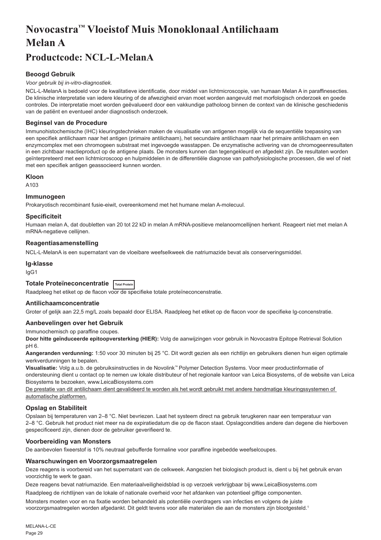# <span id="page-29-0"></span>**Novocastra™ Vloeistof Muis Monoklonaal Antilichaam Melan A**

## **Productcode: NCL-L-MelanA**

## **Beoogd Gebruik**

#### *Voor gebruik bij in-vitro-diagnostiek.*

NCL-L-MelanA is bedoeld voor de kwalitatieve identificatie, door middel van lichtmicroscopie, van humaan Melan A in paraffinesecties. De klinische interpretatie van iedere kleuring of de afwezigheid ervan moet worden aangevuld met morfologisch onderzoek en goede controles. De interpretatie moet worden geëvalueerd door een vakkundige patholoog binnen de context van de klinische geschiedenis van de patiënt en eventueel ander diagnostisch onderzoek.

## **Beginsel van de Procedure**

Immunohistochemische (IHC) kleuringstechnieken maken de visualisatie van antigenen mogelijk via de sequentiële toepassing van een specifiek antilichaam naar het antigen (primaire antilichaam), het secundaire antilichaam naar het primaire antilichaam en een enzymcomplex met een chromogeen substraat met ingevoegde wasstappen. De enzymatische activering van de chromogeenresultaten in een zichtbaar reactieproduct op de antigene plaats. De monsters kunnen dan tegengekleurd en afgedekt zijn. De resultaten worden geïnterpreteerd met een lichtmicroscoop en hulpmiddelen in de differentiële diagnose van pathofysiologische processen, die wel of niet met een specifiek antigen geassocieerd kunnen worden.

#### **Kloon**

A103

## **Immunogeen**

Prokaryotisch recombinant fusie-eiwit, overeenkomend met het humane melan A-molecuul.

#### **Specificiteit**

Humaan melan A, dat doubletten van 20 tot 22 kD in melan A mRNA-positieve melanoomcellijnen herkent. Reageert niet met melan A mRNA-negatieve cellijnen.

## **Reagentiasamenstelling**

NCL-L-MelanA is een supernatant van de vloeibare weefselkweek die natriumazide bevat als conserveringsmiddel.

#### **Ig-klasse**

IgG1

## **Totale Proteïneconcentratie Total Protein**

Raadpleeg het etiket op de flacon voor de specifieke totale proteïneconcenstratie.

## **Antilichaamconcentratie**

Groter of gelijk aan 22,5 mg/L zoals bepaald door ELISA. Raadpleeg het etiket op de flacon voor de specifieke lg-concenstratie.

#### **Aanbevelingen over het Gebruik**

Immunochemisch op paraffine coupes.

**Door hitte geïnduceerde epitoopversterking (HIER):** Volg de aanwijzingen voor gebruik in Novocastra Epitope Retrieval Solution pH 6.

**Aangeranden verdunning:** 1:50 voor 30 minuten bij 25 °C. Dit wordt gezien als een richtlijn en gebruikers dienen hun eigen optimale werkverdunningen te bepalen.

**Visualisatie:** Volg a.u.b. de gebruiksinstructies in de Novolink™ Polymer Detection Systems. Voor meer productinformatie of ondersteuning dient u contact op te nemen uw lokale distributeur of het regionale kantoor van Leica Biosystems, of de website van Leica Biosystems te bezoeken, www.LeicaBiosystems.com

De prestatie van dit antilichaam dient gevalideerd te worden als het wordt gebruikt met andere handmatige kleuringssystemen of automatische platformen.

## **Opslag en Stabiliteit**

Opslaan bij temperaturen van 2–8 °C. Niet bevriezen. Laat het systeem direct na gebruik terugkeren naar een temperatuur van 2–8 °C. Gebruik het product niet meer na de expiratiedatum die op de flacon staat. Opslagcondities andere dan degene die hierboven gespecificeerd zijn, dienen door de gebruiker geverifieerd te.

## **Voorbereiding van Monsters**

De aanbevolen fixeerstof is 10% neutraal gebufferde formaline voor paraffine ingebedde weefselcoupes.

#### **Waarschuwingen en Voorzorgsmaatregelen**

Deze reagens is voorbereid van het supernatant van de celkweek. Aangezien het biologisch product is, dient u bij het gebruik ervan voorzichtig te werk te gaan.

Deze reagens bevat natriumazide. Een materiaalveiligheidsblad is op verzoek verkrijgbaar bij www.LeicaBiosystems.com

Raadpleeg de richtlijnen van de lokale of nationale overheid voor het afdanken van potentieel giftige componenten. Monsters moeten voor en na fixatie worden behandeld als potentiële overdragers van infecties en volgens de juiste voorzorgsmaatregelen worden afgedankt. Dit geldt tevens voor alle materialen die aan de monsters zijn blootgesteld.<sup>1</sup>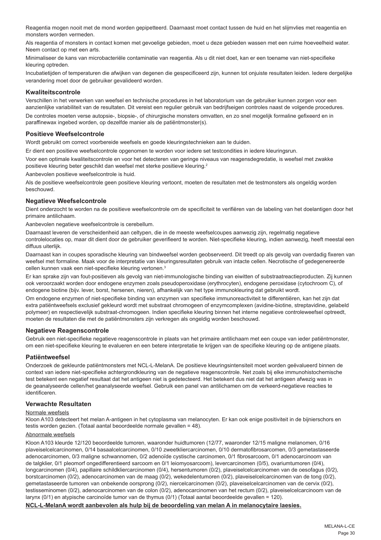Reagentia mogen nooit met de mond worden gepipetteerd. Daarnaast moet contact tussen de huid en het slijmvlies met reagentia en monsters worden vermeden.

Als reagentia of monsters in contact komen met gevoelige gebieden, moet u deze gebieden wassen met een ruime hoeveelheid water. Neem contact op met een arts.

Minimaliseer de kans van microbacteriële contaminatie van reagentia. Als u dit niet doet, kan er een toename van niet-specifieke kleuring optreden.

Incubatietijden of temperaturen die afwijken van degenen die gespecificeerd zijn, kunnen tot onjuiste resultaten leiden. Iedere dergelijke verandering moet door de gebruiker gevalideerd worden.

## **Kwaliteitscontrole**

Verschillen in het verwerken van weefsel en technische procedures in het laboratorium van de gebruiker kunnen zorgen voor een aanzienlijke variabiliteit van de resultaten. Dit vereist een regulier gebruik van bedrijfseigen controles naast de volgende procedures. De controles moeten verse autopsie-, biopsie-, of chirurgische monsters omvatten, en zo snel mogelijk formaline gefixeerd en in paraffinewax ingebed worden, op dezelfde manier als de patiëntmonster(s).

#### **Positieve Weefselcontrole**

Wordt gebruikt om correct voorbereide weefsels en goede kleuringstechnieken aan te duiden.

Er dient een positieve weefselcontrole opgenomen te worden voor iedere set testcondities in iedere kleuringsrun.

Voor een optimale kwaliteitscontrole en voor het detecteren van geringe niveaus van reagensdegredatie, is weefsel met zwakke positieve kleuring beter geschikt dan weefsel met sterke positieve kleuring.<sup>2</sup>

Aanbevolen positieve weefselcontrole is huid.

Als de positieve weefselcontrole geen positieve kleuring vertoont, moeten de resultaten met de testmonsters als ongeldig worden beschouwd.

#### **Negatieve Weefselcontrole**

Dient onderzocht te worden na de positieve weefselcontrole om de specificiteit te verifiëren van de labeling van het doelantigen door het primaire antilichaam.

Aanbevolen negatieve weefselcontrole is cerebellum.

Daarnaast leveren de verscheidenheid aan celtypen, die in de meeste weefselcoupes aanwezig zijn, regelmatig negatieve controlelocaties op, maar dit dient door de gebruiker geverifieerd te worden. Niet-specifieke kleuring, indien aanwezig, heeft meestal een diffuus uiterlijk.

Daarnaast kan in coupes sporadische kleuring van bindweefsel worden geobserveerd. Dit treedt op als gevolg van overdadig fixeren van weefsel met formaline. Maak voor de interpretatie van kleuringsresultaten gebruik van intacte cellen. Necrotische of gedegenereerde cellen kunnen vaak een niet-specifieke kleuring vertonen.<sup>3</sup>

Er kan sprake zijn van fout-positieven als gevolg van niet-immunologische binding van eiwitten of substraatreactieproducten. Zij kunnen ook veroorzaakt worden door endogene enzymen zoals pseudoperoxidase (erythrocyten), endogene peroxidase (cytochroom C), of endogene biotine (bijv. lever, borst, hersenen, nieren), afhankelijk van het type immunokleuring dat gebruikt wordt.

Om endogene enzymen of niet-specifieke binding van enzymen van specifieke immunoreactiviteit te differentiëren, kan het zijn dat extra patiëntweefsels exclusief gekleurd wordt met substraat chromogeen of enzymcomplexen (avidine-biotine, streptavidine, gelabeld polymeer) en respectievelijk substraat-chromogeen. Indien specifieke kleuring binnen het interne negatieve controleweefsel optreedt, moeten de resultaten die met de patiëntmonsters zijn verkregen als ongeldig worden beschouwd.

## **Negatieve Reagenscontrole**

Gebruik een niet-specifieke negatieve reagenscontrole in plaats van het primaire antilichaam met een coupe van ieder patiëntmonster, om een niet-specifieke kleuring te evalueren en een betere interpretatie te krijgen van de specifieke kleuring op de antigene plaats.

## **Patiëntweefsel**

Onderzoek de gekleurde patiëntmonsters met NCL-L-MelanA. De positieve kleuringsintensiteit moet worden geëvalueerd binnen de context van iedere niet-specifieke achtergrondkleuring van de negatieve reagenscontrole. Net zoals bij elke immunohistochemische test betekent een negatief resultaat dat het antigeen niet is gedetecteerd. Het betekent dus niet dat het antigeen afwezig was in de geanalyseerde cellen/het geanalyseerde weefsel. Gebruik een panel van antilichamen om de verkeerd-negatieve reacties te identificeren.

#### **Verwachte Resultaten**

#### Normale weefsels

Kloon A103 detecteert het melan A-antigeen in het cytoplasma van melanocyten. Er kan ook enige positiviteit in de bijnierschors en testis worden gezien. (Totaal aantal beoordeelde normale gevallen = 48).

### Abnormale weefsels

Kloon A103 kleurde 12/120 beoordeelde tumoren, waaronder huidtumoren (12/77, waaronder 12/15 maligne melanomen, 0/16 plaveiselcelcarcinomen, 0/14 basaalcelcarcinomen, 0/10 zweetkliercarcinomen, 0/10 dermatofibrosarcomen, 0/3 gemetastaseerde adenocarcinomen, 0/3 maligne schwannomen, 0/2 adenoïde cystische carcinomen, 0/1 fibrosarcoom, 0/1 adenocarcinoom van de talgklier, 0/1 pleomorf ongedifferentieerd sarcoom en 0/1 leiomyosarcoom), levercarcinomen (0/5), ovariumtumoren (0/4), longcarcinomen (0/4), papillaire schildkliercarcinomen (0/4), hersentumoren (0/2), plaveiselcelcarcinomen van de oesofagus (0/2), borstcarcinomen (0/2), adenocarcinomen van de maag (0/2), wekedelentumoren (0/2), plaveiselcelcarcinomen van de tong (0/2), gemetastaseerde tumoren van onbekende oorsprong (0/2), niercelcarcinomen (0/2), plaveiselcelcarcinomen van de cervix (0/2), testisseminomen (0/2), adenocarcinomen van de colon (0/2), adenocarcinomen van het rectum (0/2), plaveiselcelcarcinoom van de larynx (0/1) en atypische carcinoïde tumor van de thymus (0/1) (Totaal aantal beoordeelde gevallen = 120).

### **NCL-L-MelanA wordt aanbevolen als hulp bij de beoordeling van melan A in melanocytaire laesies.**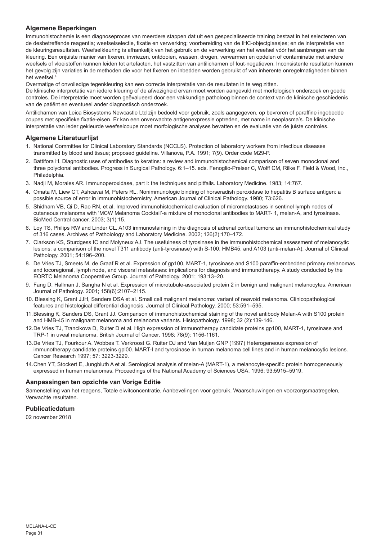## **Algemene Beperkingen**

Immunohistochemie is een diagnoseproces van meerdere stappen dat uit een gespecialiseerde training bestaat in het selecteren van de desbetreffende reagentia; weefselselectie, fixatie en verwerking; voorbereiding van de IHC-objectglaasjes; en de interpretatie van de kleuringsresultaten. Weefselkleuring is afhankelijk van het gebruik en de verwerking van het weefsel vóór het aanbrengen van de kleuring. Een onjuiste manier van fixeren, invriezen, ontdooien, wassen, drogen, verwarmen en opdelen of contaminatie met andere weefsels of vloeistoffen kunnen leiden tot artefacten, het vastzitten van antilichamen of fout-negatieven. Inconsistente resultaten kunnen het gevolg zijn variaties in de methoden die voor het fixeren en inbedden worden gebruikt of van inherente onregelmatigheden binnen het weefsel.4

Overmatige of onvolledige tegenkleuring kan een correcte interpretatie van de resultaten in te weg zitten.

De klinische interpretatie van iedere kleuring of de afwezigheid ervan moet worden aangevuld met morfologisch onderzoek en goede controles. De interpretatie moet worden geëvalueerd door een vakkundige patholoog binnen de context van de klinische geschiedenis van de patiënt en eventueel ander diagnostisch onderzoek.

Antilichamen van Leica Biosystems Newcastle Ltd zijn bedoeld voor gebruik, zoals aangegeven, op bevroren of paraffine ingebedde coupes met specifieke fixatie-eisen. Er kan een onverwachte antigenexpressie optreden, met name in neoplasma's. De klinische interpretatie van ieder gekleurde weefselcoupe moet morfologische analyses bevatten en de evaluatie van de juiste controles.

## **Algemene Literatuurlijst**

- 1. National Committee for Clinical Laboratory Standards (NCCLS). Protection of laboratory workers from infectious diseases transmitted by blood and tissue; proposed guideline. Villanova, P.A. 1991; 7(9). Order code M29-P.
- 2. Battifora H. Diagnostic uses of antibodies to keratins: a review and immunohistochemical comparison of seven monoclonal and three polyclonal antibodies. Progress in Surgical Pathology. 6:1–15. eds. Fenoglio-Preiser C, Wolff CM, Rilke F. Field & Wood, Inc., Philadelphia
- 3. Nadji M, Morales AR. Immunoperoxidase, part I: the techniques and pitfalls. Laboratory Medicine. 1983; 14:767.
- 4. Omata M, Liew CT, Ashcavai M, Peters RL. Nonimmunologic binding of horseradish peroxidase to hepatitis B surface antigen: a possible source of error in immunohistochemistry. American Journal of Clinical Pathology. 1980; 73:626.
- 5. Shidham VB, Qi D, Rao RN, et al. Improved immunohistochemical evaluation of micrometastases in sentinel lymph nodes of cutaneous melanoma with 'MCW Melanoma Cocktail'-a mixture of monoclonal antibodies to MART- 1, melan-A, and tyrosinase. BioMed Central cancer. 2003; 3(1):15.
- 6. Loy TS, Philips RW and Linder CL. A103 immunostaining in the diagnosis of adrenal cortical tumors: an immunohistochemical study of 316 cases. Archives of Patholology and Laboratory Medicine. 2002; 126(2):170–172.
- 7. Clarkson KS, Sturdgess IC and Molyneux AJ. The usefulness of tyrosinase in the immunohistochemical assessment of melanocytic lesions: a comparison of the novel T311 antibody (anti-tyrosinase) with S-100, HMB45, and A103 (anti-melan-A). Journal of Clinical Pathology. 2001; 54:196–200.
- 8. De Vries TJ, Smeets M, de Graaf R et al. Expression of gp100, MART-1, tyrosinase and S100 paraffin-embedded primary melanomas and locoregional, lymph node, and visceral metastases: implications for diagnosis and immunotherapy. A study conducted by the EORTC Melanoma Cooperative Group. Journal of Pathology. 2001; 193:13–20.
- 9. Fang D, Hallman J, Sangha N et al. Expression of microtubule-associated protein 2 in benign and malignant melanocytes. American Journal of Pathology. 2001; 158(6):2107–2115.
- 10. Blessing K, Grant JJH, Sanders DSA et al. Small cell malignant melanoma: variant of neavoid melanoma. Clinicopathological features and histological differential diagnosis. Journal of Clinical Pathology. 2000; 53:591–595.
- 11.Blessing K, Sanders DS, Grant JJ. Comparison of immunohistochemical staining of the novel antibody Melan-A with S100 protein and HMB-45 in malignant melanoma and melanoma variants. Histopathology. 1998; 32 (2):139-146.
- 12.De Vries TJ, Trancikova D, Ruiter D et al. High expression of immunotherapy candidate proteins gp100, MART-1, tyrosinase and TRP-1 in uveal melanoma. British Journal of Cancer. 1998; 78(9): 1156-1161.
- 13.De Vries TJ, Fourkour A. Wobbes T. Verkroost G. Ruiter DJ and Van Muijen GNP (1997) Heterogeneous expression of immunotherapy candidate proteins gpl00. MART-I and tyrosinase in human melanoma cell lines and in human melanocytic lesions. Cancer Research 1997; 57: 3223-3229.
- 14.Chen YT, Stockert E, Jungbluth A et al. Serological analysis of melan-A (MART-1), a melanocyte-specific protein homogeneously expressed in human melanomas. Proceedings of the National Academy of Sciences USA. 1996; 93:5915–5919.

## **Aanpassingen ten opzichte van Vorige Editie**

Samenstelling van het reagens, Totale eiwitconcentratie, Aanbevelingen voor gebruik, Waarschuwingen en voorzorgsmaatregelen, Verwachte resultaten.

## **Publicatiedatum**

02 november 2018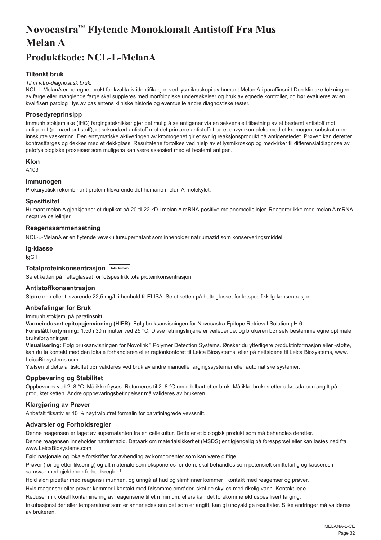# <span id="page-32-0"></span>**Novocastra™ Flytende Monoklonalt Antistoff Fra Mus Melan A**

## **Produktkode: NCL-L-MelanA**

## **Tiltenkt bruk**

#### *Til in vitro-diagnostisk bruk.*

NCL-L-MelanA er beregnet brukt for kvalitativ identifikasjon ved lysmikroskopi av humant Melan A i paraffinsnitt Den kliniske tolkningen av farge eller manglende farge skal suppleres med morfologiske undersøkelser og bruk av egnede kontroller, og bør evalueres av en kvalifisert patolog i lys av pasientens kliniske historie og eventuelle andre diagnostiske tester.

## **Prosedyreprinsipp**

Immunhistokjemiske (IHC) fargingsteknikker gjør det mulig å se antigener via en sekvensiell tilsetning av et bestemt antistoff mot antigenet (primært antistoff), et sekundært antistoff mot det primære antistoffet og et enzymkompleks med et kromogent substrat med innskutte vasketrinn. Den enzymatiske aktiveringen av kromogenet gir et synlig reaksjonsprodukt på antigenstedet. Prøven kan deretter kontrastfarges og dekkes med et dekkglass. Resultatene fortolkes ved hjelp av et lysmikroskop og medvirker til differensialdiagnose av patofysiologiske prosesser som muligens kan være assosiert med et bestemt antigen.

#### **Klon**

A<sub>103</sub>

### **Immunogen**

Prokaryotisk rekombinant protein tilsvarende det humane melan A-molekylet.

#### **Spesifisitet**

Humant melan A gjenkjenner et duplikat på 20 til 22 kD i melan A mRNA-positive melanomcellelinjer. Reagerer ikke med melan A mRNAnegative cellelinjer.

#### **Reagenssammensetning**

NCL-L-MelanA er en flytende vevskultursupernatant som inneholder natriumazid som konserveringsmiddel.

## **Ig-klasse**

IgG1

## **Totalproteinkonsentrasjon Total Protein**

Se etiketten på hetteglasset for lotspesifikk totalproteinkonsentrasjon.

## **Antistoffkonsentrasjon**

Større enn eller tilsvarende 22,5 mg/L i henhold til ELISA. Se etiketten på hetteglasset for lotspesifikk Ig-konsentrasjon.

## **Anbefalinger for Bruk**

Immunhistokjemi på parafinsnitt.

**Varmeindusert epitopgjenvinning (HIER):** Følg bruksanvisningen for Novocastra Epitope Retrieval Solution pH 6.

**Foreslått fortynning:** 1:50 i 30 minutter ved 25 °C. Disse retningslinjene er veiledende, og brukeren bør selv bestemme egne optimale bruksfortynninger.

**Visualisering:** Følg bruksanvisningen for Novolink™ Polymer Detection Systems. Ønsker du ytterligere produktinformasjon eller -støtte, kan du ta kontakt med den lokale forhandleren eller regionkontoret til Leica Biosystems, eller på nettsidene til Leica Biosystems, www. LeicaBiosystems.com

Ytelsen til dette antistoffet bør valideres ved bruk av andre manuelle fargingssystemer eller automatiske systemer.

## **Oppbevaring og Stabilitet**

Oppbevares ved 2–8 °C. Må ikke fryses. Returneres til 2–8 °C umiddelbart etter bruk. Må ikke brukes etter utløpsdatoen angitt på produktetiketten. Andre oppbevaringsbetingelser må valideres av brukeren.

#### **Klargjøring av Prøver**

Anbefalt fiksativ er 10 % nøytralbufret formalin for parafinlagrede vevssnitt.

#### **Advarsler og Forholdsregler**

Denne reagensen er laget av supernatanten fra en cellekultur. Dette er et biologisk produkt som må behandles deretter.

Denne reagensen inneholder natriumazid. Dataark om materialsikkerhet (MSDS) er tilgjengelig på forespørsel eller kan lastes ned fra www.LeicaBiosystems.com

Følg nasjonale og lokale forskrifter for avhending av komponenter som kan være giftige.

Prøver (før og etter fiksering) og alt materiale som eksponeres for dem, skal behandles som potensielt smittefarlig og kasseres i samsvar med gjeldende forholdsregler.<sup>1</sup>

Hold aldri pipetter med reagens i munnen, og unngå at hud og slimhinner kommer i kontakt med reagenser og prøver.

Hvis reagenser eller prøver kommer i kontakt med følsomme områder, skal de skylles med rikelig vann. Kontakt lege.

Reduser mikrobiell kontaminering av reagensene til et minimum, ellers kan det forekomme økt uspesifisert farging.

Inkubasjonstider eller temperaturer som er annerledes enn det som er angitt, kan gi unøyaktige resultater. Slike endringer må valideres av brukeren.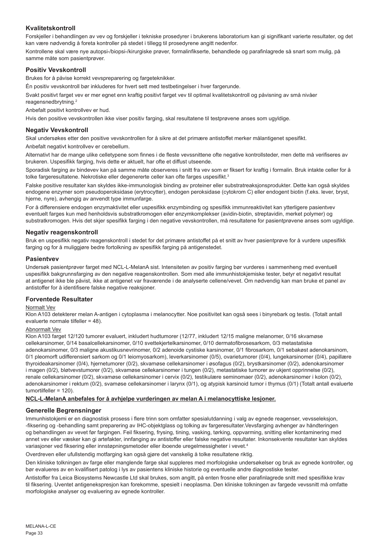## **Kvalitetskontroll**

Forskjeller i behandlingen av vev og forskjeller i tekniske prosedyrer i brukerens laboratorium kan gi signifikant varierte resultater, og det kan være nødvendig å foreta kontroller på stedet i tillegg til prosedyrene angitt nedenfor.

Kontrollene skal være nye autopsi-/biopsi-/kirurgiske prøver, formalinfikserte, behandlede og parafinlagrede så snart som mulig, på samme måte som pasientprøver.

### **Positiv Vevskontroll**

Brukes for å påvise korrekt vevspreparering og fargeteknikker.

Én positiv vevskontroll bør inkluderes for hvert sett med testbetingelser i hver fargerunde.

Svakt positivt farget vev er mer egnet enn kraftig positivt farget vev til optimal kvalitetskontroll og påvisning av små nivåer reagensnedbrytning.<sup>2</sup>

Anbefalt positivt kontrollvev er hud.

Hvis den positive vevskontrollen ikke viser positiv farging, skal resultatene til testprøvene anses som ugyldige.

### **Negativ Vevskontroll**

Skal undersøkes etter den positive vevskontrollen for å sikre at det primære antistoffet merker målantigenet spesifikt.

Anbefalt negativt kontrollvev er cerebellum.

Alternativt har de mange ulike celletypene som finnes i de fleste vevssnittene ofte negative kontrollsteder, men dette må verifiseres av brukeren. Uspesifikk farging, hvis dette er aktuelt, har ofte et diffust utseende.

Sporadisk farging av bindevev kan på samme måte observeres i snitt fra vev som er fiksert for kraftig i formalin. Bruk intakte celler for å tolke fargeresultatene. Nekrotiske eller degenererte celler kan ofte farges uspesifikt.<sup>3</sup>

Falske positive resultater kan skyldes ikke-immunologisk binding av proteiner eller substratreaksjonsprodukter. Dette kan også skyldes endogene enzymer som pseudoperoksidase (erytrocytter), endogen peroksidase (cytokrom C) eller endogent biotin (f.eks. lever, bryst, hjerne, nyre), avhengig av anvendt type immunfarge.

For å differensiere endogen enzymaktivitet eller uspesifikk enzymbinding og spesifikk immunreaktivitet kan ytterligere pasientvev eventuelt farges kun med henholdsvis substratkromogen eller enzymkomplekser (avidin-biotin, streptavidin, merket polymer) og substratkromogen. Hvis det skjer spesifikk farging i den negative vevskontrollen, må resultatene for pasientprøvene anses som ugyldige.

#### **Negativ reagenskontroll**

Bruk en uspesifikk negativ reagenskontroll i stedet for det primære antistoffet på et snitt av hver pasientprøve for å vurdere uspesifikk farging og for å muliggjøre bedre fortolkning av spesifikk farging på antigenstedet.

#### **Pasientvev**

Undersøk pasientprøver farget med NCL-L-MelanA sist. Intensiteten av positiv farging bør vurderes i sammenheng med eventuell uspesifikk bakgrunnsfarging av den negative reagenskontrollen. Som med alle immunhistokjemiske tester, betyr et negativt resultat at antigenet ikke ble påvist, ikke at antigenet var fraværende i de analyserte cellene/vevet. Om nødvendig kan man bruke et panel av antistoffer for å identifisere falske negative reaksjoner.

#### **Forventede Resultater**

#### Normalt Vev

Klon A103 detekterer melan A-antigen i cytoplasma i melanocytter. Noe positivitet kan også sees i binyrebark og testis. (Totalt antall evaluerte normale tilfeller = 48).

#### Abnormalt Vev

Klon A103 farget 12/120 tumorer evaluert, inkludert hudtumorer (12/77, inkludert 12/15 maligne melanomer, 0/16 skvamøse cellekarsinomer, 0/14 basalcellekarsinomer, 0/10 svettekjertelkarsinomer, 0/10 dermatofibrosesarkom, 0/3 metastatiske adenokarsinomer, 0/3 maligne akustikusnevrinomer, 0/2 adenoide cystiske karsinomer, 0/1 fibrosarkom, 0/1 sebakøst adenokarsinom, 0/1 pleomorft udifferensiert sarkom og 0/1 leiomyosarkom), leverkarsinomer (0/5), ovarietumorer (0/4), lungekarsinomer (0/4), papillære thyroideakarsinomer (0/4), hjernetumorer (0/2), skvamøse cellekarsinomer i øsofagus (0/2), brystkarsinomer (0/2), adenokarsinomer i magen (0/2), bløtvevstumorer (0/2), skvamøse cellekarsinomer i tungen (0/2), metastatiske tumorer av ukjent opprinnelse (0/2), renale cellekarsinomer (0/2), skvamøse cellekarsinomer i cervix (0/2), testikulære seminomaer (0/2), adenokarsinomer i kolon (0/2), adenokarsinomer i rektum (0/2), svamøse cellekarsinomer i larynx (0/1), og atypisk karsinoid tumor i thymus (0/1) (Totalt antall evaluerte tumortilfeller = 120).

#### **NCL-L-MelanA anbefales for å avhjelpe vurderingen av melan A i melanocyttiske lesjoner.**

## **Generelle Begrensninger**

Immunhistokjemi er en diagnostisk prosess i flere trinn som omfatter spesialutdanning i valg av egnede reagenser, vevsseleksjon, -fiksering og -behandling samt preparering av IHC-objektglass og tolking av fargeresultater.Vevsfarging avhenger av håndteringen og behandlingen av vevet før fargingen. Feil fiksering, frysing, tining, vasking, tørking, oppvarming, snitting eller kontaminering med annet vev eller væsker kan gi artefakter, innfanging av antistoffer eller falske negative resultater. Inkonsekvente resultater kan skyldes variasjoner ved fiksering eller innstøpningsmetoder eller iboende uregelmessigheter i vevet.4

Overdreven eller ufullstendig motfarging kan også gjøre det vanskelig å tolke resultatene riktig.

Den kliniske tolkningen av farge eller manglende farge skal suppleres med morfologiske undersøkelser og bruk av egnede kontroller, og bør evalueres av en kvalifisert patolog i lys av pasientens kliniske historie og eventuelle andre diagnostiske tester.

Antistoffer fra Leica Biosystems Newcastle Ltd skal brukes, som angitt, på enten frosne eller parafinlagrede snitt med spesifikke krav til fiksering. Uventet antigenekspresjon kan forekomme, spesielt i neoplasma. Den kliniske tolkningen av fargede vevssnitt må omfatte morfologiske analyser og evaluering av egnede kontroller.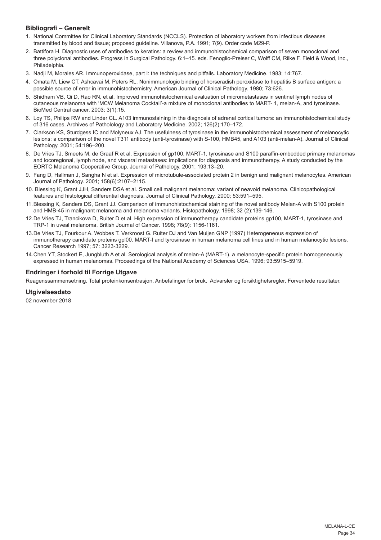## **Bibliografi – Generelt**

- 1. National Committee for Clinical Laboratory Standards (NCCLS). Protection of laboratory workers from infectious diseases transmitted by blood and tissue; proposed guideline. Villanova, P.A. 1991; 7(9). Order code M29-P.
- 2. Battifora H. Diagnostic uses of antibodies to keratins: a review and immunohistochemical comparison of seven monoclonal and three polyclonal antibodies. Progress in Surgical Pathology. 6:1–15. eds. Fenoglio-Preiser C, Wolff CM, Rilke F. Field & Wood, Inc., Philadelphia.
- 3. Nadji M, Morales AR. Immunoperoxidase, part I: the techniques and pitfalls. Laboratory Medicine. 1983; 14:767.
- 4. Omata M, Liew CT, Ashcavai M, Peters RL. Nonimmunologic binding of horseradish peroxidase to hepatitis B surface antigen: a possible source of error in immunohistochemistry. American Journal of Clinical Pathology. 1980; 73:626.
- 5. Shidham VB, Qi D, Rao RN, et al. Improved immunohistochemical evaluation of micrometastases in sentinel lymph nodes of cutaneous melanoma with 'MCW Melanoma Cocktail'-a mixture of monoclonal antibodies to MART- 1, melan-A, and tyrosinase. BioMed Central cancer. 2003; 3(1):15.
- 6. Loy TS, Philips RW and Linder CL. A103 immunostaining in the diagnosis of adrenal cortical tumors: an immunohistochemical study of 316 cases. Archives of Patholology and Laboratory Medicine. 2002; 126(2):170–172.
- 7. Clarkson KS, Sturdgess IC and Molyneux AJ. The usefulness of tyrosinase in the immunohistochemical assessment of melanocytic lesions: a comparison of the novel T311 antibody (anti-tyrosinase) with S-100, HMB45, and A103 (anti-melan-A). Journal of Clinical Pathology. 2001; 54:196–200.
- 8. De Vries TJ, Smeets M, de Graaf R et al. Expression of gp100, MART-1, tyrosinase and S100 paraffin-embedded primary melanomas and locoregional, lymph node, and visceral metastases: implications for diagnosis and immunotherapy. A study conducted by the EORTC Melanoma Cooperative Group. Journal of Pathology. 2001; 193:13–20.
- 9. Fang D, Hallman J, Sangha N et al. Expression of microtubule-associated protein 2 in benign and malignant melanocytes. American Journal of Pathology. 2001; 158(6):2107–2115.
- 10. Blessing K, Grant JJH, Sanders DSA et al. Small cell malignant melanoma: variant of neavoid melanoma. Clinicopathological features and histological differential diagnosis. Journal of Clinical Pathology. 2000; 53:591–595.
- 11.Blessing K, Sanders DS, Grant JJ. Comparison of immunohistochemical staining of the novel antibody Melan-A with S100 protein and HMB-45 in malignant melanoma and melanoma variants. Histopathology. 1998; 32 (2):139-146.
- 12.De Vries TJ, Trancikova D, Ruiter D et al. High expression of immunotherapy candidate proteins gp100, MART-1, tyrosinase and TRP-1 in uveal melanoma. British Journal of Cancer. 1998; 78(9): 1156-1161.
- 13.De Vries TJ, Fourkour A. Wobbes T. Verkroost G. Ruiter DJ and Van Muijen GNP (1997) Heterogeneous expression of immunotherapy candidate proteins gpl00. MART-I and tyrosinase in human melanoma cell lines and in human melanocytic lesions. Cancer Research 1997; 57: 3223-3229.
- 14.Chen YT, Stockert E, Jungbluth A et al. Serological analysis of melan-A (MART-1), a melanocyte-specific protein homogeneously expressed in human melanomas. Proceedings of the National Academy of Sciences USA. 1996; 93:5915–5919.

## **Endringer i forhold til Forrige Utgave**

Reagenssammensetning, Total proteinkonsentrasjon, Anbefalinger for bruk, Advarsler og forsiktighetsregler, Forventede resultater.

#### **Utgivelsesdato**

02 november 2018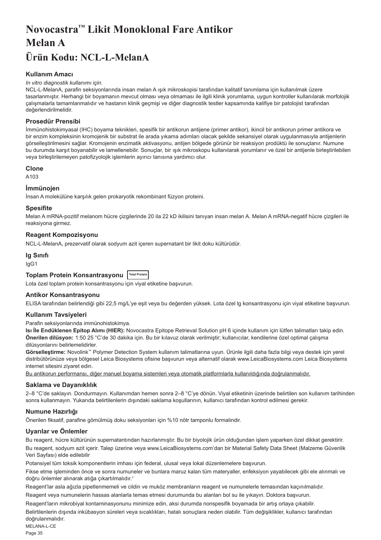## <span id="page-35-0"></span>**Novocastra™ Likit Monoklonal Fare Antikor Melan A Ürün Kodu: NCL-L-MelanA**

## **Kullanım Amacı**

#### *In vitro diagnostik kullanımı için.*

NCL-L-MelanA, parafin seksiyonlarında insan melan A ışık mikroskopisi tarafından kalitatif tanımlama için kullanılmak üzere tasarlanmıştır. Herhangi bir boyamanın mevcut olması veya olmaması ile ilgili klinik yorumlama, uygun kontroller kullanılarak morfolojik çalışmalarla tamamlanmalıdır ve hastanın klinik geçmişi ve diğer diagnostik testler kapsamında kalifiye bir patolojist tarafından değerlendirilmelidir.

## **Prosedür Prensibi**

İmmünohistokimyasal (IHC) boyama teknikleri, spesifik bir antikorun antijene (primer antikor), ikincil bir antikorun primer antikora ve bir enzim kompleksinin kromojenik bir substrat ile arada yıkama adımları olacak şekilde sekansiyel olarak uygulanmasıyla antijenlerin görselleştirilmesini sağlar. Kromojenin enzimatik aktivasyonu, antijen bölgede görünür bir reaksiyon prodüktü ile sonuçlanır. Numune bu durumda karşıt boyanabilir ve lamellenebilir. Sonuçlar, bir ışık mikroskopu kullanılarak yorumlanır ve özel bir antijenle birleştirilebilen veya birleştirilemeyen patofizyolojik işlemlerin ayırıcı tanısına yardımcı olur.

#### **Clone**

A103

## **İmmünojen**

İnsan A molekülüne karşılık gelen prokaryotik rekombinant füzyon proteini.

#### **Spesifite**

Melan A mRNA-pozitif melanom hücre çizgilerinde 20 ila 22 kD ikilisini tanıyan insan melan A. Melan A mRNA-negatif hücre çizgileri ile reaksiyona girmez.

## **Reagent Kompozisyonu**

NCL-L-MelanA, prezervatif olarak sodyum azit içeren supernatant bir likit doku kültürüdür.

#### **Ig Sınıfı**

IgG1

## **Toplam Protein Konsantrasyonu Total Protein**

Lota özel toplam protein konsantrasyonu için viyal etiketine başvurun.

#### **Antikor Konsantrasyonu**

ELISA tarafından belirlendiği gibi 22,5 mg/L'ye eşit veya bu değerden yüksek. Lota özel lg konsantrasyonu için viyal etiketine başvurun.

#### **Kullanım Tavsiyeleri**

Parafin seksiyonlarında immünohistokimya.

**Isı İle Endüklenen Epitop Alımı (HIER):** Novocastra Epitope Retrieval Solution pH 6 içinde kullanım için lütfen talimatları takip edin. **Önerilen dilüsyon:** 1:50 25 °C'de 30 dakika için. Bu bir kılavuz olarak verilmiştir; kullanıcılar, kendilerine özel optimal çalışma dilüsyonlarını belirlemelidirler.

**Görselleştirme:** Novolink™ Polymer Detection System kullanım talimatlarına uyun. Ürünle ilgili daha fazla bilgi veya destek için yerel distribütörünüze veya bölgesel Leica Biosystems ofisine başvurun veya alternatif olarak www.LeicaBiosystems.com Leica Biosystems internet sitesini ziyaret edin.

Bu antikorun performansı, diğer manuel boyama sistemleri veya otomatik platformlarla kullanıldığında doğrulanmalıdır.

#### **Saklama ve Dayanıklılık**

2–8 °C'de saklayın. Dondurmayın. Kullanımdan hemen sonra 2–8 °C'ye dönün. Viyal etiketinin üzerinde belirtilen son kullanım tarihinden sonra kullanmayın. Yukarıda belirtilenlerin dışındaki saklama koşullarının, kullanıcı tarafından kontrol edilmesi gerekir.

## **Numune Hazırlığı**

Önerilen fiksatif, parafine gömülmüş doku seksiyonları için %10 nötr tamponlu formalindir.

#### **Uyarılar ve Önlemler**

Bu reagent, hücre kültürünün supernatantından hazırlanmıştır. Bu bir biyolojik ürün olduğundan işlem yaparken özel dikkat gerektirir. Bu reagent, sodyum azit içerir. Talep üzerine veya www.LeicaBiosystems.com'dan bir Material Safety Data Sheet (Malzeme Güvenlik Veri Sayfası) elde edilebilir

Potansiyel tüm toksik komponentlerin imhası için federal, ulusal veya lokal düzenlemelere başvurun.

Fikse etme işleminden önce ve sonra numuneler ve bunlara maruz kalan tüm materyaller, enfeksiyon yayabilecek gibi ele alınmalı ve doğru önlemler alınarak atığa çıkartılmalıdır.<sup>1</sup>

Reagent'lar asla ağızla pipetlenmemeli ve cildin ve muköz membranların reagent ve numunelerle temasından kaçınılmalıdır.

Reagent veya numunelerin hassas alanlarla temas etmesi durumunda bu alanları bol su ile yıkayın. Doktora başvurun.

Reagent'ların mikrobiyal kontaminasyonunu minimize edin, aksi durumda nonspesifik boyamada bir artış ortaya çıkabilir.

MELANA-L-CE Belirtilenlerin dışında inkübasyon süreleri veya sıcaklıkları, hatalı sonuçlara neden olabilir. Tüm değişiklikler, kullanıcı tarafından doğrulanmalıdır.

Page 35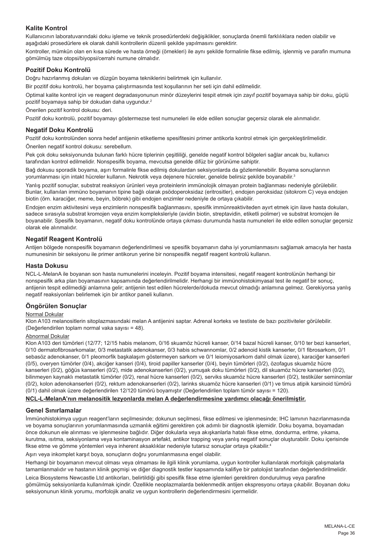## **Kalite Kontrol**

Kullanıcının laboratuvarındaki doku işleme ve teknik prosedürlerdeki değişiklikler, sonuçlarda önemli farklılıklara neden olabilir ve aşağıdaki prosedürlere ek olarak dahili kontrollerin düzenli şekilde yapılmasını gerektirir.

Kontroller, mümkün olan en kısa sürede ve hasta örneği (örnekleri) ile aynı şekilde formalinle fikse edilmiş, işlenmiş ve parafin mumuna gömülmüş taze otopsi/biyopsi/cerrahi numune olmalıdır.

### **Pozitif Doku Kontrolü**

Doğru hazırlanmış dokuları ve düzgün boyama tekniklerini belirtmek için kullanılır.

Bir pozitif doku kontrolü, her boyama çalıştırmasında test koşullarının her seti için dahil edilmelidir.

Optimal kalite kontrol için ve reagent degradasyonunun minör düzeylerini tespit etmek için zayıf pozitif boyamaya sahip bir doku, güçlü pozitif boyamaya sahip bir dokudan daha uygundur.<sup>2</sup>

Önerilen pozitif kontrol dokusu: deri.

Pozitif doku kontrolü, pozitif boyamayı göstermezse test numuneleri ile elde edilen sonuçlar geçersiz olarak ele alınmalıdır.

#### **Negatif Doku Kontrolü**

Pozitif doku kontrolünden sonra hedef antijenin etiketleme spesifitesini primer antikorla kontrol etmek için gerçekleştirilmelidir. Önerilen negatif kontrol dokusu: serebellum.

Pek çok doku seksiyonunda bulunan farklı hücre tiplerinin çeşitliliği, genelde negatif kontrol bölgeleri sağlar ancak bu, kullanıcı tarafından kontrol edilmelidir. Nonspesifik boyama, mevcutsa genelde difüz bir görünüme sahiptir.

Bağ dokusu sporadik boyama, aşırı formalinle fikse edilmiş dokulardan seksiyonlarda da gözlemlenebilir. Boyama sonuçlarının yorumlanması için intakt hücreler kullanın. Nekrotik veya dejenere hücreler, genelde belirsiz şekilde boyanabilir.<sup>3</sup>

Yanlış pozitif sonuçlar, substrat reaksiyon ürünleri veya proteinlerin immünolojik olmayan protein bağlanması nedeniyle görülebilir. Bunlar, kullanılan immüno boyamanın tipine bağlı olarak psödoperoksidaz (eritrositler), endojen peroksidaz (sitokrom C) veya endojen biotin (örn. karaciğer, meme, beyin, böbrek) gibi endojen enzimler nedeniyle de ortaya çıkabilir.

Endojen enzim aktivitesini veya enzimlerin nonspesifik bağlanmasını, spesifik immünreaktiviteden ayırt etmek için ilave hasta dokuları, sadece sırasıyla substrat kromojen veya enzim kompleksleriyle (avidin biotin, streptavidin, etiketli polimer) ve substrat kromojen ile boyanabilir. Spesifik boyamanın, negatif doku kontrolünde ortaya çıkması durumunda hasta numuneleri ile elde edilen sonuçlar geçersiz olarak ele alınmalıdır.

#### **Negatif Reagent Kontrolü**

Antijen bölgede nonspesifik boyamanın değerlendirilmesi ve spesifik boyamanın daha iyi yorumlanmasını sağlamak amacıyla her hasta numunesinin bir seksiyonu ile primer antikorun yerine bir nonspesifik negatif reagent kontrolü kullanın.

#### **Hasta Dokusu**

NCL-L-MelanA ile boyanan son hasta numunelerini inceleyin. Pozitif boyama intensitesi, negatif reagent kontrolünün herhangi bir nonspesifik arka plan boyamasının kapsamında değerlendirilmelidir. Herhangi bir immünohistokimyasal test ile negatif bir sonuç, antijenin tespit edilmediği anlamına gelir; antijenin test edilen hücrelerde/dokuda mevcut olmadığı anlamına gelmez. Gerekiyorsa yanlış negatif reaksiyonları belirlemek için bir antikor paneli kullanın.

## **Öngörülen Sonuçlar**

#### Normal Dokular

Klon A103 melanositlerin sitoplazmasındaki melan A antijenini saptar. Adrenal korteks ve testiste de bazı pozitiviteler görülebilir. (Değerlendirilen toplam normal vaka sayısı = 48).

#### Abnormal Dokular

Klon A103 deri tümörleri (12/77; 12/15 habis melanom, 0/16 skuamöz hücreli kanser, 0/14 bazal hücreli kanser, 0/10 ter bezi kanserleri, 0/10 dermatofibrosarkomalar, 0/3 metastatik adenokanser, 0/3 habis schwannomlar, 0/2 adenoid kistik kanserler, 0/1 fibrosarkom, 0/1 sebasöz adenokanser, 0/1 pleomorfik başkalaşım göstermeyen sarkom ve 0/1 leiomiyosarkom dahil olmak üzere), karaciğer kanserleri (0/5), overyen tümörler (0/4), akciğer kanseri (0/4), tiroid papiller kanserler (0/4), beyin tümörleri (0/2), özofagus skuamöz hücre kanserleri (0/2), göğüs kanserleri (0/2), mide adenokanserleri (0/2), yumuşak doku tümörleri (0/2), dil skuamöz hücre kanserleri (0/2), bilinmeyen kaynaklı metastatik tümörler (0/2), renal hücre kanserleri (0/2), serviks skuamöz hücre kanserleri (0/2), testiküler seminomlar (0/2), kolon adenokanserleri (0/2), rektum adenokanserleri (0/2), larinks skuamöz hücre kanserleri (0/1) ve timus atipik karsinoid tümörü (0/1) dahil olmak üzere değerlendirilen 12/120 tümörü boyamıştır (Değerlendirilen toplam tümör sayısı = 120).

## **NCL-L-MelanA'nın melanositik lezyonlarda melan A değerlendirmesine yardımcı olacağı önerilmiştir.**

#### **Genel Sınırlamalar**

İmmünohistokimya uygun reagent'ların seçilmesinde; dokunun seçilmesi, fikse edilmesi ve işlenmesinde; IHC lamının hazırlanmasında ve boyama sonuçlarının yorumlanmasında uzmanlık eğitimi gerektiren çok adımlı bir diagnostik işlemidir. Doku boyama, boyamadan önce dokunun ele alınması ve işlenmesine bağlıdır. Diğer dokularla veya akışkanlarla hatalı fikse etme, dondurma, eritme, yıkama, kurutma, ısıtma, seksiyonlama veya kontaminasyon artefakt, antikor trapping veya yanlış negatif sonuçlar oluşturabilir. Doku içerisinde fikse etme ve gömme yöntemleri veya inherent aksaklıklar nedeniyle tutarsız sonuçlar ortaya çıkabilir. 4

Aşırı veya inkomplet karşıt boya, sonuçların doğru yorumlanmasına engel olabilir.

Herhangi bir boyamanın mevcut olması veya olmaması ile ilgili klinik yorumlama, uygun kontroller kullanılarak morfolojik çalışmalarla tamamlanmalıdır ve hastanın klinik geçmişi ve diğer diagnostik testler kapsamında kalifiye bir patolojist tarafından değerlendirilmelidir.

Leica Biosystems Newcastle Ltd antikorları, belirtildiği gibi spesifik fikse etme işlemleri gerektiren dondurulmuş veya parafine gömülmüş seksiyonlarda kullanılmak içindir. Özellikle neoplazmalarda beklenmedik antijen ekspresyonu ortaya çıkabilir. Boyanan doku seksiyonunun klinik yorumu, morfolojik analiz ve uygun kontrollerin değerlendirmesini içermelidir.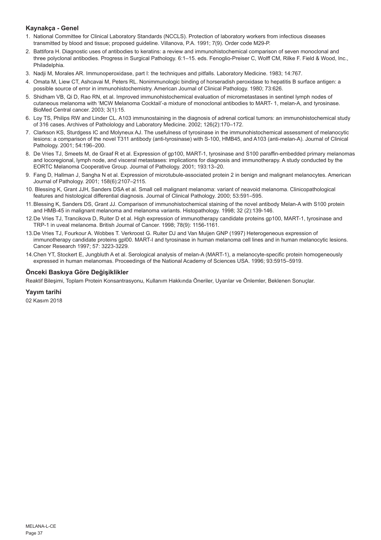## **Kaynakça - Genel**

- 1. National Committee for Clinical Laboratory Standards (NCCLS). Protection of laboratory workers from infectious diseases transmitted by blood and tissue; proposed guideline. Villanova, P.A. 1991; 7(9). Order code M29-P.
- 2. Battifora H. Diagnostic uses of antibodies to keratins: a review and immunohistochemical comparison of seven monoclonal and three polyclonal antibodies. Progress in Surgical Pathology. 6:1–15. eds. Fenoglio-Preiser C, Wolff CM, Rilke F. Field & Wood, Inc., Philadelphia.
- 3. Nadji M, Morales AR. Immunoperoxidase, part I: the techniques and pitfalls. Laboratory Medicine. 1983; 14:767.
- 4. Omata M, Liew CT, Ashcavai M, Peters RL. Nonimmunologic binding of horseradish peroxidase to hepatitis B surface antigen: a possible source of error in immunohistochemistry. American Journal of Clinical Pathology. 1980; 73:626.
- 5. Shidham VB, Qi D, Rao RN, et al. Improved immunohistochemical evaluation of micrometastases in sentinel lymph nodes of cutaneous melanoma with 'MCW Melanoma Cocktail'-a mixture of monoclonal antibodies to MART- 1, melan-A, and tyrosinase. BioMed Central cancer. 2003; 3(1):15.
- 6. Loy TS, Philips RW and Linder CL. A103 immunostaining in the diagnosis of adrenal cortical tumors: an immunohistochemical study of 316 cases. Archives of Patholology and Laboratory Medicine. 2002; 126(2):170–172.
- 7. Clarkson KS, Sturdgess IC and Molyneux AJ. The usefulness of tyrosinase in the immunohistochemical assessment of melanocytic lesions: a comparison of the novel T311 antibody (anti-tyrosinase) with S-100, HMB45, and A103 (anti-melan-A). Journal of Clinical Pathology. 2001; 54:196–200.
- 8. De Vries TJ, Smeets M, de Graaf R et al. Expression of gp100, MART-1, tyrosinase and S100 paraffin-embedded primary melanomas and locoregional, lymph node, and visceral metastases: implications for diagnosis and immunotherapy. A study conducted by the EORTC Melanoma Cooperative Group. Journal of Pathology. 2001; 193:13–20.
- 9. Fang D, Hallman J, Sangha N et al. Expression of microtubule-associated protein 2 in benign and malignant melanocytes. American Journal of Pathology. 2001; 158(6):2107–2115.
- 10. Blessing K, Grant JJH, Sanders DSA et al. Small cell malignant melanoma: variant of neavoid melanoma. Clinicopathological features and histological differential diagnosis. Journal of Clinical Pathology. 2000; 53:591–595.
- 11.Blessing K, Sanders DS, Grant JJ. Comparison of immunohistochemical staining of the novel antibody Melan-A with S100 protein and HMB-45 in malignant melanoma and melanoma variants. Histopathology. 1998; 32 (2):139-146.
- 12.De Vries TJ, Trancikova D, Ruiter D et al. High expression of immunotherapy candidate proteins gp100, MART-1, tyrosinase and TRP-1 in uveal melanoma. British Journal of Cancer. 1998; 78(9): 1156-1161.
- 13.De Vries TJ, Fourkour A. Wobbes T. Verkroost G. Ruiter DJ and Van Muijen GNP (1997) Heterogeneous expression of immunotherapy candidate proteins gpl00. MART-I and tyrosinase in human melanoma cell lines and in human melanocytic lesions. Cancer Research 1997; 57: 3223-3229.
- 14.Chen YT, Stockert E, Jungbluth A et al. Serological analysis of melan-A (MART-1), a melanocyte-specific protein homogeneously expressed in human melanomas. Proceedings of the National Academy of Sciences USA. 1996; 93:5915–5919.

## **Önceki Baskıya Göre Değişiklikler**

Reaktif Bileşimi, Toplam Protein Konsantrasyonu, Kullanım Hakkında Öneriler, Uyarılar ve Önlemler, Beklenen Sonuçlar.

## **Yayım tarihi**

02 Kasım 2018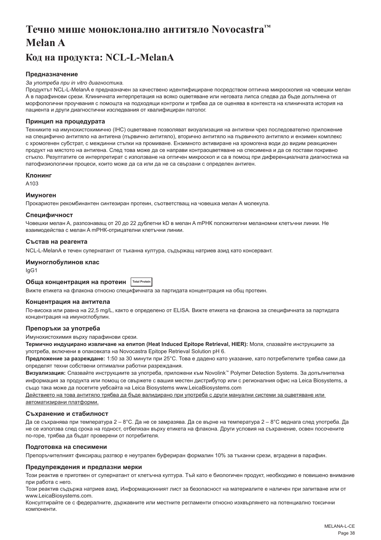# <span id="page-38-0"></span>**Течно мише моноклонално антитяло Novocastra™ Melan A**

## **Код на продукта: NCL-L-MelanA**

## **Предназначение**

#### *За употреба при in vitro диагностика.*

Продуктът NCL-L-MelanA е предназначен за качествено идентифициране посредством оптична микроскопия на човешки мелан А в парафинови срези. Клиничната интерпретация на всяко оцветяване или неговата липса следва да бъде допълнена от морфологични проучвания с помощта на подходящи контроли и трябва да се оценява в контекста на клиничната история на пациента и други диагностични изследвания от квалифициран патолог.

### **Принцип на процедурата**

Техниките на имунохистохимично (IHC) оцветяване позволяват визуализация на антигени чрез последователно приложение на специфично антитяло на антигена (първично антитяло), вторично антитяло на първичното антитяло и ензимен комплекс с хромогенен субстрат, с междинни стъпки на промиване. Ензимното активиране на хромогена води до видим реакционен продукт на мястото на антигена. След това може да се направи контраоцветяване на спесимена и да се постави покривно стъкло. Резултатите се интерпретират с използване на оптичен микроскоп и са в помощ при диференциалната диагностика на патофизиологични процеси, които може да са или да не са свързани с определен антиген.

#### **Клонинг**

A103

#### **Имуноген**

Прокариотен рекомбинантен синтезиран протеин, съответстващ на човешка мелан А молекула.

#### **Специфичност**

Човешки мелан A, разпознаващ от 20 до 22 дублетни kD в мелан A mРНК положителни меланомни клетъчни линии. Не взаимодейства с мелан A mРНК-отрицателни клетъчни линии.

#### **Състав на реагента**

NCL-L-MelanA е течен супернатант от тъканна култура, съдържащ натриев азид като консервант.

#### **Имуноглобулинов клас**

IgG1

## **Обща концентрация на протеин Total Protein**

Вижте етикета на флакона относно специфичната за партидата концентрация на общ протеин.

#### **Концентрация на антитела**

По-висока или равна на 22,5 mg/L, както е определено от ELISA. Вижте етикета на флакона за специфичната за партидата концентрация на имуноглобулин.

## **Препоръки за употреба**

Имунохистохимия върху парафинови срези.

**Термично индуцирано извличане на епитоп (Heat Induced Epitope Retrieval, HIER):** Моля, спазвайте инструкциите за употреба, включени в опаковката на Novocastra Epitope Retrieval Solution pH 6.

**Предложение за разреждане:** 1:50 за 30 минути при 25°C. Това е дадено като указание, като потребителите трябва сами да определят техни собствени оптимални работни разреждания.

**Визуализация:** Спазвайте инструкциите за употреба, приложени към Novolink™ Polymer Detection Systems. За допълнителна информация за продукта или помощ се свържете с вашия местен дистрибутор или с регионалния офис на Leica Biosystems, а също така може да посетите уебсайта на Leica Biosystems www.LeicaBiosystems.com

Действието на това антитяло трябва да бъде валидирано при употреба с други мануални системи за оцветяване или автоматизирани платформи.

#### **Съхранение и стабилност**

Да се съхранява при температура 2 – 8°C. Да не се замразява. Да се върне на температура 2 – 8°C веднага след употреба. Да не се използва след срока на годност, отбелязан върху етикета на флакона. Други условия на съхранение, освен посочените по-горе, трябва да бъдат проверени от потребителя.

## **Подготовка на спесимени**

Препоръчителният фиксиращ разтвор е неутрален буфериран формалин 10% за тъканни срези, вградени в парафин.

#### **Предупреждения и предпазни мерки**

Този реактив е приготвен от супернатант от клетъчна култура. Тъй като е биологичен продукт, необходимо е повишено внимание при работа с него.

Този реактив съдържа натриев азид. Информационният лист за безопасност на материалите е наличен при запитване или от www.LeicaBiosystems.com.

Консултирайте се с федералните, държавните или местните регламенти относно изхвърлянето на потенциално токсични компоненти.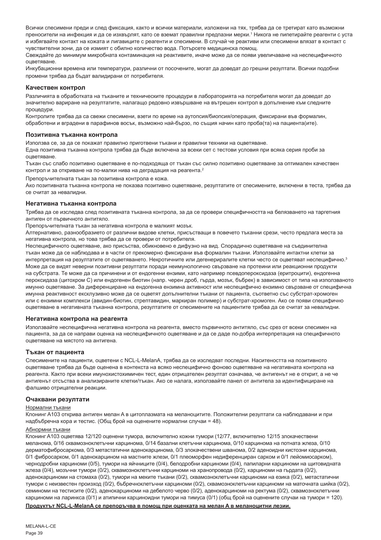Всички спесимени преди и след фиксация, както и всички материали, изложени на тях, трябва да се третират като възможни преносители на инфекция и да се изхвърлят, като се вземат правилни предпазни мерки.' Никога не пипетирайте реагенти с уста и избягвайте контакт на кожата и лигавиците с реагенти и спесимени. В случай че реактиви или спесимени влязат в контакт с чувствителни зони, да се измият с обилно количество вода. Потърсете медицинска помощ.

Свеждайте до минимум микробната контаминация на реактивите, иначе може да се появи увеличаване на неспецифичното оцветяване.

Инкубационни времена или температури, различни от посочените, могат да доведат до грешни резултати. Всички подобни промени трябва да бъдат валидирани от потребителя.

#### **Качествен контрол**

Различията в обработката на тъканите и техническите процедури в лабораторията на потребителя могат да доведат до значително вариране на резултатите, налагащо редовно извършване на вътрешен контрол в допълнение към следните процедури.

Контролите трябва да са свежи спесимени, взети по време на аутопсия/биопсия/операция, фиксирани във формалин, обработени и вградени в парафинов восък, възможно най-бързо, по същия начин като проба(та) на пациента(ите).

#### **Позитивна тъканна контрола**

Използва се, за да се покажат правилно приготвени тъкани и правилни техники на оцветяване.

Една позитивна тъканна контрола трябва да бъде включена за всеки сет с тестови условия при всяка серия проби за оцветяване.

Тъкан със слабо позитивно оцветяване е по-подходяща от тъкан със силно позитивно оцветяване за оптимален качествен контрол и за откриване на по-малки нива на деградация на реагента.<sup>2</sup>

Препоръчителната тъкан за позитивна контрола е кожа.

Ако позитивната тъканна контрола не показва позитивно оцветяване, резултатите от спесимените, включени в теста, трябва да се считат за невалидни.

#### **Негативна тъканна контрола**

Трябва да се изследва след позитивната тъканна контрола, за да се провери специфичността на белязването на таргетния антиген от първичното антитяло.

Препоръчителната тъкан за негативна контрола е малкият мозък.

Алтернативно, разнообразието от различни видове клетки, присъстващи в повечето тъканни срези, често предлага места за негативна контрола, но това трябва да се провери от потребителя.

Неспецифичното оцветяване, ако присъства, обикновено е дифузно на вид. Спорадично оцветяване на съединителна тъкан може да се наблюдава и в части от прекомерно фиксирани във формалин тъкани. Използвайте интактни клетки за интерпретация на резултатите от оцветяването. Некротичните или дегенериралите клетки често се оцветяват неспецифично.<sup>3</sup> Може да се видят неверни позитивни резултати поради неимунологично свързване на протеини или реакционни продукти на субстрата. Те може да са причинени и от ендогенни ензими, като например псевдопероксидаза (еритроцити), ендогенна пероксидаза (цитохром C) или ендогенен биотин (напр. черен дроб, гърда, мозък, бъбрек) в зависимост от типа на използваното имунно оцветяване. За диференциране на ендогенна ензимна активност или неспецифично ензимно свързване от специфична имунна реактивност ексклузивно може да се оцветят допълнителни тъкани от пациента, съответно със субстрат-хромоген или с ензимни комплекси (авидин-биотин, стрептавидин, маркиран полимер) и субстрат-хромоген. Ако се появи специфично оцветяване в негативната тъканна контрола, резултатите от спесимените на пациентите трябва да се считат за невалидни.

#### **Негативна контрола на реагента**

Използвайте неспецифична негативна контрола на реагента, вместо първичното антитяло, със срез от всеки спесимен на пациента, за да се направи оценка на неспецифичното оцветяване и да се даде по-добра интерпретация на специфичното оцветяване на мястото на антигена.

#### **Тъкан от пациента**

Спесимените на пациенти, оцветени с NCL-L-MelanA, трябва да се изследват последни. Наситеността на позитивното оцветяване трябва да бъде оценена в контекста на всяко неспецифично фоново оцветяване на негативната контрола на реагента. Както при всеки имунохистохимичен тест, един отрицателен резултат означава, че антигенът не е открит, а не че антигенът отсъства в анализираните клетки/тъкан. Ако се налага, използвайте панел от антитела за идентифициране на фалшиво отрицателни реакции.

#### **Очаквани резултати**

#### Нормални тъкани

Клонинг A103 открива антиген мелан A в цитоплазмата на меланоцитите. Положителни резултати са наблюдавани и при надбъбречна кора и тестис. (Общ брой на оценените нормални случаи = 48).

#### Абнормни тъкани

Клонинг A103 оцветява 12/120 оценени тумора, включително кожни тумори (12/77, включително 12/15 злокачествени меланома, 0/16 сквамозноклетъчни карцинома, 0/14 базални клетъчни карцинома, 0/10 карцинома на потната жлеза, 0/10 дерматофибросаркома, 0/3 метастатични аденокарцинома, 0/3 злокачествени шванома, 0/2 аденоидни кистозни карцинома, 0/1 фибросарком, 0/1 аденокарцином на мастните жлези, 0/1 плеоморфен недиференциран сарком и 0/1 лейомиосарком), чернодробни карциноми (0/5), тумори на яйчниците (0/4), белодробни карциноми (0/4), папиларни карциноми на щитовидната жлеза (0/4), мозъчни тумори (0/2), сквамозноклетъчни карциноми на хранопровода (0/2), карциноми на гърдата (0/2), аденокарциноми на стомаха (0/2), тумори на меките тъкани (0/2), сквамозноклетъчни карциноми на езика (0/2), метастатични тумори с неизвестен произход (0/2), бъбречноклетъчни карциноми (0/2), сквамозноклетъчни карциноми на маточната шийка (0/2), семиноми на тестисите (0/2), аденокарциноми на дебелото черво (0/2), аденокарциноми на ректума (0/2), сквамозноклетъчни карциноми на ларинкса (0/1) и атипични карциноидни тумори на тимуса (0/1) (общ брой на оценените случаи на тумори = 120).

#### **Продуктът NCL-L-MelanA се препоръчва в помощ при оценката на мелан A в меланоцитни лезии.**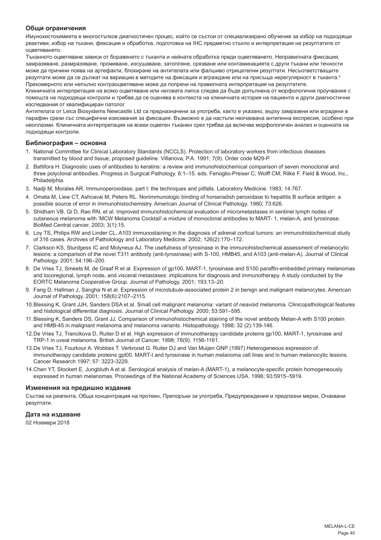## **Общи ограничения**

Имунохистохимията е многостъпков диагностичен процес, който се състои от специализирано обучение за избор на подходящи реактиви, избор на тъкани, фиксация и обработка, подготовка на IHC предметно стъкло и интерпретация на резултатите от оцветяването.

Тъканното оцветяване зависи от боравенето с тъканта и нейната обработка преди оцветяването. Неправилната фиксация, замразяване, размразяване, промиване, изсушаване, затопляне, срязване или контаминацията с други тъкани или течности може да причини поява на артефакти, блокиране на антителата или фалшиво отрицателни резултати. Несъответстващите резултати може да се дължат на вариации в методите на фиксация и вграждане или на присъща нерегулярност в тъканта.4 Прекомерното или непълно контраоцветяване може да попречи на правилната интерпретация на резултатите.

Клиничната интерпретация на всяко оцветяване или неговата липса следва да бъде допълнена от морфологични проучвания с помощта на подходящи контроли и трябва да се оценява в контекста на клиничната история на пациента и други диагностични изследвания от квалифициран патолог.

Антителата от Leica Biosystems Newcastle Ltd са предназначени за употреба, както е указано, върху замразени или вградени в парафин срези със специфични изисквания за фиксация. Възможно е да настъпи неочаквана антигенна експресия, особено при неоплазми. Клиничната интерпретация на всеки оцветен тъканен срез трябва да включва морфологичен анализ и оценката на подходящи контроли.

#### **Библиография – основна**

- 1. National Committee for Clinical Laboratory Standards (NCCLS). Protection of laboratory workers from infectious diseases transmitted by blood and tissue; proposed guideline. Villanova, P.A. 1991; 7(9). Order code M29-P.
- 2. Battifora H. Diagnostic uses of antibodies to keratins: a review and immunohistochemical comparison of seven monoclonal and three polyclonal antibodies. Progress in Surgical Pathology. 6:1–15. eds. Fenoglio-Preiser C, Wolff CM, Rilke F. Field & Wood, Inc., Philadelphia.
- 3. Nadji M, Morales AR. Immunoperoxidase, part I: the techniques and pitfalls. Laboratory Medicine. 1983; 14:767.
- 4. Omata M, Liew CT, Ashcavai M, Peters RL. Nonimmunologic binding of horseradish peroxidase to hepatitis B surface antigen: a possible source of error in immunohistochemistry. American Journal of Clinical Pathology. 1980; 73:626.
- 5. Shidham VB, Qi D, Rao RN, et al. Improved immunohistochemical evaluation of micrometastases in sentinel lymph nodes of cutaneous melanoma with 'MCW Melanoma Cocktail'-a mixture of monoclonal antibodies to MART- 1, melan-A, and tyrosinase. BioMed Central cancer. 2003; 3(1):15.
- 6. Loy TS, Philips RW and Linder CL. A103 immunostaining in the diagnosis of adrenal cortical tumors: an immunohistochemical study of 316 cases. Archives of Patholology and Laboratory Medicine. 2002; 126(2):170–172.
- 7. Clarkson KS, Sturdgess IC and Molyneux AJ. The usefulness of tyrosinase in the immunohistochemical assessment of melanocytic lesions: a comparison of the novel T311 antibody (anti-tyrosinase) with S-100, HMB45, and A103 (anti-melan-A). Journal of Clinical Pathology. 2001; 54:196–200.
- 8. De Vries TJ, Smeets M, de Graaf R et al. Expression of gp100, MART-1, tyrosinase and S100 paraffin-embedded primary melanomas and locoregional, lymph node, and visceral metastases: implications for diagnosis and immunotherapy. A study conducted by the EORTC Melanoma Cooperative Group. Journal of Pathology. 2001; 193:13–20.
- 9. Fang D, Hallman J, Sangha N et al. Expression of microtubule-associated protein 2 in benign and malignant melanocytes. American Journal of Pathology. 2001; 158(6):2107–2115.
- 10.Blessing K, Grant JJH, Sanders DSA et al. Small cell malignant melanoma: variant of neavoid melanoma. Clinicopathological features and histological differential diagnosis. Journal of Clinical Pathology. 2000; 53:591–595.
- 11.Blessing K, Sanders DS, Grant JJ. Comparison of immunohistochemical staining of the novel antibody Melan-A with S100 protein and HMB-45 in malignant melanoma and melanoma variants. Histopathology. 1998; 32 (2):139-146.
- 12.De Vries TJ, Trancikova D, Ruiter D et al. High expression of immunotherapy candidate proteins gp100, MART-1, tyrosinase and TRP-1 in uveal melanoma. British Journal of Cancer. 1998; 78(9): 1156-1161.
- 13.De Vries TJ, Fourkour A. Wobbes T. Verkroost G. Ruiter DJ and Van Muijen GNP (1997) Heterogeneous expression of immunotherapy candidate proteins gpl00. MART-I and tyrosinase in human melanoma cell lines and in human melanocytic lesions. Cancer Research 1997; 57: 3223-3229.
- 14.Chen YT, Stockert E, Jungbluth A et al. Serological analysis of melan-A (MART-1), a melanocyte-specific protein homogeneously expressed in human melanomas. Proceedings of the National Academy of Sciences USA. 1996; 93:5915–5919.

#### **Изменения на предишно издание**

Състав на реагента, Обща концентрация на протеин, Препоръки за употреба, Предупреждения и предпазни мерки, Очаквани резултати.

#### **Дата на издаване**

02 Ноември 2018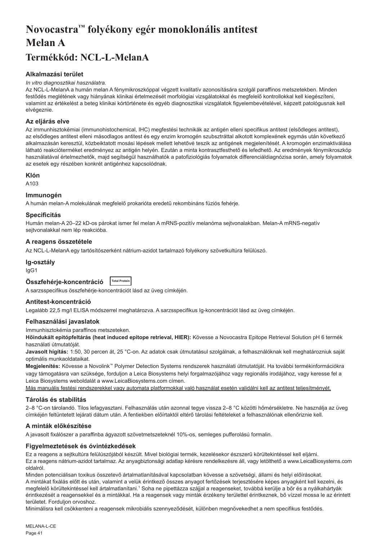# <span id="page-41-0"></span>**Novocastra™ folyékony egér monoklonális antitest Melan A**

## **Termékkód: NCL-L-MelanA**

## **Alkalmazási terület**

#### *In vitro diagnosztikai használatra.*

Az NCL-L-MelanA a humán melan A fénymikroszkóppal végzett kvalitatív azonosítására szolgál paraffinos metszetekben. Minden festődés meglétének vagy hiányának klinikai értelmezését morfológiai vizsgálatokkal és megfelelő kontrollokkal kell kiegészíteni, valamint az értékelést a beteg klinikai kórtörténete és egyéb diagnosztikai vizsgálatok figyelembevételével, képzett patológusnak kell elvégeznie.

## **Az eljárás elve**

Az immunhisztokémiai (immunohistochemical, IHC) megfestési technikák az antigén elleni specifikus antitest (elsődleges antitest), az elsődleges antitest elleni másodlagos antitest és egy enzim kromogén szubsztráttal alkotott komplexének egymás után következő alkalmazásán keresztül, közbeiktatott mosási lépések mellett lehetővé teszik az antigének megjelenítését. A kromogén enzimaktiválása látható reakcióterméket eredményez az antigén helyén. Ezután a minta kontrasztfesthető és lefedhető. Az eredmények fénymikroszkóp használatával értelmezhetők, majd segítségül használhatók a patofiziológiás folyamatok differenciáldiagnózisa során, amely folyamatok az esetek egy részében konkrét antigénhez kapcsolódnak.

## **Klón**

A103

## **Immunogén**

A humán melan-A molekulának megfelelő prokarióta eredetű rekombináns fúziós fehérje.

## **Specificitás**

Humán melan-A 20–22 kD-os párokat ismer fel melan A mRNS-pozitív melanóma sejtvonalakban. Melan-A mRNS-negatív sejtvonalakkal nem lép reakcióba.

## **A reagens összetétele**

Az NCL-L-MelanA egy tartósítószerként nátrium-azidot tartalmazó folyékony szövetkultúra felülúszó.

## **Ig-osztály**

IgG1

**Összfehérje-koncentráció Total Protein**

A sarzsspecifikus összfehérje-koncentrációt lásd az üveg címkéjén.

## **Antitest-koncentráció**

Legalább 22,5 mg/l ELISA módszerrel meghatározva. A sarzsspecifikus Ig-koncentrációt lásd az üveg címkéjén.

## **Felhasználási javaslatok**

Immunhisztokémia paraffinos metszeteken.

**Hőindukált epitópfeltárás (heat induced epitope retrieval, HIER):** Kövesse a Novocastra Epitope Retrieval Solution pH 6 termék használati útmutatóját.

**Javasolt hígítás:** 1:50, 30 percen át, 25 °C-on. Az adatok csak útmutatásul szolgálnak, a felhasználóknak kell meghatározniuk saját optimális munkaoldataikat.

**Megjelenítés:** Kövesse a Novolink™ Polymer Detection Systems rendszerek használati útmutatóját. Ha további termékinformációkra vagy támogatásra van szüksége, forduljon a Leica Biosystems helyi forgalmazójához vagy regionális irodájához, vagy keresse fel a Leica Biosystems weboldalát a www.LeicaBiosystems.com címen.

Más manuális festési rendszerekkel vagy automata platformokkal való használat esetén validálni kell az antitest teljesítményét.

## **Tárolás és stabilitás**

2–8 °C-on tárolandó. Tilos lefagyasztani. Felhasználás után azonnal tegye vissza 2–8 °C közötti hőmérsékletre. Ne használja az üveg címkéjén feltüntetett lejárati dátum után. A fentiekben előírtaktól eltérő tárolási feltételeket a felhasználónak ellenőriznie kell.

## **A minták előkészítése**

A javasolt fixálószer a paraffinba ágyazott szövetmetszeteknél 10%-os, semleges pufferolású formalin.

## **Figyelmeztetések és óvintézkedések**

Ez a reagens a sejtkultúra felülúszójából készült. Mivel biológiai termék, kezelésekor észszerű körültekintéssel kell eljárni. Ez a reagens nátrium-azidot tartalmaz. Az anyagbiztonsági adatlap kérésre rendelkezésre áll, vagy letölthető a www.LeicaBiosystems.com oldalról.

Minden potenciálisan toxikus összetevő ártalmatlanításával kapcsolatban kövesse a szövetségi, állami és helyi előírásokat. A mintákat fixálás előtt és után, valamint a velük érintkező összes anyagot fertőzések terjesztésére képes anyagként kell kezelni, és megfelelő körültekintéssel kell ártalmatlanítani.1 Soha ne pipettázza szájjal a reagenseket, továbbá kerülje a bőr és a nyálkahártyák érintkezését a reagensekkel és a mintákkal. Ha a reagensek vagy minták érzékeny területtel érintkeznek, bő vízzel mossa le az érintett területet. Forduljon orvoshoz.

Minimálisra kell csökkenteni a reagensek mikrobiális szennyeződését, különben megnövekedhet a nem specifikus festődés.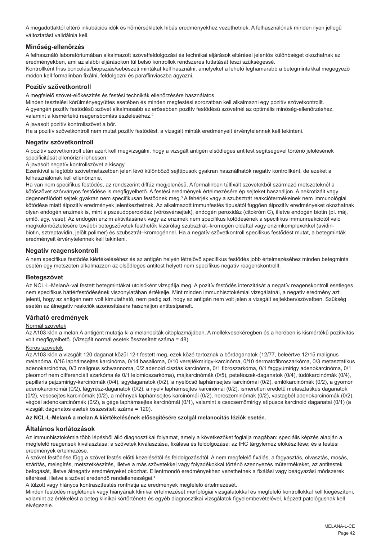A megadottaktól eltérő inkubációs idők és hőmérsékletek hibás eredményekhez vezethetnek. A felhasználónak minden ilyen jellegű változtatást validálnia kell.

## **Minőség-ellenőrzés**

A felhasználó laboratóriumában alkalmazott szövetfeldolgozási és technikai eljárások eltérései jelentős különbséget okozhatnak az eredményekben, ami az alábbi eljárásokon túl belső kontrollok rendszeres futtatását teszi szükségessé. Kontrollként friss boncolási/biopsziás/sebészeti mintákat kell használni, amelyeket a lehető leghamarabb a betegmintákkal megegyező módon kell formalinban fixálni, feldolgozni és paraffinviaszba ágyazni.

## **Pozitív szövetkontroll**

A megfelelő szövet-előkészítés és festési technikák ellenőrzésére használatos.

Minden tesztelési körülményegyüttes esetében és minden megfestési sorozatban kell alkalmazni egy pozitív szövetkontrollt. A gyengén pozitív festődésű szövet alkalmasabb az erősebben pozitív festődésű szövetnél az optimális minőség-ellenőrzéshez, valamint a kismértékű reagensbomlás észleléséhez.<sup>2</sup>

A javasolt pozitív kontrollszövet a bőr.

Ha a pozitív szövetkontroll nem mutat pozitív festődést, a vizsgált minták eredményeit érvénytelennek kell tekinteni.

## **Negatív szövetkontroll**

A pozitív szövetkontroll után azért kell megvizsgálni, hogy a vizsgált antigén elsődleges antitest segítségével történő jelölésének specificitását ellenőrizni lehessen.

A javasolt negatív kontrollszövet a kisagy.

Ezenkívül a legtöbb szövetmetszetben jelen lévő különböző sejttípusok gyakran használhatók negatív kontrollként, de ezeket a felhasználónak kell ellenőriznie.

Ha van nem specifikus festődés, az rendszerint diffúz megjelenésű. A formalinban túlfixált szövetekből származó metszeteknél a kötőszövet szórványos festődése is megfigyelhető. A festési eredmények értelmezésére ép sejteket használjon. A nekrotizált vagy degenerálódott sejtek gyakran nem specifikusan festődnek meg.<sup>3</sup> A fehérjék vagy a szubsztrát reakciótermékeinek nem immunológiai kötődése miatt álpozitív eredmények jelentkezhetnek. Az alkalmazott immunfestés típusától függően álpozitív eredményeket okozhatnak olyan endogén enzimek is, mint a pszeudoperoxidáz (vörösvérsejtek), endogén peroxidáz (citokróm C), illetve endogén biotin (pl. máj, emlő, agy, vese). Az endogén enzim aktivitásának vagy az enzimek nem specifikus kötődésének a specifikus immunreakciótól való megkülönböztetésére további betegszövetek festhetők kizárólag szubsztrát–kromogén oldattal vagy enzimkomplexekkel (avidinbiotin, sztreptavidin, jelölt polimer) és szubsztrát–kromogénnel. Ha a negatív szövetkontroll specifikus festődést mutat, a betegminták eredményeit érvénytelennek kell tekinteni.

## **Negatív reagenskontroll**

A nem specifikus festődés kiértékeléséhez és az antigén helyén létrejövő specifikus festődés jobb értelmezéséhez minden betegminta esetén egy metszeten alkalmazzon az elsődleges antitest helyett nem specifikus negatív reagenskontrollt.

## **Betegszövet**

Az NCL-L-MelanA-val festett betegmintákat utolsóként vizsgálja meg. A pozitív festődés intenzitását a negatív reagenskontroll esetleges nem specifikus háttérfestődésének viszonylatában értékelje. Mint minden immunhisztokémiai vizsgálatnál, a negatív eredmény azt jelenti, hogy az antigén nem volt kimutatható, nem pedig azt, hogy az antigén nem volt jelen a vizsgált sejtekben/szövetben. Szükség esetén az álnegatív reakciók azonosítására használjon antitestpanelt.

## **Várható eredmények**

#### Normál szövetek

Az A103 klón a melan A antigént mutatja ki a melanociták citoplazmájában. A mellékvesekéregben és a herében is kismértékű pozitivitás volt megfigyelhető. (Vizsgált normál esetek összesített száma = 48).

#### Kóros szövetek

Az A103 klón a vizsgált 120 daganat közül 12-t festett meg, ezek közé tartoznak a bőrdaganatok (12/77, beleértve 12/15 malignus melanóma, 0/16 laphámsejtes karcinóma, 0/14 basalioma, 0/10 verejtékmirigy-karcinóma, 0/10 dermatofibroszarkóma, 0/3 metasztatikus adenokarcinóma, 0/3 malignus schwannoma, 0/2 adenoid cisztás karcinóma, 0/1 fibroszarkóma, 0/1 faggyúmirigy adenokarcinóma, 0/1 pleomorf nem differenciált szarkóma és 0/1 leiomioszarkóma), májkarcinómák (0/5), petefészek-daganatok (0/4), tüdőkarcinómák (0/4), papilláris pajzsmirigy-karcinómák (0/4), agydaganatok (0/2), a nyelőcső laphámsejtes karcinómái (0/2), emlőkarcinómák (0/2), a gyomor adenokarcinómái (0/2), lágyrész-daganatok (0/2), a nyelv laphámsejtes karcinómái (0/2), ismeretlen eredetű metasztatikus daganatok (0/2), vesesejtes karcinómák (0/2), a méhnyak laphámsejtes karcinómái (0/2), hereszeminómák (0/2), vastagbél adenokarcinómák (0/2), végbél adenokarcinómák (0/2), a gége laphámsejtes karcinómái (0/1), valamint a csecsemőmirigy atípusos karcinoid daganatai (0/1) (a vizsgált daganatos esetek összesített száma = 120).

#### **Az NCL-L-MelanA a melan A kiértékelésének elősegítésére szolgál melanocitás léziók esetén.**

## **Általános korlátozások**

Az immunhisztokémia több lépésből álló diagnosztikai folyamat, amely a következőket foglalja magában: speciális képzés alapján a megfelelő reagensek kiválasztása; a szövetek kiválasztása, fixálása és feldolgozása; az IHC tárgylemez előkészítése; és a festési eredmények értelmezése.

A szövet festődése függ a szövet festés előtti kezelésétől és feldolgozásától. A nem megfelelő fixálás, a fagyasztás, olvasztás, mosás, szárítás, melegítés, metszetkészítés, illetve a más szövetekkel vagy folyadékokkal történő szennyezés műtermékeket, az antitestek befogását, illetve álnegatív eredményeket okozhat. Ellentmondó eredményekhez vezethetnek a fixálási vagy beágyazási módszerek eltérései, illetve a szövet eredendő rendellenességei.4

A túlzott vagy hiányos kontrasztfestés ronthatja az eredmények megfelelő értelmezését.

Minden festődés meglétének vagy hiányának klinikai értelmezését morfológiai vizsgálatokkal és megfelelő kontrollokkal kell kiegészíteni, valamint az értékelést a beteg klinikai kórtörténete és egyéb diagnosztikai vizsgálatok figyelembevételével, képzett patológusnak kell elvégeznie.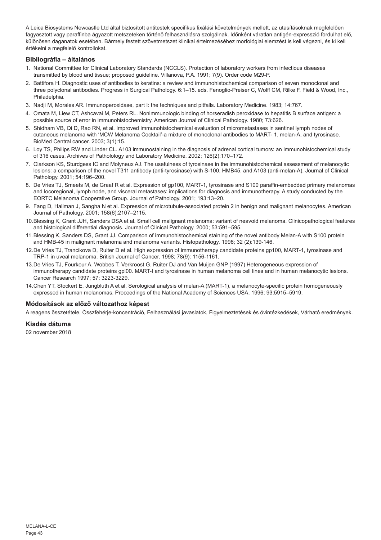A Leica Biosystems Newcastle Ltd által biztosított antitestek specifikus fixálási követelmények mellett, az utasításoknak megfelelően fagyasztott vagy paraffinba ágyazott metszeteken történő felhasználásra szolgálnak. Időnként váratlan antigén-expresszió fordulhat elő, különösen daganatok esetében. Bármely festett szövetmetszet klinikai értelmezéséhez morfológiai elemzést is kell végezni, és ki kell értékelni a megfelelő kontrollokat.

## **Bibliográfia – általános**

- 1. National Committee for Clinical Laboratory Standards (NCCLS). Protection of laboratory workers from infectious diseases transmitted by blood and tissue; proposed guideline. Villanova, P.A. 1991; 7(9). Order code M29-P.
- 2. Battifora H. Diagnostic uses of antibodies to keratins: a review and immunohistochemical comparison of seven monoclonal and three polyclonal antibodies. Progress in Surgical Pathology. 6:1–15. eds. Fenoglio-Preiser C, Wolff CM, Rilke F. Field & Wood, Inc., Philadelphia.
- 3. Nadji M, Morales AR. Immunoperoxidase, part I: the techniques and pitfalls. Laboratory Medicine. 1983; 14:767.
- 4. Omata M, Liew CT, Ashcavai M, Peters RL. Nonimmunologic binding of horseradish peroxidase to hepatitis B surface antigen: a possible source of error in immunohistochemistry. American Journal of Clinical Pathology. 1980; 73:626.
- 5. Shidham VB, Qi D, Rao RN, et al. Improved immunohistochemical evaluation of micrometastases in sentinel lymph nodes of cutaneous melanoma with 'MCW Melanoma Cocktail'-a mixture of monoclonal antibodies to MART- 1, melan-A, and tyrosinase. BioMed Central cancer. 2003; 3(1):15.
- 6. Loy TS, Philips RW and Linder CL. A103 immunostaining in the diagnosis of adrenal cortical tumors: an immunohistochemical study of 316 cases. Archives of Patholology and Laboratory Medicine. 2002; 126(2):170–172.
- 7. Clarkson KS, Sturdgess IC and Molyneux AJ. The usefulness of tyrosinase in the immunohistochemical assessment of melanocytic lesions: a comparison of the novel T311 antibody (anti-tyrosinase) with S-100, HMB45, and A103 (anti-melan-A). Journal of Clinical Pathology. 2001; 54:196–200.
- 8. De Vries TJ, Smeets M, de Graaf R et al. Expression of gp100, MART-1, tyrosinase and S100 paraffin-embedded primary melanomas and locoregional, lymph node, and visceral metastases: implications for diagnosis and immunotherapy. A study conducted by the EORTC Melanoma Cooperative Group. Journal of Pathology. 2001; 193:13–20.
- 9. Fang D, Hallman J, Sangha N et al. Expression of microtubule-associated protein 2 in benign and malignant melanocytes. American Journal of Pathology. 2001; 158(6):2107–2115.
- 10.Blessing K, Grant JJH, Sanders DSA et al. Small cell malignant melanoma: variant of neavoid melanoma. Clinicopathological features and histological differential diagnosis. Journal of Clinical Pathology. 2000; 53:591–595.
- 11.Blessing K, Sanders DS, Grant JJ. Comparison of immunohistochemical staining of the novel antibody Melan-A with S100 protein and HMB-45 in malignant melanoma and melanoma variants. Histopathology. 1998; 32 (2):139-146.
- 12.De Vries TJ, Trancikova D, Ruiter D et al. High expression of immunotherapy candidate proteins gp100, MART-1, tyrosinase and TRP-1 in uveal melanoma. British Journal of Cancer. 1998; 78(9): 1156-1161.
- 13.De Vries TJ, Fourkour A. Wobbes T. Verkroost G. Ruiter DJ and Van Muijen GNP (1997) Heterogeneous expression of immunotherapy candidate proteins gpl00. MART-I and tyrosinase in human melanoma cell lines and in human melanocytic lesions. Cancer Research 1997; 57: 3223-3229.
- 14.Chen YT, Stockert E, Jungbluth A et al. Serological analysis of melan-A (MART-1), a melanocyte-specific protein homogeneously expressed in human melanomas. Proceedings of the National Academy of Sciences USA. 1996; 93:5915–5919.

#### **Módosítások az előző változathoz képest**

A reagens összetétele, Összfehérje-koncentráció, Felhasználási javaslatok, Figyelmeztetések és óvintézkedések, Várható eredmények.

**Kiadás dátuma**

02 november 2018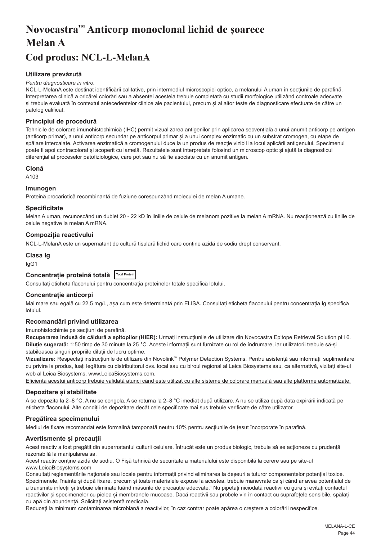# <span id="page-44-0"></span>**Novocastra™ Anticorp monoclonal lichid de șoarece Melan A**

## **Cod produs: NCL-L-MelanA**

## **Utilizare prevăzută**

#### *Pentru diagnosticare in vitro.*

NCL-L-MelanA este destinat identificării calitative, prin intermediul microscopiei optice, a melanului A uman în secțiunile de parafină. Interpretarea clinică a oricărei colorări sau a absenței acesteia trebuie completată cu studii morfologice utilizând controale adecvate și trebuie evaluată în contextul antecedentelor clinice ale pacientului, precum și al altor teste de diagnosticare efectuate de către un patolog calificat.

## **Principiul de procedură**

Tehnicile de colorare imunohistochimică (IHC) permit vizualizarea antigenilor prin aplicarea secvențială a unui anumit anticorp pe antigen (anticorp primar), a unui anticorp secundar pe anticorpul primar și a unui complex enzimatic cu un substrat cromogen, cu etape de spălare intercalate. Activarea enzimatică a cromogenului duce la un produs de reacție vizibil la locul aplicării antigenului. Specimenul poate fi apoi contracolorat și acoperit cu lamelă. Rezultatele sunt interpretate folosind un microscop optic și ajută la diagnosticul diferențial al proceselor patofiziologice, care pot sau nu să fie asociate cu un anumit antigen.

## **Clonă**

A103

## **Imunogen**

Proteină procariotică recombinantă de fuziune corespunzând moleculei de melan A umane.

## **Specificitate**

Melan A uman, recunoscând un dublet 20 - 22 kD în liniile de celule de melanom pozitive la melan A mRNA. Nu reacționează cu liniile de celule negative la melan A mRNA.

## **Compoziția reactivului**

NCL-L-MelanA este un supernatant de cultură tisulară lichid care conține azidă de sodiu drept conservant.

#### **Clasa Ig**

IgG1

## **Concentrație proteină totală Total Protein**

Consultați eticheta flaconului pentru concentrația proteinelor totale specifică lotului.

## **Concentrație anticorpi**

Mai mare sau egală cu 22,5 mg/L, așa cum este determinată prin ELISA. Consultați eticheta flaconului pentru concentrația Ig specifică lotului.

## **Recomandări privind utilizarea**

Imunohistochimie pe secțiuni de parafină.

**Recuperarea indusă de căldură a epitopilor (HIER):** Urmați instrucțiunile de utilizare din Novocastra Epitope Retrieval Solution pH 6. **Diluție sugerată:** 1:50 timp de 30 minute la 25 °C. Aceste informații sunt furnizate cu rol de îndrumare, iar utilizatorii trebuie să-și stabilească singuri propriile diluții de lucru optime.

**Vizualizare:** Respectați instrucțiunile de utilizare din Novolink™ Polymer Detection Systems. Pentru asistență sau informații suplimentare cu privire la produs, luați legătura cu distribuitorul dvs. local sau cu biroul regional al Leica Biosystems sau, ca alternativă, vizitați site-ul web al Leica Biosystems, www.LeicaBiosystems.com.

Eficiența acestui anticorp trebuie validată atunci când este utilizat cu alte sisteme de colorare manuală sau alte platforme automatizate.

#### **Depozitare și stabilitate**

A se depozita la 2–8 °C. A nu se congela. A se returna la 2–8 °C imediat după utilizare. A nu se utiliza după data expirării indicată pe eticheta flaconului. Alte condiții de depozitare decât cele specificate mai sus trebuie verificate de către utilizator.

## **Pregătirea specimenului**

Mediul de fixare recomandat este formalină tamponată neutru 10% pentru secțiunile de țesut încorporate în parafină.

#### **Avertismente și precauții**

Acest reactiv a fost pregătit din supernatantul culturii celulare. Întrucât este un produs biologic, trebuie să se acționeze cu prudență rezonabilă la manipularea sa.

Acest reactiv conține azidă de sodiu. O Fișă tehnică de securitate a materialului este disponibilă la cerere sau pe site-ul www.LeicaBiosystems.com

Consultați reglementările naționale sau locale pentru informații privind eliminarea la deșeuri a tuturor componentelor potențial toxice. Specimenele, înainte și după fixare, precum și toate materialele expuse la acestea, trebuie manevrate ca și când ar avea potențialul de a transmite infecții și trebuie eliminate luând măsurile de precauție adecvate.<sup>1</sup> Nu pipetați niciodată reactivii cu gura și evitați contactul reactivilor și specimenelor cu pielea și membranele mucoase. Dacă reactivii sau probele vin în contact cu suprafețele sensibile, spălați cu apă din abundență. Solicitați asistență medicală.

Reduceți la minimum contaminarea microbiană a reactivilor, în caz contrar poate apărea o creștere a colorării nespecifice.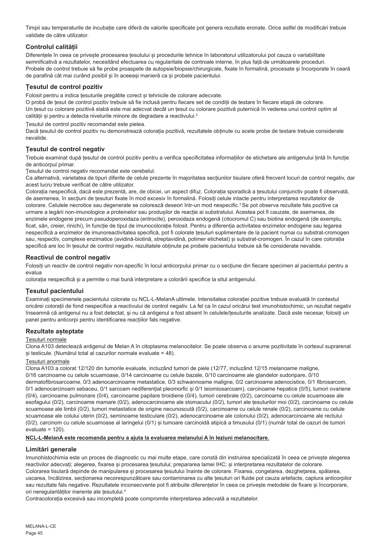Timpii sau temperaturile de incubație care diferă de valorile specificate pot genera rezultate eronate. Orice astfel de modificări trebuie validate de către utilizator.

## **Controlul calității**

Diferentele în ceea ce priveste procesarea tesutului și procedurile tehnice în laboratorul utilizatorului pot cauza o variabilitate semnificativă a rezultatelor, necesitând efectuarea cu regularitate de controale interne, în plus față de următoarele proceduri. Probele de control trebuie să fie probe proaspete de autopsie/biopsie/chirurgicale, fixate în formalină, procesate și încorporate în ceară de parafină cât mai curând posibil și în aceeași manieră ca și probele pacientului.

## **Țesutul de control pozitiv**

Folosit pentru a indica țesuturile pregătite corect și tehnicile de colorare adecvate.

O probă de țesut de control pozitiv trebuie să fie inclusă pentru fiecare set de condiții de testare în fiecare etapă de colorare. Un țesut cu colorare pozitivă slabă este mai adecvat decât un țesut cu colorare pozitivă puternică în vederea unui control optim al calității și pentru a detecta nivelurile minore de degradare a reactivului.<sup>2</sup>

Țesutul de control pozitiv recomandat este pielea.

Dacă țesutul de control pozitiv nu demonstrează colorația pozitivă, rezultatele obținute cu acele probe de testare trebuie considerate nevalide.

## **Țesutul de control negativ**

Trebuie examinat după țesutul de control pozitiv pentru a verifica specificitatea informațiilor de etichetare ale antigenului țintă în funcție de anticorpul primar.

Țesutul de control negativ recomandat este cerebelul.

Ca alternativă, varietatea de tipuri diferite de celule prezente în majoritatea secțiunilor tisulare oferă frecvent locuri de control negativ, dar acest lucru trebuie verificat de către utilizator.

Colorația nespecifică, dacă este prezentă, are, de obicei, un aspect difuz. Colorația sporadică a țesutului conjunctiv poate fi observată, de asemenea, în secțiuni de țesuturi fixate în mod excesiv în formalină. Folosiți celule intacte pentru interpretarea rezultatelor de colorare. Celulele necrotice sau degenerate se colorează deseori într-un mod nespecific.<sup>3</sup> Se pot observa rezultate fals pozitive ca urmare a legării non-imunologice a proteinelor sau produșilor de reacție ai substratului. Acestea pot fi cauzate, de asemenea, de enzimele endogene precum pseudoperoxidaza (eritrocite), peroxidaza endogenă (citocromul C) sau biotina endogenă (de exemplu, ficat, sân, creier, rinichi), în funcție de tipul de imunocolorație folosit. Pentru a diferenția activitatea enzimelor endogene sau legarea nespecifică a enzimelor de imunoreactivitatea specifică, pot fi colorate țesuturi suplimentare de la pacient numai cu substrat-cromogen sau, respectiv, complexe enzimatice (avidină-biotină, streptavidină, polimer etichetat) și substrat-cromogen. În cazul în care colorația specifică are loc în țesutul de control negativ, rezultatele obținute pe probele pacientului trebuie să fie considerate nevalide.

## **Reactivul de control negativ**

Folosiți un reactiv de control negativ non-specific în locul anticorpului primar cu o secțiune din fiecare specimen al pacientului pentru a evalua

colorația nespecifică și a permite o mai bună interpretare a colorării specifice la situl antigenului.

#### **Țesutul pacientului**

Examinați specimenele pacientului colorate cu NCL-L-MelanA ultimele. Intensitatea colorației pozitive trebuie evaluată în contextul oricărei colorații de fond nespecifice a reactivului de control negativ. La fel ca în cazul oricărui test imunohistochimic, un rezultat negativ înseamnă că antigenul nu a fost detectat, și nu că antigenul a fost absent în celulele/țesuturile analizate. Dacă este necesar, folosiți un panel pentru anticorpi pentru identificarea reacțiilor fals negative.

## **Rezultate așteptate**

#### Țesuturi normale

Clona A103 detectează antigenul de Melan A în citoplasma melanocitelor. Se poate observa o anume pozitivitate în cortexul suprarenal și testicule. (Numărul total al cazurilor normale evaluate = 48).

#### Țesuturi anormale

Clona A103 a colorat 12/120 din tumorile evaluate, incluzând tumori de piele (12/77, incluzând 12/15 melanoame maligne, 0/16 carcinoame cu celule scuamoase, 0/14 carcinoame cu celule bazale, 0/10 carcinoame ale glandelor sudoripare, 0/10 dermatofibrosarcoame, 0/3 adenocarcinoame metastatice, 0/3 schwannoame maligne, 0/2 carcinoame adenocistice, 0/1 fibrosarcom, 0/1 adenocarcinoam sebaceu, 0/1 sarcoam nediferențiat pleomorfic și 0/1 leiomiosarcoam), carcinoame hepatice (0/5), tumori ovariene (0/4), carcinoame pulmonare (0/4), carcinoame papilare tiroidiene (0/4), tumori cerebrale (0/2), carcinoame cu celule scuamoase ale esofagului (0/2), carcinoame mamare (0/2), adenocarcinoame ale stomacului (0/2), tumori ale tesuturilor moi (0/2), carcinoame cu celule scuamoase ale limbii (0/2), tumori metastatice de origine necunoscută (0/2), carcinoame cu celule renale (0/2), carcinoame cu celule scuamoase ale colului uterin (0/2), seminoame testiculare (0/2), adenocarcinoame ale colonului (0/2), adenocarcinoame ale rectului (0/2), carcinom cu celule scuamoase al laringelui (0/1) și tumoare carcinoidă atipică a timusului (0/1) (număr total de cazuri de tumori  $Pvaluate = 120$ 

#### **NCL-L-MelanA este recomanda pentru a ajuta la evaluarea melanului A în leziuni melanocitare.**

## **Limitări generale**

Imunohistochimia este un proces de diagnostic cu mai multe etape, care constă din instruirea specializată în ceea ce privește alegerea reactivilor adecvați; alegerea, fixarea și procesarea țesutului; prepararea lamei IHC; și interpretarea rezultatelor de colorare. Colorarea tisulară depinde de manipularea și procesarea tesutului înainte de colorare. Fixarea, congelarea, dezghetarea, spălarea, uscarea, încălzirea, secționarea necorespunzătoare sau contaminarea cu alte țesuturi ori fluide pot cauza artefacte, captura anticorpilor sau rezultate fals negative. Rezultatele inconsecvente pot fi atribuite diferentelor în ceea ce priveste metodele de fixare și încorporare, ori neregularităților inerente ale tesutului.<sup>4</sup>

Contracolorația excesivă sau incompletă poate compromite interpretarea adecvată a rezultatelor.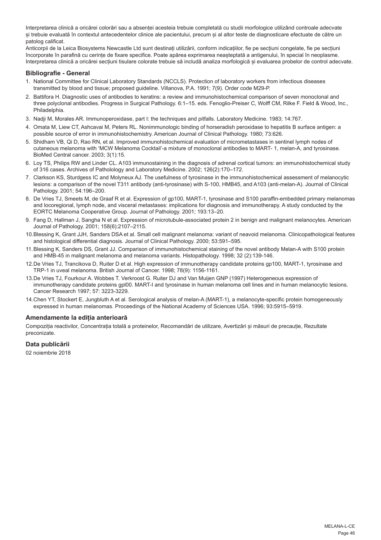Interpretarea clinică a oricărei colorări sau a absenței acesteia trebuie completată cu studii morfologice utilizând controale adecvate și trebuie evaluată în contextul antecedentelor clinice ale pacientului, precum și al altor teste de diagnosticare efectuate de către un patolog calificat.

Anticorpii de la Leica Biosystems Newcastle Ltd sunt destinați utilizării, conform indicațiilor, fie pe secțiuni congelate, fie pe secțiuni încorporate în parafină cu cerințe de fixare specifice. Poate apărea exprimarea neașteptată a antigenului, în special în neoplasme. Interpretarea clinică a oricărei secțiuni tisulare colorate trebuie să includă analiza morfologică și evaluarea probelor de control adecvate.

## **Bibliografie - General**

- 1. National Committee for Clinical Laboratory Standards (NCCLS). Protection of laboratory workers from infectious diseases transmitted by blood and tissue; proposed guideline. Villanova, P.A. 1991; 7(9). Order code M29-P.
- 2. Battifora H. Diagnostic uses of antibodies to keratins: a review and immunohistochemical comparison of seven monoclonal and three polyclonal antibodies. Progress in Surgical Pathology. 6:1–15. eds. Fenoglio-Preiser C, Wolff CM, Rilke F. Field & Wood, Inc., Philadelphia.
- 3. Nadji M, Morales AR. Immunoperoxidase, part I: the techniques and pitfalls. Laboratory Medicine. 1983; 14:767.
- 4. Omata M, Liew CT, Ashcavai M, Peters RL. Nonimmunologic binding of horseradish peroxidase to hepatitis B surface antigen: a possible source of error in immunohistochemistry. American Journal of Clinical Pathology. 1980; 73:626.
- 5. Shidham VB, Qi D, Rao RN, et al. Improved immunohistochemical evaluation of micrometastases in sentinel lymph nodes of cutaneous melanoma with 'MCW Melanoma Cocktail'-a mixture of monoclonal antibodies to MART- 1, melan-A, and tyrosinase. BioMed Central cancer. 2003; 3(1):15.
- 6. Loy TS, Philips RW and Linder CL. A103 immunostaining in the diagnosis of adrenal cortical tumors: an immunohistochemical study of 316 cases. Archives of Patholology and Laboratory Medicine. 2002; 126(2):170–172.
- 7. Clarkson KS, Sturdgess IC and Molyneux AJ. The usefulness of tyrosinase in the immunohistochemical assessment of melanocytic lesions: a comparison of the novel T311 antibody (anti-tyrosinase) with S-100, HMB45, and A103 (anti-melan-A). Journal of Clinical Pathology. 2001; 54:196–200.
- 8. De Vries TJ, Smeets M, de Graaf R et al. Expression of gp100, MART-1, tyrosinase and S100 paraffin-embedded primary melanomas and locoregional, lymph node, and visceral metastases: implications for diagnosis and immunotherapy. A study conducted by the EORTC Melanoma Cooperative Group. Journal of Pathology. 2001; 193:13–20.
- 9. Fang D, Hallman J, Sangha N et al. Expression of microtubule-associated protein 2 in benign and malignant melanocytes. American Journal of Pathology. 2001; 158(6):2107–2115.
- 10.Blessing K, Grant JJH, Sanders DSA et al. Small cell malignant melanoma: variant of neavoid melanoma. Clinicopathological features and histological differential diagnosis. Journal of Clinical Pathology. 2000; 53:591–595.
- 11.Blessing K, Sanders DS, Grant JJ. Comparison of immunohistochemical staining of the novel antibody Melan-A with S100 protein and HMB-45 in malignant melanoma and melanoma variants. Histopathology. 1998; 32 (2):139-146.
- 12.De Vries TJ, Trancikova D, Ruiter D et al. High expression of immunotherapy candidate proteins gp100, MART-1, tyrosinase and TRP-1 in uveal melanoma. British Journal of Cancer. 1998; 78(9): 1156-1161.
- 13.De Vries TJ, Fourkour A. Wobbes T. Verkroost G. Ruiter DJ and Van Muijen GNP (1997) Heterogeneous expression of immunotherapy candidate proteins gpl00. MART-I and tyrosinase in human melanoma cell lines and in human melanocytic lesions. Cancer Research 1997; 57: 3223-3229.
- 14.Chen YT, Stockert E, Jungbluth A et al. Serological analysis of melan-A (MART-1), a melanocyte-specific protein homogeneously expressed in human melanomas. Proceedings of the National Academy of Sciences USA. 1996; 93:5915–5919.

## **Amendamente la ediția anterioară**

Compoziția reactivilor, Concentrația totală a proteinelor, Recomandări de utilizare, Avertizări și măsuri de precauție, Rezultate preconizate.

## **Data publicării**

02 noiembrie 2018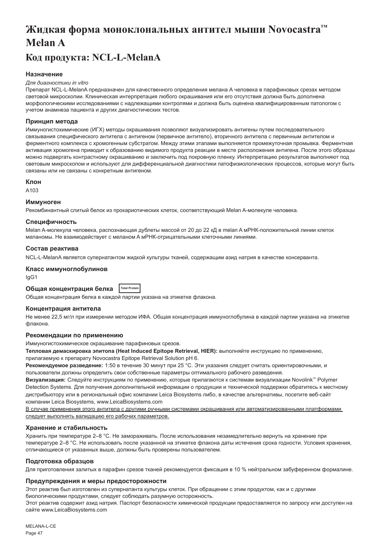# <span id="page-47-0"></span>**Жидкая форма моноклональных антител мыши Novocastra™ Melan A**

## **Код продукта: NCL-L-MelanA**

## **Назначение**

#### *Для диагностики in vitro*

Препарат NCL-L-MelanA предназначен для качественного определения мелана А человека в парафиновых срезах методом световой микроскопии. Клиническая интерпретация любого окрашивания или его отсутствия должна быть дополнена морфологическими исследованиями с надлежащими контролями и должна быть оценена квалифицированным патологом с учетом анамнеза пациента и других диагностических тестов.

### **Принцип метода**

Иммуногистохимические (ИГХ) методы окрашивания позволяют визуализировать антигены путем последовательного связывания специфического антитела с антигеном (первичное антитело), вторичного антитела с первичным антителом и ферментного комплекса с хромогенным субстратом. Между этими этапами выполняется промежуточная промывка. Ферментная активация хромогена приводит к образованию видимого продукта реакции в месте расположения антигена. После этого образцы можно подвергать контрастному окрашиванию и заключить под покровную пленку. Интерпретацию результатов выполняют под световым микроскопом и используют для дифференциальной диагностики патофизиологических процессов, которые могут быть связаны или не связаны с конкретным антигеном.

#### **Клон**

A103

#### **Иммуноген**

Рекомбинантный слитый белок из прокариотических клеток, соответствующий Melan A-молекуле человека.

## **Специфичность**

Melan A-молекула человека, распознающая дублеты массой от 20 до 22 кД в melan A мРНК-положительной линии клеток меланомы. Не взаимодействует с меланом A мРНК-отрицательными клеточными линиями.

### **Состав реактива**

NCL-L-MelanA является супернатантом жидкой культуры тканей, содержащим азид натрия в качестве консерванта.

#### **Класс иммуноглобулинов**

IgG1

#### **Общая концентрация белка Total Protein**

Общая концентрация белка в каждой партии указана на этикетке флакона.

#### **Концентрация антитела**

Не менее 22,5 мг/л при измерении методом ИФА. Общая концентрация иммуноглобулина в каждой партии указана на этикетке флакона.

## **Рекомендации по применению**

Иммуногистохимическое окрашивание парафиновых срезов.

**Тепловая демаскировка эпитопа (Heat Induced Epitope Retrieval, HIER):** выполняйте инструкцию по применению, прилагаемую к препарату Novocastra Epitope Retrieval Solution pH 6.

**Рекомендуемое разведение:** 1:50 в течение 30 минут при 25 °C. Эти указания следует считать ориентировочными, и пользователи должны определить свои собственные параметры оптимального рабочего разведения.

**Визуализация:** Следуйте инструкциям по применению, которые прилагаются к системам визуализации Novolink™ Polymer Detection Systems. Для получения дополнительной информации о продукции и технической поддержки обратитесь к местному дистрибьютору или в региональный офис компании Leica Biosystems либо, в качестве альтернативы, посетите веб-сайт компании Leica Biosystems, www.LeicaBiosystems.com

В случае применения этого антитела с другими ручными системами окрашивания или автоматизированными платформами следует выполнять валидацию его рабочих параметров.

## **Хранение и стабильность**

Хранить при температуре 2–8 °C. Не замораживать. После использования незамедлительно вернуть на хранение при температуре 2–8 °C. Не использовать после указанной на этикетке флакона даты истечения срока годности. Условия хранения, отличающиеся от указанных выше, должны быть проверены пользователем.

#### **Подготовка образцов**

сайте www.LeicaBiosystems.com

Для приготовления залитых в парафин срезов тканей рекомендуется фиксация в 10 % нейтральном забуференном формалине.

#### **Предупреждения и меры предосторожности**

Этот реактив был изготовлен из супернатанта культуры клеток. При обращении с этим продуктом, как и с другими биологическими продуктами, следует соблюдать разумную осторожность. Этот реактив содержит азид натрия. Паспорт безопасности химической продукции предоставляется по запросу или доступен на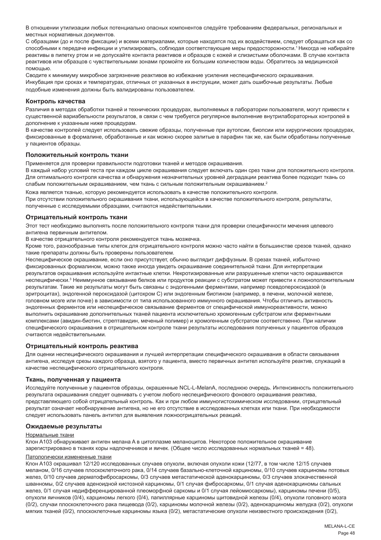В отношении утилизации любых потенциально опасных компонентов следуйте требованиям федеральных, региональных и местных нормативных документов.

С образцами (до и после фиксации) и всеми материалами, которые находятся под их воздействием, следует обращаться как со способными к передаче инфекции и утилизировать, соблюдая соответствующие меры предосторожности.<sup>1</sup>Никогда не набирайте реактивы в пипетку ртом и не допускайте контакта реактивов и образцов с кожей и слизистыми оболочками. В случае контакта реактивов или образцов с чувствительными зонами промойте их большим количеством воды. Обратитесь за медицинской помощью.

Сводите к минимуму микробное загрязнение реактивов во избежание усиления неспецифического окрашивания. Инкубация при сроках и температурах, отличных от указанных в инструкции, может дать ошибочные результаты. Любые подобные изменения должны быть валидированы пользователем.

#### **Контроль качества**

Различия в методах обработки тканей и технических процедурах, выполняемых в лаборатории пользователя, могут привести к существенной вариабельности результатов, в связи с чем требуется регулярное выполнение внутрилабораторных контролей в дополнение к указанным ниже процедурам.

В качестве контролей следует использовать свежие образцы, полученные при аутопсии, биопсии или хирургических процедурах, фиксированные в формалине, обработанные и как можно скорее залитые в парафин так же, как были обработаны полученные у пациентов образцы.

#### **Положительный контроль ткани**

Применяется для проверки правильности подготовки тканей и методов окрашивания.

В каждый набор условий теста при каждом цикле окрашивания следует включать один срез ткани для положительного контроля. Для оптимального контроля качества и обнаружения незначительных уровней деградации реактива более подходит ткань со слабым положительным окрашиванием, чем ткань с сильным положительным окрашиванием.<sup>2</sup>

Кожа является тканью, которую рекомендуется использовать в качестве положительного контроля. При отсутствии положительного окрашивания ткани, использующейся в качестве положительного контроля, результаты, полученные с исследуемыми образцами, считаются недействительными.

#### **Отрицательный контроль ткани**

Этот тест необходимо выполнять после положительного контроля ткани для проверки специфичности мечения целевого антигена первичным антителом.

В качестве отрицательного контроля рекомендуется ткань мозжечка.

Кроме того, разнообразные типы клеток для отрицательного контроля можно часто найти в большинстве срезов тканей, однако такие препараты должны быть проверены пользователем.

Неспецифическое окрашивание, если оно присутствует, обычно выглядит диффузным. В срезах тканей, избыточно фиксированных формалином, можно также иногда увидеть окрашивание соединительной ткани. Для интерпретации результатов окрашивания используйте интактные клетки. Некротизированные или разрушенные клетки часто окрашиваются неспецифически.<sup>з</sup> Неиммунное связывание белков или продуктов реакции с субстратом может привести к ложноположительным результатам. Такие же результаты могут быть связаны с эндогенными ферментами, например псевдопероксидазой (в эритроцитах), эндогенной пероксидазой (цитохром C) или эндогенным биотином (например, в печени, молочной железе, головном мозге или почке) в зависимости от типа использованного иммунного окрашивания. Чтобы отличить активность эндогенных ферментов или неспецифическое связывание ферментов от специфической иммунореактивности, можно выполнить окрашивание дополнительных тканей пациента исключительно хромогенным субстратом или ферментными комплексами (авидин-биотин, стрептавидин, меченый полимер) и хромогенным субстратом соответственно. При наличии специфического окрашивания в отрицательном контроле ткани результаты исследования полученных у пациентов образцов считаются недействительными.

#### **Отрицательный контроль реактива**

Для оценки неспецифического окрашивания и лучшей интерпретации специфического окрашивания в области связывания антигена, исследуя срезы каждого образца, взятого у пациента, вместо первичных антител используйте реактив, служащий в качестве неспецифического отрицательного контроля.

#### **Ткань, полученная у пациента**

Исследуйте полученные у пациентов образцы, окрашенные NCL-L-MelanA, последнюю очередь. Интенсивность положительного результата окрашивания следует оценивать с учетом любого неспецифического фонового окрашивания реактива, представляющего собой отрицательный контроль. Как и при любом иммуногистохимическом исследовании, отрицательный результат означает необнаружение антигена, но не его отсутствие в исследованных клетках или ткани. При необходимости следует использовать панель антител для выявления ложноотрицательных реакций.

#### **Ожидаемые результаты**

#### Нормальные ткани

Клон A103 обнаруживает антиген мелана A в цитоплазме меланоцитов. Некоторое положительное окрашивание зарегистрировано в тканях коры надпочечников и яичек. (Общее число исследованных нормальных тканей = 48).

#### Патологически измененные ткани

Клон A103 окрашивал 12/120 исследованных случаев опухоли, включая опухоли кожи (12/77, в том числе 12/15 случаев меланом, 0/16 случаев плоскоклеточного рака, 0/14 случаев базально-клеточной карциномы, 0/10 случаев карциномы потовых желез, 0/10 случаев дерматофибросаркомы, 0/3 случаев метастатической аденокарциномы, 0/3 случаев злокачественной шванномы, 0/2 случаев аденоидной кистозной карциномы, 0/1 случая фибросаркомы, 0/1 случая аденокарциномы сальных желез, 0/1 случая недифференцированной плеоморфной саркомы и 0/1 случая лейомиосаркомы), карциномы печени (0/5), опухоли яичников (0/4), карциномы легкого (0/4), папиллярные карциномы щитовидной железы (0/4), опухоли головного мозга (0/2), случаи плоскоклеточного рака пищевода (0/2), карциномы молочной железы (0/2), аденокарциномы желудка (0/2), опухоли мягких тканей (0/2), плоскоклеточные карциномы языка (0/2), метастатические опухоли неизвестного происхождения (0/2),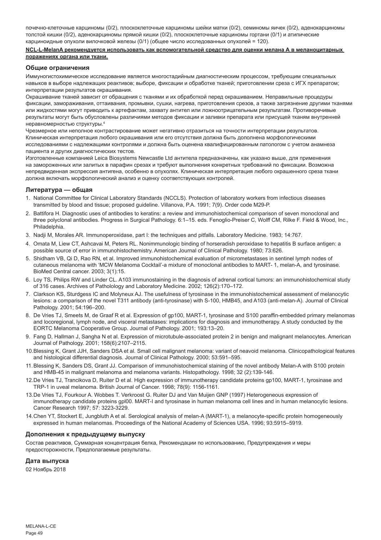почечно-клеточные карциномы (0/2), плоскоклеточные карциномы шейки матки (0/2), семиномы яичек (0/2), аденокарциномы толстой кишки (0/2), аденокарциномы прямой кишки (0/2), плоскоклеточные карциномы гортани (0/1) и атипические карциноидные опухоли вилочковой железы (0/1) (общее число исследованных опухолей = 120).

#### **NCL-L-MelanA рекомендуется использовать как вспомогательной средство для оценки мелана А в меланоцитарных поражениях органа или ткани.**

#### **Общие ограничения**

Иммуногистохимическое исследование является многостадийным диагностическим процессом, требующим специальных навыков в выборе надлежащих реактивов; выборе, фиксации и обработке тканей; приготовлении среза с ИГХ препаратом; интерпретации результатов окрашивания.

Окрашивание тканей зависит от обращения с тканями и их обработкой перед окрашиванием. Неправильные процедуры фиксации, замораживания, оттаивания, промывки, сушки, нагрева, приготовления срезов, а также загрязнение другими тканями или жидкостями могут приводить к артефактам, захвату антител или ложноотрицательным результатам. Противоречивые результаты могут быть обусловлены различиями методов фиксации и заливки препарата или присущей тканям внутренней неравномерностью структуры.4

Чрезмерное или неполное контрастирование может негативно отразиться на точности интерпретации результатов. Клиническая интерпретация любого окрашивания или его отсутствия должна быть дополнена морфологическими исследованиями с надлежащими контролями и должна быть оценена квалифицированным патологом с учетом анамнеза пациента и других диагностических тестов.

Изготовленные компанией Leica Biosystems Newcastle Ltd антитела предназначены, как указано выше, для применения на замороженных или залитых в парафин срезах и требуют выполнения конкретных требований по фиксации. Возможна непредвиденная экспрессия антигена, особенно в опухолях. Клиническая интерпретация любого окрашенного среза ткани должна включать морфологический анализ и оценку соответствующих контролей.

#### **Литература — общая**

- 1. National Committee for Clinical Laboratory Standards (NCCLS). Protection of laboratory workers from infectious diseases transmitted by blood and tissue; proposed guideline. Villanova, P.A. 1991; 7(9). Order code M29-P.
- 2. Battifora H. Diagnostic uses of antibodies to keratins: a review and immunohistochemical comparison of seven monoclonal and three polyclonal antibodies. Progress in Surgical Pathology. 6:1–15. eds. Fenoglio-Preiser C, Wolff CM, Rilke F. Field & Wood, Inc., Philadelphia
- 3. Nadji M, Morales AR. Immunoperoxidase, part I: the techniques and pitfalls. Laboratory Medicine. 1983; 14:767.
- 4. Omata M, Liew CT, Ashcavai M, Peters RL. Nonimmunologic binding of horseradish peroxidase to hepatitis B surface antigen: a possible source of error in immunohistochemistry. American Journal of Clinical Pathology. 1980; 73:626.
- 5. Shidham VB, Qi D, Rao RN, et al. Improved immunohistochemical evaluation of micrometastases in sentinel lymph nodes of cutaneous melanoma with 'MCW Melanoma Cocktail'-a mixture of monoclonal antibodies to MART- 1, melan-A, and tyrosinase. BioMed Central cancer. 2003; 3(1):15.
- 6. Loy TS, Philips RW and Linder CL. A103 immunostaining in the diagnosis of adrenal cortical tumors: an immunohistochemical study of 316 cases. Archives of Patholology and Laboratory Medicine. 2002; 126(2):170–172.
- 7. Clarkson KS, Sturdgess IC and Molyneux AJ. The usefulness of tyrosinase in the immunohistochemical assessment of melanocytic lesions: a comparison of the novel T311 antibody (anti-tyrosinase) with S-100, HMB45, and A103 (anti-melan-A). Journal of Clinical Pathology. 2001; 54:196–200.
- 8. De Vries TJ, Smeets M, de Graaf R et al. Expression of gp100, MART-1, tyrosinase and S100 paraffin-embedded primary melanomas and locoregional, lymph node, and visceral metastases: implications for diagnosis and immunotherapy. A study conducted by the EORTC Melanoma Cooperative Group. Journal of Pathology. 2001; 193:13–20.
- 9. Fang D, Hallman J, Sangha N et al. Expression of microtubule-associated protein 2 in benign and malignant melanocytes. American Journal of Pathology. 2001; 158(6):2107–2115.
- 10.Blessing K, Grant JJH, Sanders DSA et al. Small cell malignant melanoma: variant of neavoid melanoma. Clinicopathological features and histological differential diagnosis. Journal of Clinical Pathology. 2000; 53:591–595.
- 11.Blessing K, Sanders DS, Grant JJ. Comparison of immunohistochemical staining of the novel antibody Melan-A with S100 protein and HMB-45 in malignant melanoma and melanoma variants. Histopathology. 1998; 32 (2):139-146.
- 12.De Vries TJ, Trancikova D, Ruiter D et al. High expression of immunotherapy candidate proteins gp100, MART-1, tyrosinase and TRP-1 in uveal melanoma. British Journal of Cancer. 1998; 78(9): 1156-1161.
- 13.De Vries TJ, Fourkour A. Wobbes T. Verkroost G. Ruiter DJ and Van Muijen GNP (1997) Heterogeneous expression of immunotherapy candidate proteins gpl00. MART-I and tyrosinase in human melanoma cell lines and in human melanocytic lesions. Cancer Research 1997; 57: 3223-3229.
- 14.Chen YT, Stockert E, Jungbluth A et al. Serological analysis of melan-A (MART-1), a melanocyte-specific protein homogeneously expressed in human melanomas. Proceedings of the National Academy of Sciences USA. 1996; 93:5915–5919.

#### **Дополнения к предыдущему выпуску**

Состав реактивов, Суммарная концентрация белка, Рекомендации по использованию, Предупреждения и меры предосторожности, Предполагаемые результаты.

#### **Дата выпуска**

02 Ноябрь 2018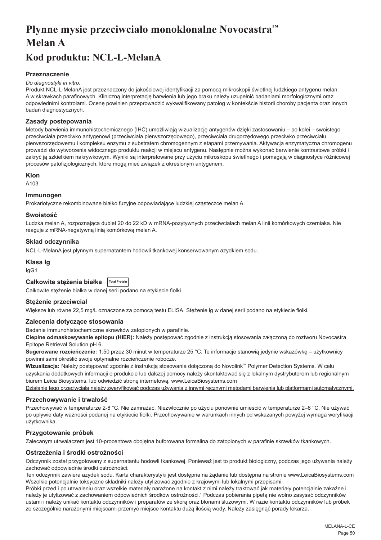# <span id="page-50-0"></span>**Płynne mysie przeciwciało monoklonalne Novocastra™ Melan A**

## **Kod produktu: NCL-L-MelanA**

## **Przeznaczenie**

#### *Do diagnostyki in vitro.*

Produkt NCL-L-MelanA jest przeznaczony do jakościowej identyfikacji za pomocą mikroskopii świetlnej ludzkiego antygenu melan A w skrawkach parafinowych. Kliniczną interpretację barwienia lub jego braku należy uzupełnić badaniami morfologicznymi oraz odpowiednimi kontrolami. Ocenę powinien przeprowadzić wykwalifikowany patolog w kontekście historii choroby pacjenta oraz innych badań diagnostycznych.

## **Zasady postepowania**

Metody barwienia immunohistochemicznego (IHC) umożliwiają wizualizację antygenów dzięki zastosowaniu – po kolei – swoistego przeciwciała przeciwko antygenowi (przeciwciała pierwszorzędowego), przeciwciała drugorzędowego przeciwko przeciwciału pierwszorzędowemu i kompleksu enzymu z substratem chromogennym z etapami przemywania. Aktywacja enzymatyczna chromogenu prowadzi do wytworzenia widocznego produktu reakcji w miejscu antygenu. Następnie można wykonać barwienie kontrastowe próbki i zakryć ją szkiełkiem nakrywkowym. Wyniki są interpretowane przy użyciu mikroskopu świetlnego i pomagają w diagnostyce różnicowej procesów patofizjologicznych, które mogą mieć związek z określonym antygenem.

#### **Klon**

A103

### **Immunogen**

Prokariotyczne rekombinowane białko fuzyjne odpowiadające ludzkiej cząsteczce melan A.

#### **Swoistość**

Ludzka melan A, rozpoznająca dublet 20 do 22 kD w mRNA-pozytywnych przeciwciałach melan A linii komórkowych czerniaka. Nie reaguje z mRNA-negatywną linią komórkową melan A.

## **Skład odczynnika**

NCL-L-MelanA jest płynnym supernatantem hodowli tkankowej konserwowanym azydkiem sodu.

#### **Klasa Ig**

IgG1

## **Całkowite stężenia białka Total Protein**

Całkowite stężenie białka w danej serii podano na etykiecie fiolki.

#### **Stężenie przeciwciał**

Większe lub równe 22,5 mg/L oznaczone za pomocą testu ELISA. Stężenie lg w danej serii podano na etykiecie fiolki.

## **Zalecenia dotyczące stosowania**

Badanie immunohistochemiczne skrawków zatopionych w parafinie.

**Cieplne odmaskowywanie epitopu (HIER):** Należy postępować zgodnie z instrukcją stosowania załączoną do roztworu Novocastra Epitope Retrieval Solution pH 6.

**Sugerowane rozcieńczenie:** 1:50 przez 30 minut w temperaturze 25 °C. Te informacje stanowią jedynie wskazówkę – użytkownicy powinni sami określić swoje optymalne rozcieńczenie robocze.

**Wizualizacja:** Należy postępować zgodnie z instrukcją stosowania dołączoną do Novolink™ Polymer Detection Systems. W celu uzyskania dodatkowych informacji o produkcie lub dalszej pomocy należy skontaktować się z lokalnym dystrybutorem lub regionalnym biurem Leica Biosystems, lub odwiedzić stronę internetową, www.LeicaBiosystems.com

Działanie tego przeciwciała należy zweryfikować podczas używania z innymi recznymi metodami barwienia lub platformami automatycznymi.

## **Przechowywanie i trwałość**

Przechowywać w temperaturze 2-8 °C. Nie zamrażać. Niezwłocznie po użyciu ponownie umieścić w temperaturze 2–8 °C. Nie używać po upływie daty ważności podanej na etykiecie fiolki. Przechowywanie w warunkach innych od wskazanych powyżej wymaga weryfikacji użytkownika.

## **Przygotowanie próbek**

Zalecanym utrwalaczem jest 10-procentowa obojętna buforowana formalina do zatopionych w parafinie skrawków tkankowych.

## **Ostrzeżenia i środki ostrożności**

Odczynnik został przygotowany z supernatantu hodowli tkankowej. Ponieważ jest to produkt biologiczny, podczas jego używania należy zachować odpowiednie środki ostrożności.

Ten odczynnik zawiera azydek sodu. Karta charakterystyki jest dostępna na żądanie lub dostępna na stronie www.LeicaBiosystems.com Wszelkie potencjalnie toksyczne składniki należy utylizować zgodnie z krajowymi lub lokalnymi przepisami.

Próbki przed i po utrwaleniu oraz wszelkie materiały narażone na kontakt z nimi należy traktować jak materiały potencjalnie zakaźne i należy je utylizować z zachowaniem odpowiednich środków ostrożności.<sup>1</sup> Podczas pobierania pipetą nie wolno zasysać odczynników ustami i należy unikać kontaktu odczynników i preparatów ze skórą oraz błonami śluzowymi. W razie kontaktu odczynników lub próbek ze szczególnie narażonymi miejscami przemyć miejsce kontaktu dużą ilością wody. Należy zasięgnąć porady lekarza.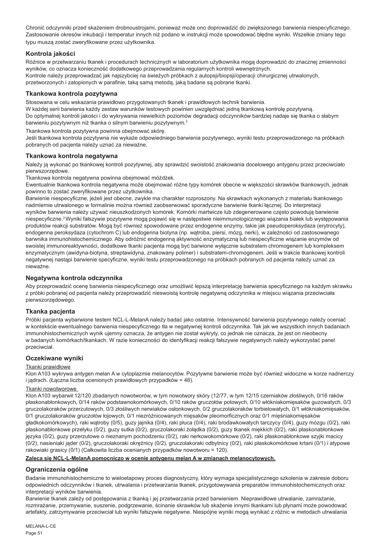Chronić odczynniki przed skażeniem drobnoustrojami, ponieważ może ono doprowadzić do zwiększonego barwienia niespecyficznego. Zastosowanie okresów inkubacji i temperatur innych niż podano w instrukcji może spowodować błędne wyniki. Wszelkie zmiany tego typu muszą zostać zweryfikowane przez użytkownika.

## **Kontrola jakości**

Różnice w przetwarzaniu tkanek i procedurach technicznych w laboratorium użytkownika mogą doprowadzić do znacznej zmienności wyników, co oznacza konieczność dodatkowego przeprowadzania regularnych kontroli wewnętrznych. Kontrole należy przeprowadzać jak najszybciej na świeżych próbkach z autopsji/biopsji/operacji chirurgicznej utrwalonych, przetworzonych i zatopionych w parafinie, taką samą metodą, jaką badane są pobrane tkanki.

## **Tkankowa kontrola pozytywna**

Stosowana w celu wskazania prawidłowo przygotowanych tkanek i prawidłowych technik barwienia.

W każdej serii barwienia każdy zestaw warunków testowych powinien uwzględniać jedną tkankową kontrolę pozytywną. Do optymalnej kontroli jakości i do wykrywania niewielkich poziomów degradacji odczynników bardziej nadaje się tkanka o słabym barwieniu pozytywnym niż tkanka o silnym barwieniu pozytywnym.<sup>2</sup>

Tkankowa kontrola pozytywna powinna obejmować skórę.

Jeśli tkankowa kontrola pozytywna nie wykaże odpowiedniego barwienia pozytywnego, wyniki testu przeprowadzonego na próbkach pobranych od pacjenta należy uznać za nieważne.

## **Tkankowa kontrola negatywna**

Należy ją wykonać po tkankowej kontroli pozytywnej, aby sprawdzić swoistość znakowania docelowego antygenu przez przeciwciało pierwszorzędowe.

Tkankowa kontrola negatywna powinna obejmować móżdżek.

Ewentualnie tkankowa kontrola negatywna może obejmować różne typy komórek obecne w większości skrawków tkankowych, jednak powinno to zostać zweryfikowane przez użytkownika.

Barwienie niespecyficzne, jeżeli jest obecne, zwykle ma charakter rozproszony. Na skrawkach wykonanych z materiału tkankowego nadmiernie utrwalonego w formalinie można również zaobserwować sporadyczne barwienie tkanki łącznej. Do interpretacji wyników barwienia należy używać nieuszkodzonych komórek. Komórki martwicze lub zdegenerowane często powodują barwienie niespecyficzne.<sup>3</sup>Wyniki fałszywie pozytywne mogą pojawić się w następstwie nieimmunologicznego wiązania białek lub występowania produktów reakcji substratów. Mogą być również spowodowane przez endogenne enzymy, takie jak pseudoperoksydaza (erytrocyty), endogenna peroksydaza (cytochrom C) lub endogenna biotyna (np. wątroba, piersi, mózg, nerki), w zależności od zastosowanego barwnika immunohistochemicznego. Aby odróżnić endogenną aktywność enzymatyczną lub niespecyficzne wiązanie enzymów od swoistej immunoreaktywności, dodatkowe tkanki pacjenta mogą być barwione wyłącznie substratem chromogenem lub kompleksem enzymatycznym (awidyna-biotyna, streptawidyna, znakowany polimer) i substratem-chromogenem. Jeśli w trakcie tkankowej kontroli negatywnej nastąpi barwienie specyficzne, wyniki testu przeprowadzonego na próbkach pobranych od pacjenta należy uznać za nieważne.

## **Negatywna kontrola odczynnika**

Aby przeprowadzić ocenę barwienia niespecyficznego oraz umożliwić lepszą interpretację barwienia specyficznego na każdym skrawku z próbki pobranej od pacjenta należy przeprowadzić nieswoistą kontrolę negatywną odczynnika w miejscu wiązania przeciwciała pierwszorzędowego.

## **Tkanka pacjenta**

Próbki pacjenta wybarwione testem NCL-L-MelanA należy badać jako ostatnie. Intensywność barwienia pozytywnego należy oceniać w kontekście ewentualnego barwienia niespecyficznego tła w negatywnej kontroli odczynnika. Tak jak we wszystkich innych badaniach immunohistochemicznych wynik ujemny oznacza, że antygen nie został wykryty, co jednak nie oznacza, że jest on nieobecny w badanych komórkach/tkankach. W razie konieczności do identyfikacji reakcji fałszywie negatywnych należy wykorzystać panel przeciwciał.

## **Oczekiwane wyniki**

## Tkanki prawidłowe

Klon A103 wykrywa antygen melan A w cytoplazmie melanocytów. Pozytywne barwienie może być również widoczne w korze nadnerczy i jądrach. (Łączna liczba ocenionych prawidłowych przypadków = 48).

## Tkanki nowotworowe

Klon A103 wybarwił 12/120 zbadanych nowotworów, w tym nowotwory skóry (12/77, w tym 12/15 czerniaków złośliwych, 0/16 raków płaskonabłonkowych, 0/14 raków podstawnokomórkowych, 0/10 raków gruczołów potowych, 0/10 włókniakomięsaków guzowatych, 0/3 gruczolakoraków przerzutowych, 0/3 złośliwych nerwiaków osłonkowych, 0/2 gruczolakoraków torbielowatych, 0/1 włókniakomięsaków, 0/1 gruczolakoraków gruczołów łojowych, 0/1 niezróżnicowanych mięsaków pleomorficznych oraz 0/1 mięśniakomięsaków gładkokomórkowych), raki wątroby (0/5), guzy jajnika (0/4), raki płuca (0/4), raki brodawkowatych tarczycy (0/4), guzy mózgu (0/2), raki płaskonabłonkowe przełyku (0/2), guzy sutka (0/2), gruczolakoraki żołądka (0/2), guzy tkanek miękkich (0/2), raki płaskonabłonkowe języka (0/2), guzy przerzutowe o nieznanym pochodzeniu (0/2), raki nerkowokomórkowe (0/2), raki płaskonabłonkowe szyjki macicy (0/2), nasieniaki jąder (0/2), gruczolakoraki okrężnicy (0/2), gruczolakoraki odbytnicy (0/2), raki płaskokomórkowe krtani (0/1) i atypowe rakowiaki grasicy (0/1) (Całkowita liczba ocenianych przypadków nowotworu = 120).

### **Zaleca się NCL-L-MelanA pomocniczo w ocenie antygenu melan A w zmianach melanocytowych.**

## **Ograniczenia ogólne**

Badanie immunohistochemiczne to wieloetapowy proces diagnostyczny, który wymaga specjalistycznego szkolenia w zakresie doboru odpowiednich odczynników i tkanek, utrwalania i przetwarzania tkanek, przygotowywania preparatów immunohistochemicznych oraz interpretacji wyników barwienia.

Barwienie tkanek zależy od postępowania z tkanką i jej przetwarzania przed barwieniem. Nieprawidłowe utrwalanie, zamrażanie, rozmrażanie, przemywanie, suszenie, podgrzewanie, ścinanie skrawków lub skażenie innymi tkankami lub płynami może powodować artefakty, zatrzymywanie przeciwciał lub wyniki fałszywie negatywne. Niespójne wyniki mogą wynikać z różnic w metodach utrwalania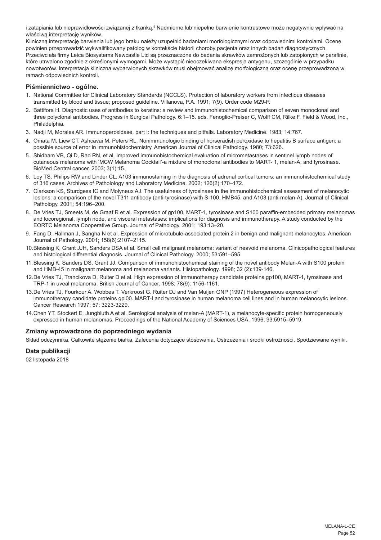i zatapiania lub nieprawidłowości związanej z tkanką.ª Nadmierne lub niepełne barwienie kontrastowe może negatywnie wpływać na właściwą interpretację wyników.

Kliniczną interpretację barwienia lub jego braku należy uzupełnić badaniami morfologicznymi oraz odpowiednimi kontrolami. Ocenę powinien przeprowadzić wykwalifikowany patolog w kontekście historii choroby pacjenta oraz innych badań diagnostycznych. Przeciwciała firmy Leica Biosystems Newcastle Ltd są przeznaczone do badania skrawków zamrożonych lub zatopionych w parafinie, które utrwalono zgodnie z określonymi wymogami. Może wystąpić nieoczekiwana ekspresja antygenu, szczególnie w przypadku nowotworów. Interpretacja kliniczna wybarwionych skrawków musi obejmować analizę morfologiczną oraz ocenę przeprowadzoną w ramach odpowiednich kontroli.

### **Piśmiennictwo - ogólne.**

- 1. National Committee for Clinical Laboratory Standards (NCCLS). Protection of laboratory workers from infectious diseases transmitted by blood and tissue; proposed guideline. Villanova, P.A. 1991; 7(9). Order code M29-P.
- 2. Battifora H. Diagnostic uses of antibodies to keratins: a review and immunohistochemical comparison of seven monoclonal and three polyclonal antibodies. Progress in Surgical Pathology. 6:1–15. eds. Fenoglio-Preiser C, Wolff CM, Rilke F. Field & Wood, Inc., Philadelphia.
- 3. Nadji M, Morales AR. Immunoperoxidase, part I: the techniques and pitfalls. Laboratory Medicine. 1983; 14:767.
- 4. Omata M, Liew CT, Ashcavai M, Peters RL. Nonimmunologic binding of horseradish peroxidase to hepatitis B surface antigen: a possible source of error in immunohistochemistry. American Journal of Clinical Pathology. 1980; 73:626.
- 5. Shidham VB, Qi D, Rao RN, et al. Improved immunohistochemical evaluation of micrometastases in sentinel lymph nodes of cutaneous melanoma with 'MCW Melanoma Cocktail'-a mixture of monoclonal antibodies to MART- 1, melan-A, and tyrosinase. BioMed Central cancer. 2003; 3(1):15.
- 6. Loy TS, Philips RW and Linder CL. A103 immunostaining in the diagnosis of adrenal cortical tumors: an immunohistochemical study of 316 cases. Archives of Patholology and Laboratory Medicine. 2002; 126(2):170–172.
- 7. Clarkson KS, Sturdgess IC and Molyneux AJ. The usefulness of tyrosinase in the immunohistochemical assessment of melanocytic lesions: a comparison of the novel T311 antibody (anti-tyrosinase) with S-100, HMB45, and A103 (anti-melan-A). Journal of Clinical Pathology. 2001; 54:196–200.
- 8. De Vries TJ, Smeets M, de Graaf R et al. Expression of gp100, MART-1, tyrosinase and S100 paraffin-embedded primary melanomas and locoregional, lymph node, and visceral metastases: implications for diagnosis and immunotherapy. A study conducted by the EORTC Melanoma Cooperative Group. Journal of Pathology. 2001; 193:13–20.
- 9. Fang D, Hallman J, Sangha N et al. Expression of microtubule-associated protein 2 in benign and malignant melanocytes. American Journal of Pathology. 2001; 158(6):2107–2115.
- 10.Blessing K, Grant JJH, Sanders DSA et al. Small cell malignant melanoma: variant of neavoid melanoma. Clinicopathological features and histological differential diagnosis. Journal of Clinical Pathology. 2000; 53:591–595.
- 11.Blessing K, Sanders DS, Grant JJ. Comparison of immunohistochemical staining of the novel antibody Melan-A with S100 protein and HMB-45 in malignant melanoma and melanoma variants. Histopathology. 1998; 32 (2):139-146.
- 12.De Vries TJ, Trancikova D, Ruiter D et al. High expression of immunotherapy candidate proteins gp100, MART-1, tyrosinase and TRP-1 in uveal melanoma. British Journal of Cancer. 1998; 78(9): 1156-1161.
- 13.De Vries TJ, Fourkour A. Wobbes T. Verkroost G. Ruiter DJ and Van Muijen GNP (1997) Heterogeneous expression of immunotherapy candidate proteins gpl00. MART-I and tyrosinase in human melanoma cell lines and in human melanocytic lesions. Cancer Research 1997; 57: 3223-3229.
- 14.Chen YT, Stockert E, Jungbluth A et al. Serological analysis of melan-A (MART-1), a melanocyte-specific protein homogeneously expressed in human melanomas. Proceedings of the National Academy of Sciences USA. 1996; 93:5915–5919.

#### **Zmiany wprowadzone do poprzedniego wydania**

Skład odczynnika, Całkowite stężenie białka, Zalecenia dotyczące stosowania, Ostrzeżenia i środki ostrożności, Spodziewane wyniki.

## **Data publikacji**

02 listopada 2018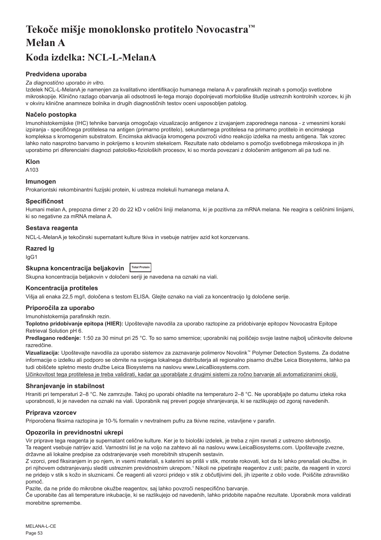# <span id="page-53-0"></span>**Tekoče mišje monoklonsko protitelo Novocastra™ Melan A**

## **Koda izdelka: NCL-L-MelanA**

## **Predvidena uporaba**

#### *Za diagnostično uporabo in vitro.*

Izdelek NCL-L-MelanA je namenjen za kvalitativno identifikacijo humanega melana A v parafinskih rezinah s pomočjo svetlobne mikroskopije. Klinično razlago obarvanja ali odsotnosti le-tega morajo dopolnjevati morfološke študije ustreznih kontrolnih vzorcev, ki jih v okviru klinične anamneze bolnika in drugih diagnostičnih testov oceni usposobljen patolog.

## **Načelo postopka**

Imunohistokemijske (IHC) tehnike barvanja omogočajo vizualizacijo antigenov z izvajanjem zaporednega nanosa - z vmesnimi koraki izpiranja - specifičnega protitelesa na antigen (primarno protitelo), sekundarnega protitelesa na primarno protitelo in encimskega kompleksa s kromogenim substratom. Encimska aktivacija kromogena povzroči vidno reakcijo izdelka na mestu antigena. Tak vzorec lahko nato nasprotno barvamo in pokrijemo s krovnim stekelcem. Rezultate nato obdelamo s pomočjo svetlobnega mikroskopa in jih uporabimo pri diferencialni diagnozi patološko-fizioloških procesov, ki so morda povezani z določenim antigenom ali pa tudi ne.

#### **Klon**

A103

## **Imunogen**

Prokariontski rekombinantni fuzijski protein, ki ustreza molekuli humanega melana A.

#### **Specifičnost**

Humani melan A, prepozna dimer z 20 do 22 kD v celični liniji melanoma, ki je pozitivna za mRNA melana. Ne reagira s celičnimi linijami, ki so negativne za mRNA melana A.

## **Sestava reagenta**

NCL-L-MelanA je tekočinski supernatant kulture tkiva in vsebuje natrijev azid kot konzervans.

### **Razred Ig**

IgG1

## **Skupna koncentracija beljakovin Total Protein**

Skupna koncentracija beljakovin v določeni seriji je navedena na oznaki na viali.

## **Koncentracija protiteles**

Višja ali enaka 22,5 mg/l, določena s testom ELISA. Glejte oznako na viali za koncentracijo Ig določene serije.

## **Priporočila za uporabo**

Imunohistokemija parafinskih rezin.

**Toplotno pridobivanje epitopa (HIER):** Upoštevajte navodila za uporabo raztopine za pridobivanje epitopov Novocastra Epitope Retrieval Solution pH 6.

**Predlagano redčenje:** 1:50 za 30 minut pri 25 °C. To so samo smernice; uporabniki naj poiščejo svoje lastne najbolj učinkovite delovne razredčine.

**Vizualizacija:** Upoštevajte navodila za uporabo sistemov za zaznavanje polimerov Novolink™ Polymer Detection Systems. Za dodatne informacije o izdelku ali podporo se obrnite na svojega lokalnega distributerja ali regionalno pisarno družbe Leica Biosystems, lahko pa tudi obiščete spletno mesto družbe Leica Biosystems na naslovu www.LeicaBiosystems.com.

Učinkovitost tega protitelesa je treba validirati, kadar ga uporabljate z drugimi sistemi za ročno barvanje ali avtomatiziranimi okolji.

#### **Shranjevanje in stabilnost**

Hraniti pri temperaturi 2–8 °C. Ne zamrzujte. Takoj po uporabi ohladite na temperaturo 2–8 °C. Ne uporabljajte po datumu izteka roka uporabnosti, ki je naveden na oznaki na viali. Uporabnik naj preveri pogoje shranjevanja, ki se razlikujejo od zgoraj navedenih.

## **Priprava vzorcev**

Priporočena fiksirna raztopina je 10-% formalin v nevtralnem pufru za tkivne rezine, vstavljene v parafin.

## **Opozorila in previdnostni ukrepi**

Vir priprave tega reagenta je supernatant celične kulture. Ker je to biološki izdelek, je treba z njim ravnati z ustrezno skrbnostjo. Ta reagent vsebuje natrijev azid. Varnostni list je na voljo na zahtevo ali na naslovu www.LeicaBiosystems.com. Upoštevajte zvezne, državne ali lokalne predpise za odstranjevanje vseh morebitnih strupenih sestavin.

Z vzorci, pred fiksiranjem in po njem, in vsemi materiali, s katerimi so prišli v stik, morate rokovati, kot da bi lahko prenašali okužbe, in pri njihovem odstranjevanju slediti ustreznim previdnostnim ukrepom.1 Nikoli ne pipetirajte reagentov z usti; pazite, da reagenti in vzorci ne pridejo v stik s kožo in sluznicami. Če reagenti ali vzorci pridejo v stik z občutljivimi deli, jih izperite z obilo vode. Poiščite zdravniško pomoč.

Pazite, da ne pride do mikrobne okužbe reagentov, saj lahko povzroči nespecifično barvanje.

Če uporabite čas ali temperature inkubacije, ki se razlikujejo od navedenih, lahko pridobite napačne rezultate. Uporabnik mora validirati morebitne spremembe.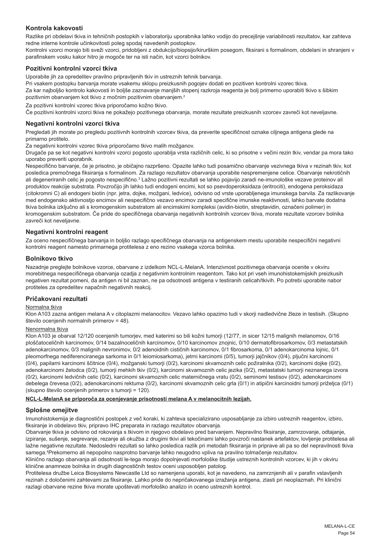## **Kontrola kakovosti**

Razlike pri obdelavi tkiva in tehničnih postopkih v laboratoriju uporabnika lahko vodijo do precejšnje variabilnosti rezultatov, kar zahteva redne interne kontrole učinkovitosti poleg spodaj navedenih postopkov.

Kontrolni vzorci morajo biti sveži vzorci, pridobljeni z obdukcijo/biopsijo/kirurškim posegom, fiksirani s formalinom, obdelani in shranjeni v parafinskem vosku kakor hitro je mogoče ter na isti način, kot vzorci bolnikov.

## **Pozitivni kontrolni vzorci tkiva**

Uporabite jih za opredelitev pravilno pripravljenih tkiv in ustreznih tehnik barvanja.

Pri vsakem postopku barvanja morate vsakemu sklopu preizkusnih pogojev dodati en pozitiven kontrolni vzorec tkiva. Za kar najboljšo kontrolo kakovosti in boljše zaznavanje manjših stopenj razkroja reagenta je bolj primerno uporabiti tkivo s šibkim pozitivnim obarvanjem kot tkivo z močnim pozitivnim obarvanjem.<sup>2</sup>

Za pozitivni kontrolni vzorec tkiva priporočamo kožno tkivo.

Če pozitivni kontrolni vzorci tkiva ne pokažejo pozitivnega obarvanja, morate rezultate preizkusnih vzorcev zavreči kot neveljavne.

#### **Negativni kontrolni vzorci tkiva**

Pregledati jih morate po pregledu pozitivnih kontrolnih vzorcev tkiva, da preverite specifičnost oznake ciljnega antigena glede na primarno protitelo.

Za negativni kontrolni vzorec tkiva priporočamo tkivo malih možganov.

Drugače pa se kot negativni kontrolni vzorci pogosto uporablja vrsta različnih celic, ki so prisotne v večini rezin tkiv, vendar pa mora tako uporabo preveriti uporabnik.

Nespecifično barvanje, če je prisotno, je običajno razpršeno. Opazite lahko tudi posamično obarvanje vezivnega tkiva v rezinah tkiv, kot posledica premočnega fiksiranja s formalinom. Za razlago rezultatov obarvanja uporabite nespremenjene celice. Obarvanje nekrotičnih ali degeneriranih celic je pogosto nespecifično.<sup>3</sup> Lažno pozitivni rezultati se lahko pojavijo zaradi ne-imunološke vezave proteinov ali produktov reakcije substrata. Povzročijo jih lahko tudi endogeni encimi, kot so psevdoperoksidaza (eritrociti), endogena peroksidaza (citokromni C) ali endogeni biotin (npr. jetra, dojke, možgani, ledvice), odvisno od vrste uporabljenega imunskega barvila. Za razlikovanje med endogensko aktivnostjo encimov ali nespecifično vezavo encimov zaradi specifične imunske reaktivnosti, lahko barvate dodatna tkiva bolnika izključno ali s kromogenskim substratom ali encimskimi kompleksi (avidin-biotin, streptavidin, označeni polimer) in kromogenskim substratom. Če pride do specifičnega obarvanja negativnih kontrolnih vzorcev tkiva, morate rezultate vzorcev bolnika zavreči kot neveljavne.

## **Negativni kontrolni reagent**

Za oceno nespecifičnega barvanja in boljšo razlago specifičnega obarvanja na antigenskem mestu uporabite nespecifični negativni kontrolni reagent namesto primarnega protitelesa z eno rezino vsakega vzorca bolnika.

#### **Bolnikovo tkivo**

Nazadnje preglejte bolnikove vzorce, obarvane z izdelkom NCL-L-MelanA. Intenzivnost pozitivnega obarvanja ocenite v okviru morebitnega nespecifičnega obarvanja ozadja z negativnim kontrolnim reagentom. Tako kot pri vseh imunohistokemijskih preizkusih negativen rezultat pomeni, da antigen ni bil zaznan, ne pa odsotnosti antigena v testiranih celicah/tkivih. Po potrebi uporabite nabor protiteles za opredelitev napačnih negativnih reakcij.

## **Pričakovani rezultati**

#### Normalna tkiva

Klon A103 zazna antigen melana A v citoplazmi melanocitov. Vezavo lahko opazimo tudi v skorji nadledvične žleze in testisih. (Skupno število ocenjenih normalnih primerov = 48).

#### Nenormalna tkiva

Klon A103 je obarval 12/120 ocenjenih tumorjev, med katerimi so bili kožni tumorji (12/77, in sicer 12/15 malignih melanomov, 0/16 ploščatoceličnih karcinomov, 0/14 bazalnoceličnih karcinomov, 0/10 karcinomov znojnic, 0/10 dermatofibrosarkomov, 0/3 metastatskih adenokarcinomov, 0/3 malignih nevronimov, 0/2 adenoidnih cističnih karcinomov, 0/1 fibrosarkoma, 0/1 adenokarcinoma lojnic, 0/1 pleomorfnega nediferenciranega sarkoma in 0/1 leiomiosarkoma), jetrni karcinomi (0/5), tumorji jajčnikov (0/4), pljučni karcinomi (0/4), papilarni karcinomi ščitnice (0/4), možganski tumorji (0/2), karcinomi skvamoznih celic požiralnika (0/2), karcinomi dojke (0/2), adenokarcinomi želodca (0/2), tumorji mehkih tkiv (0/2), karcinomi skvamoznih celic jezika (0/2), metastatski tumorji neznanega izvora (0/2), karcinomi ledvičnih celic (0/2), karcinomi skvamoznih celic materničnega vratu (0/2), seminomi testisov (0/2), adenokarcinomi debelega črevesa (0/2), adenokarcinomi rektuma (0/2), karcinomi skvamoznih celic grla (0/1) in atipični karcinoidni tumorji priželjca (0/1) (skupno število ocenjenih primerov s tumorji = 120).

#### **NCL-L-MelanA se priporoča za ocenjevanje prisotnosti melana A v melanocitnih lezijah.**

## **Splošne omejitve**

Imunohistokemija je diagnostični postopek z več koraki, ki zahteva specializirano usposabljanje za izbiro ustreznih reagentov, izbiro, fiksiranje in obdelavo tkiv, pripravo IHC preparata in razlago rezultatov obarvanja.

Obarvanje tkiva je odvisno od rokovanja s tkivom in njegovo obdelavo pred barvanjem. Nepravilno fiksiranje, zamrzovanje, odtajanje, izpiranje, sušenje, segrevanje, rezanje ali okužba z drugimi tkivi ali tekočinami lahko povzroči nastanek artefaktov, lovljenje protitelesa ali lažne negativne rezultate. Nedosledni rezultati so lahko posledica razlik pri metodah fiksiranja in priprave ali pa so del nepravilnosti tkiva samega.4 Prekomerno ali nepopolno nasprotno barvanje lahko neugodno vpliva na pravilno tolmačenje rezultatov.

Klinično razlago obarvanja ali odsotnosti le-tega morajo dopolnjevati morfološke študije ustreznih kontrolnih vzorcev, ki jih v okviru klinične anamneze bolnika in drugih diagnostičnih testov oceni usposobljen patolog.

Protitelesa družbe Leica Biosystems Newcastle Ltd so namenjena uporabi, kot je navedeno, na zamrznjenih ali v parafin vstavljenih rezinah z določenimi zahtevami za fiksiranje. Lahko pride do nepričakovanega izražanja antigena, zlasti pri neoplazmah. Pri klinični razlagi obarvane rezine tkiva morate upoštevati morfološko analizo in oceno ustreznih kontrol.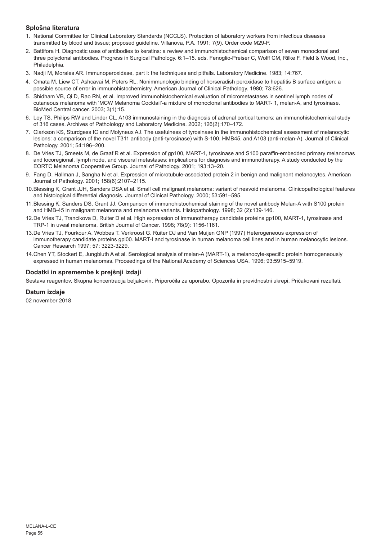## **Splošna literatura**

- 1. National Committee for Clinical Laboratory Standards (NCCLS). Protection of laboratory workers from infectious diseases transmitted by blood and tissue; proposed guideline. Villanova, P.A. 1991; 7(9). Order code M29-P.
- 2. Battifora H. Diagnostic uses of antibodies to keratins: a review and immunohistochemical comparison of seven monoclonal and three polyclonal antibodies. Progress in Surgical Pathology. 6:1–15. eds. Fenoglio-Preiser C, Wolff CM, Rilke F. Field & Wood, Inc., Philadelphia.
- 3. Nadji M, Morales AR. Immunoperoxidase, part I: the techniques and pitfalls. Laboratory Medicine. 1983; 14:767.
- 4. Omata M, Liew CT, Ashcavai M, Peters RL. Nonimmunologic binding of horseradish peroxidase to hepatitis B surface antigen: a possible source of error in immunohistochemistry. American Journal of Clinical Pathology. 1980; 73:626.
- 5. Shidham VB, Qi D, Rao RN, et al. Improved immunohistochemical evaluation of micrometastases in sentinel lymph nodes of cutaneous melanoma with 'MCW Melanoma Cocktail'-a mixture of monoclonal antibodies to MART- 1, melan-A, and tyrosinase. BioMed Central cancer. 2003; 3(1):15.
- 6. Loy TS, Philips RW and Linder CL. A103 immunostaining in the diagnosis of adrenal cortical tumors: an immunohistochemical study of 316 cases. Archives of Patholology and Laboratory Medicine. 2002; 126(2):170–172.
- 7. Clarkson KS, Sturdgess IC and Molyneux AJ. The usefulness of tyrosinase in the immunohistochemical assessment of melanocytic lesions: a comparison of the novel T311 antibody (anti-tyrosinase) with S-100, HMB45, and A103 (anti-melan-A). Journal of Clinical Pathology. 2001; 54:196–200.
- 8. De Vries TJ, Smeets M, de Graaf R et al. Expression of gp100, MART-1, tyrosinase and S100 paraffin-embedded primary melanomas and locoregional, lymph node, and visceral metastases: implications for diagnosis and immunotherapy. A study conducted by the EORTC Melanoma Cooperative Group. Journal of Pathology. 2001; 193:13–20.
- 9. Fang D, Hallman J, Sangha N et al. Expression of microtubule-associated protein 2 in benign and malignant melanocytes. American Journal of Pathology. 2001; 158(6):2107–2115.
- 10.Blessing K, Grant JJH, Sanders DSA et al. Small cell malignant melanoma: variant of neavoid melanoma. Clinicopathological features and histological differential diagnosis. Journal of Clinical Pathology. 2000; 53:591–595.
- 11.Blessing K, Sanders DS, Grant JJ. Comparison of immunohistochemical staining of the novel antibody Melan-A with S100 protein and HMB-45 in malignant melanoma and melanoma variants. Histopathology. 1998; 32 (2):139-146.
- 12.De Vries TJ, Trancikova D, Ruiter D et al. High expression of immunotherapy candidate proteins gp100, MART-1, tyrosinase and TRP-1 in uveal melanoma. British Journal of Cancer. 1998; 78(9): 1156-1161.
- 13.De Vries TJ, Fourkour A. Wobbes T. Verkroost G. Ruiter DJ and Van Muijen GNP (1997) Heterogeneous expression of immunotherapy candidate proteins gpl00. MART-I and tyrosinase in human melanoma cell lines and in human melanocytic lesions. Cancer Research 1997; 57: 3223-3229.
- 14.Chen YT, Stockert E, Jungbluth A et al. Serological analysis of melan-A (MART-1), a melanocyte-specific protein homogeneously expressed in human melanomas. Proceedings of the National Academy of Sciences USA. 1996; 93:5915–5919.

## **Dodatki in spremembe k prejšnji izdaji**

Sestava reagentov, Skupna koncentracija beljakovin, Priporočila za uporabo, Opozorila in previdnostni ukrepi, Pričakovani rezultati.

## **Datum izdaje**

02 november 2018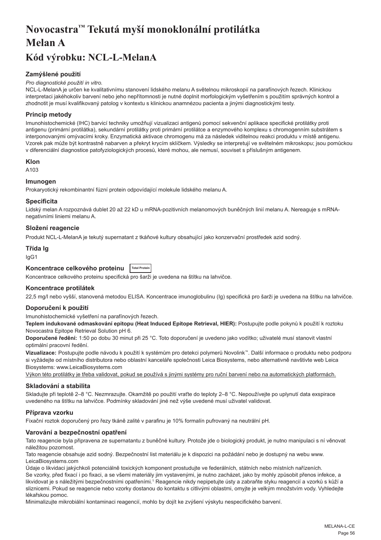# <span id="page-56-0"></span>**Novocastra™ Tekutá myší monoklonální protilátka Melan A**

## **Kód výrobku: NCL-L-MelanA**

## **Zamýšlené použití**

#### *Pro diagnostické použití in vitro.*

NCL-L-MelanA je určen ke kvalitativnímu stanovení lidského melanu A světelnou mikroskopií na parafínových řezech. Klinickou interpretaci jakéhokoliv barvení nebo jeho nepřítomnosti je nutné doplnit morfologickým vyšetřením s použitím správných kontrol a zhodnotit je musí kvalifikovaný patolog v kontextu s klinickou anamnézou pacienta a jinými diagnostickými testy.

## **Princip metody**

Imunohistochemické (IHC) barvicí techniky umožňují vizualizaci antigenů pomocí sekvenční aplikace specifické protilátky proti antigenu (primární protilátka), sekundární protilátky proti primární protilátce a enzymového komplexu s chromogenním substrátem s interponovanými omývacími kroky. Enzymatická aktivace chromogenu má za následek viditelnou reakci produktu v místě antigenu. Vzorek pak může být kontrastně nabarven a překryt krycím sklíčkem. Výsledky se interpretují ve světelném mikroskopu; jsou pomůckou v diferenciální diagnostice patofyziologických procesů, které mohou, ale nemusí, souviset s příslušným antigenem.

#### **Klon**

A103

## **Imunogen**

Prokaryotický rekombinantní fúzní protein odpovídající molekule lidského melanu A.

#### **Specificita**

Lidský melan A rozpoznává dublet 20 až 22 kD u mRNA-pozitivních melanomových buněčných linií melanu A. Nereaguje s mRNAnegativními liniemi melanu A.

## **Složení reagencie**

Produkt NCL-L-MelanA je tekutý supernatant z tkáňové kultury obsahující jako konzervační prostředek azid sodný.

## **Třída Ig**

IgG1

## **Koncentrace celkového proteinu Total Protein**

Koncentrace celkového proteinu specifická pro šarži je uvedena na štítku na lahvičce.

## **Koncentrace protilátek**

22,5 mg/l nebo vyšší, stanovená metodou ELISA. Koncentrace imunoglobulinu (Ig) specifická pro šarži je uvedena na štítku na lahvičce.

## **Doporučení k použití**

Imunohistochemické vyšetření na parafínových řezech.

**Teplem indukované odmaskování epitopu (Heat Induced Epitope Retrieval, HIER):** Postupujte podle pokynů k použití k roztoku Novocastra Epitope Retrieval Solution pH 6.

**Doporučené ředění:** 1:50 po dobu 30 minut při 25 °C. Toto doporučení je uvedeno jako vodítko; uživatelé musí stanovit vlastní optimální pracovní ředění.

**Vizualizace:** Postupujte podle návodu k použití k systémům pro detekci polymerů Novolink™. Další informace o produktu nebo podporu si vyžádejte od místního distributora nebo oblastní kanceláře společnosti Leica Biosystems, nebo alternativně navštivte web Leica Biosystems: www.LeicaBiosystems.com

Výkon této protilátky je třeba validovat, pokud se používá s jinými systémy pro ruční barvení nebo na automatických platformách.

## **Skladování a stabilita**

Skladujte při teplotě 2–8 °C. Nezmrazujte. Okamžitě po použití vraťte do teploty 2–8 °C. Nepoužívejte po uplynutí data exspirace uvedeného na štítku na lahvičce. Podmínky skladování jiné než výše uvedené musí uživatel validovat.

## **Příprava vzorku**

Fixační roztok doporučený pro řezy tkáně zalité v parafinu je 10% formalín pufrovaný na neutrální pH.

## **Varování a bezpečnostní opatření**

Tato reagencie byla připravena ze supernatantu z buněčné kultury. Protože jde o biologický produkt, je nutno manipulaci s ní věnovat náležitou pozornost.

Tato reagencie obsahuje azid sodný. Bezpečnostní list materiálu je k dispozici na požádání nebo je dostupný na webu www. LeicaBiosystems.com

Údaje o likvidaci jakýchkoli potenciálně toxických komponent prostudujte ve federálních, státních nebo místních nařízeních. Se vzorky, před fixací i po fixaci, a se všemi materiály jim vystavenými, je nutno zacházet, jako by mohly způsobit přenos infekce, a likvidovat je s náležitými bezpečnostními opatřeními.1 Reagencie nikdy nepipetujte ústy a zabraňte styku reagencií a vzorků s kůží a sliznicemi. Pokud se reagencie nebo vzorky dostanou do kontaktu s citlivými oblastmi, omyjte je velkým množstvím vody. Vyhledejte lékařskou pomoc.

Minimalizujte mikrobiální kontaminaci reagencií, mohlo by dojít ke zvýšení výskytu nespecifického barvení.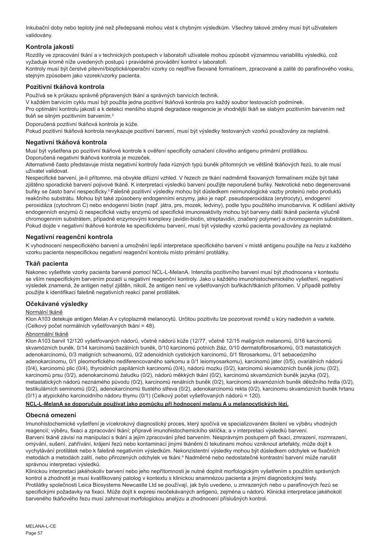Inkubační doby nebo teploty jiné než předepsané mohou vést k chybným výsledkům. Všechny takové změny musí být uživatelem validovány.

## **Kontrola jakosti**

Rozdíly ve zpracování tkání a v technických postupech v laboratoři uživatele mohou způsobit významnou variabilitu výsledků, což vyžaduje kromě níže uvedených postupů i pravidelné provádění kontrol v laboratoři.

Kontroly musí být čerstvé pitevní/bioptické/operační vzorky co nejdříve fixované formalínem, zpracované a zalité do parafínového vosku, stejným způsobem jako vzorek/vzorky pacienta.

## **Pozitivní tkáňová kontrola**

Používá se k průkazu správně připravených tkání a správných barvicích technik.

V každém barvicím cyklu musí být použita jedna pozitivní tkáňová kontrola pro každý soubor testovacích podmínek. Pro optimální kontrolu jakosti a k detekci menšího stupně degradace reagencie je vhodnější tkáň se slabým pozitivním barvením než tkáň se silným pozitivním barvením.<sup>2</sup>

Doporučená pozitivní tkáňová kontrola je kůže.

Pokud pozitivní tkáňová kontrola nevykazuje pozitivní barvení, musí být výsledky testovaných vzorků považovány za neplatné.

## **Negativní tkáňová kontrola**

Musí být vyšetřena po pozitivní tkáňové kontrole k ověření specificity označení cílového antigenu primární protilátkou.

Doporučená negativní tkáňová kontrola je mozeček.

Alternativně často představuje místa negativní kontroly řada různých typů buněk přítomných ve většině tkáňových řezů, to ale musí uživatel validovat.

Nespecifické barvení, je-li přítomno, má obvykle difúzní vzhled. V řezech ze tkání nadměrně fixovaných formalínem může být také zjištěno sporadické barvení pojivové tkáně. K interpretaci výsledků barvení použijte neporušené buňky. Nekrotické nebo degenerované buňky se často barví nespecificky.<sup>3</sup>Falešně pozitivní výsledky mohou být důsledkem neimunologické vazby proteinů nebo produktů reakčního substrátu. Mohou být také způsobeny endogenními enzymy, jako je např. pseudoperoxidáza (erytrocyty), endogenní peroxidáza (cytochrom C) nebo endogenní biotin (např. játra, prs, mozek, ledviny), podle typu použitého imunobarviva. K odlišení aktivity endogenních enzymů či nespecifické vazby enzymů od specifické imunoreaktivity mohou být barveny další tkáně pacienta výlučně chromogenním substrátem, případně enzymovými komplexy (avidin-biotin, streptavidin, značený polymer) a chromogenním substrátem. Pokud dojde v negativní tkáňové kontrole ke specifickému barvení, musí být výsledky vzorků pacienta považovány za neplatné.

## **Negativní reagenční kontrola**

K vyhodnocení nespecifického barvení a umožnění lepší interpretace specifického barvení v místě antigenu použijte na řezu z každého vzorku pacienta nespecifickou negativní reagenční kontrolu místo primární protilátky.

#### **Tkáň pacienta**

Nakonec vyšetřete vzorky pacienta barvené pomocí NCL-L-MelanA. Intenzita pozitivního barvení musí být zhodnocena v kontextu se vším nespecifickým barvením pozadí u negativní reagenční kontroly. Jako u každého imunohistochemického vyšetření, negativní výsledek znamená, že antigen nebyl zjištěn, nikoli, že antigen není ve vyšetřovaných buňkách/tkáních přítomen. V případě potřeby použijte k identifikaci falešně negativních reakcí panel protilátek.

## **Očekávané výsledky**

### Normální tkáně

Klon A103 detekuje antigen Melan A v cytoplazmě melanocytů. Určitou pozitivitu lze pozorovat rovněž u kůry nadledvin a varlete. (Celkový počet normálních vyšetřovaných tkání = 48).

### Abnormální tkáně

Klon A103 barvil 12/120 vyšetřovaných nádorů, včetně nádorů kůže (12/77, včetně 12/15 maligních melanomů, 0/16 karcinomů skvamózních buněk, 0/14 karcinomů bazálních buněk, 0/10 karcinomů potních žláz, 0/10 dermatofibrosarkomů, 0/3 metastatických adenokarcinomů, 0/3 maligních schwanomů, 0/2 adenoidních cystických karcinomů, 0/1 fibrosarkomu, 0/1 sebaceózního adenokarcinomu, 0/1 pleomorfického nediferencovaného sarkomu a 0/1 leiomyosarkomu), karcinomů jater (0/5), ovariálních nádorů (0/4), karcinomů plic (0/4), thyroidních papilárních karcinomů (0/4), nádorů mozku (0/2), karcinomů skvamózních buněk jícnu (0/2), karcinomů prsu (0/2), adenokarcinomů žaludku (0/2), nádorů měkkých tkání (0/2), karcinomů skvamózních buněk jazyka (0/2), metastatických nádorů neznámého původu (0/2), karcinomů renálních buněk (0/2), karcinomů skvamózních buněk děložního hrdla (0/2), testikulárních seminomů (0/2), adenokarcinomů tlustého střeva (0/2), adenokarcinomů rekta (0/2), karcinomu skvamózních buněk hrtanu (0/1) a atypického karcinoidního nádoru thymu (0/1) (Celkový počet vyšetřovaných nádorů = 120).

#### **NCL-L-MelanA se doporučuje používat jako pomůcku při hodnocení melanu A u melanocytických lézí.**

#### **Obecná omezení**

Imunohistochemické vyšetření je vícekrokový diagnostický proces, který spočívá ve specializovaném školení ve výběru vhodných reagencií; výběru, fixaci a zpracování tkání; přípravě imunohistochemickího sklíčka; a v interpretaci výsledků barvení. Barvení tkáně závisí na manipulaci s tkání a jejím zpracování před barvením. Nesprávným postupem při fixaci, zmrazení, rozmrazení, omývání, sušení, zahřívání, krájení řezů nebo kontaminací jinými tkáněmi či tekutinami mohou vzniknout artefakty, může dojít k vychytávání protilátek nebo k falešně negativním výsledkům. Nekonzistentní výsledky mohou být důsledkem odchylek ve fixačních metodách a metodách zalití, nebo přirozených odchylek ve tkáni.<sup>4</sup> Nadměrné nebo nedostatečné kontrastní barvení může narušit správnou interpretaci výsledků.

Klinickou interpretaci jakéhokoliv barvení nebo jeho nepřítomnosti je nutné doplnit morfologickým vyšetřením s použitím správných kontrol a zhodnotit je musí kvalifikovaný patolog v kontextu s klinickou anamnézou pacienta a jinými diagnostickými testy. Protilátky společnosti Leica Biosystems Newcastle Ltd se používají, jak bylo uvedeno, u zmrazených nebo u parafínových řezů se specifickými požadavky na fixaci. Může dojít k expresi neočekávaných antigenů, zejména u nádorů. Klinická interpretace jakéhokoli barveného tkáňového řezu musí zahrnovat morfologickou analýzu a zhodnocení příslušných kontrol.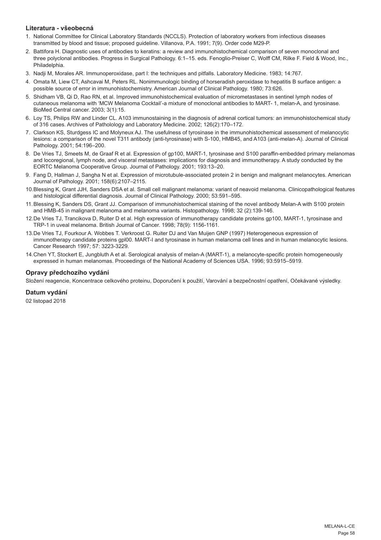## **Literatura - všeobecná**

- 1. National Committee for Clinical Laboratory Standards (NCCLS). Protection of laboratory workers from infectious diseases transmitted by blood and tissue; proposed guideline. Villanova, P.A. 1991; 7(9). Order code M29-P.
- 2. Battifora H. Diagnostic uses of antibodies to keratins: a review and immunohistochemical comparison of seven monoclonal and three polyclonal antibodies. Progress in Surgical Pathology. 6:1–15. eds. Fenoglio-Preiser C, Wolff CM, Rilke F. Field & Wood, Inc., Philadelphia.
- 3. Nadji M, Morales AR. Immunoperoxidase, part I: the techniques and pitfalls. Laboratory Medicine. 1983; 14:767.
- 4. Omata M, Liew CT, Ashcavai M, Peters RL. Nonimmunologic binding of horseradish peroxidase to hepatitis B surface antigen: a possible source of error in immunohistochemistry. American Journal of Clinical Pathology. 1980; 73:626.
- 5. Shidham VB, Qi D, Rao RN, et al. Improved immunohistochemical evaluation of micrometastases in sentinel lymph nodes of cutaneous melanoma with 'MCW Melanoma Cocktail'-a mixture of monoclonal antibodies to MART- 1, melan-A, and tyrosinase. BioMed Central cancer. 2003; 3(1):15.
- 6. Loy TS, Philips RW and Linder CL. A103 immunostaining in the diagnosis of adrenal cortical tumors: an immunohistochemical study of 316 cases. Archives of Patholology and Laboratory Medicine. 2002; 126(2):170–172.
- 7. Clarkson KS, Sturdgess IC and Molyneux AJ. The usefulness of tyrosinase in the immunohistochemical assessment of melanocytic lesions: a comparison of the novel T311 antibody (anti-tyrosinase) with S-100, HMB45, and A103 (anti-melan-A). Journal of Clinical Pathology. 2001; 54:196–200.
- 8. De Vries TJ, Smeets M, de Graaf R et al. Expression of gp100, MART-1, tyrosinase and S100 paraffin-embedded primary melanomas and locoregional, lymph node, and visceral metastases: implications for diagnosis and immunotherapy. A study conducted by the EORTC Melanoma Cooperative Group. Journal of Pathology. 2001; 193:13–20.
- 9. Fang D, Hallman J, Sangha N et al. Expression of microtubule-associated protein 2 in benign and malignant melanocytes. American Journal of Pathology. 2001; 158(6):2107–2115.
- 10.Blessing K, Grant JJH, Sanders DSA et al. Small cell malignant melanoma: variant of neavoid melanoma. Clinicopathological features and histological differential diagnosis. Journal of Clinical Pathology. 2000; 53:591–595.
- 11.Blessing K, Sanders DS, Grant JJ. Comparison of immunohistochemical staining of the novel antibody Melan-A with S100 protein and HMB-45 in malignant melanoma and melanoma variants. Histopathology. 1998; 32 (2):139-146.
- 12.De Vries TJ, Trancikova D, Ruiter D et al. High expression of immunotherapy candidate proteins gp100, MART-1, tyrosinase and TRP-1 in uveal melanoma. British Journal of Cancer. 1998; 78(9): 1156-1161.
- 13.De Vries TJ, Fourkour A. Wobbes T. Verkroost G. Ruiter DJ and Van Muijen GNP (1997) Heterogeneous expression of immunotherapy candidate proteins gpl00. MART-I and tyrosinase in human melanoma cell lines and in human melanocytic lesions. Cancer Research 1997; 57: 3223-3229.
- 14.Chen YT, Stockert E, Jungbluth A et al. Serological analysis of melan-A (MART-1), a melanocyte-specific protein homogeneously expressed in human melanomas. Proceedings of the National Academy of Sciences USA. 1996; 93:5915–5919.

## **Opravy předchozího vydání**

Složení reagencie, Koncentrace celkového proteinu, Doporučení k použití, Varování a bezpečnostní opatření, Očekávané výsledky.

## **Datum vydání**

02 listopad 2018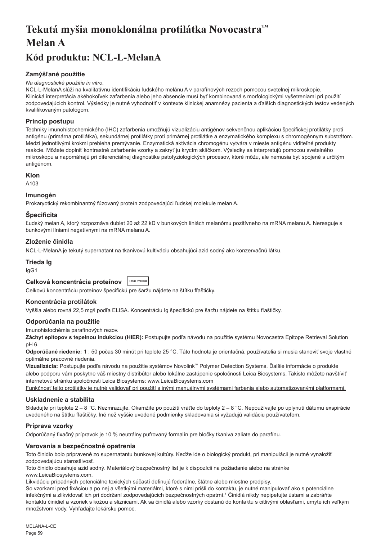# <span id="page-59-0"></span>**Tekutá myšia monoklonálna protilátka Novocastra™ Melan A**

## **Kód produktu: NCL-L-MelanA**

## **Zamýšľané použitie**

### *Na diagnostické použitie in vitro.*

NCL-L-MelanA slúži na kvalitatívnu identifikáciu ľudského melánu A v parafínových rezoch pomocou svetelnej mikroskopie. Klinická interpretácia akéhokoľvek zafarbenia alebo jeho absencie musí byť kombinovaná s morfologickými vyšetreniami pri použití zodpovedajúcich kontrol. Výsledky je nutné vyhodnotiť v kontexte klinickej anamnézy pacienta a ďalších diagnostických testov vedených kvalifikovaným patológom.

## **Princíp postupu**

Techniky imunohistochemického (IHC) zafarbenia umožňujú vizualizáciu antigénov sekvenčnou aplikáciou špecifickej protilátky proti antigénu (primárna protilátka), sekundárnej protilátky proti primárnej protilátke a enzymatického komplexu s chromogénnym substrátom. Medzi jednotlivými krokmi prebieha premývanie. Enzymatická aktivácia chromogénu vytvára v mieste antigénu viditeľné produkty reakcie. Môžete doplniť kontrastné zafarbenie vzorky a zakryť ju krycím sklíčkom. Výsledky sa interpretujú pomocou svetelného mikroskopu a napomáhajú pri diferenciálnej diagnostike patofyziologických procesov, ktoré môžu, ale nemusia byť spojené s určitým antigénom.

## **Klon**

A103

## **Imunogén**

Prokaryotický rekombinantný fúzovaný proteín zodpovedajúci ľudskej molekule melan A.

## **Špecificita**

Ľudský melan A, ktorý rozpoznáva dublet 20 až 22 kD v bunkových líniách melanómu pozitívneho na mRNA melanu A. Nereaguje s bunkovými líniami negatívnymi na mRNA melanu A.

## **Zloženie činidla**

NCL-L-MelanA je tekutý supernatant na tkanivovú kultiváciu obsahujúci azid sodný ako konzervačnú látku.

## **Trieda Ig**

IgG1

## **Celková koncentrácia proteínov Total Protein**

Celkovú koncentráciu proteínov špecifickú pre šaržu nájdete na štítku fľaštičky.

## **Koncentrácia protilátok**

Vyššia alebo rovná 22,5 mg/l podľa ELISA. Koncentráciu Ig špecifickú pre šaržu nájdete na štítku fľaštičky.

## **Odporúčania na použitie**

Imunohistochémia parafínových rezov.

**Záchyt epitopov s tepelnou indukciou (HIER):** Postupujte podľa návodu na použitie systému Novocastra Epitope Retrieval Solution pH 6.

**Odporúčané riedenie:** 1 : 50 počas 30 minút pri teplote 25 °C. Táto hodnota je orientačná, používatelia si musia stanoviť svoje vlastné optimálne pracovné riedenia.

**Vizualizácia:** Postupujte podľa návodu na použitie systémov Novolink™ Polymer Detection Systems. Ďalšie informácie o produkte alebo podporu vám poskytne váš miestny distribútor alebo lokálne zastúpenie spoločnosti Leica Biosystems. Takisto môžete navštíviť internetovú stránku spoločnosti Leica Biosystems: www.LeicaBiosystems.com

Funkčnosť tejto protilátky je nutné validovať pri použití s inými manuálnymi systémami farbenia alebo automatizovanými platformami.

## **Uskladnenie a stabilita**

Skladujte pri teplote 2 – 8 °C. Nezmrazujte. Okamžite po použití vráťte do teploty 2 – 8 °C. Nepoužívajte po uplynutí dátumu exspirácie uvedeného na štítku fľaštičky. Iné než vyššie uvedené podmienky skladovania si vyžadujú validáciu používateľom.

## **Príprava vzorky**

Odporúčaný fixačný prípravok je 10 % neutrálny pufrovaný formalín pre bločky tkaniva zaliate do parafínu.

## **Varovania a bezpečnostné opatrenia**

Toto činidlo bolo pripravené zo supernatantu bunkovej kultúry. Keďže ide o biologický produkt, pri manipulácii je nutné vynaložiť zodpovedajúcu starostlivosť.

Toto činidlo obsahuje azid sodný. Materiálový bezpečnostný list je k dispozícii na požiadanie alebo na stránke www.LeicaBiosystems.com.

Likvidáciu prípadných potenciálne toxických súčastí definujú federálne, štátne alebo miestne predpisy.

So vzorkami pred fixáciou a po nej a všetkými materiálmi, ktoré s nimi prišli do kontaktu, je nutné manipulovať ako s potenciálne infekčnými a zlikvidovať ich pri dodržaní zodpovedajúcich bezpečnostných opatrní.<sup>1</sup> Činidlá nikdy nepipetujte ústami a zabráňte kontaktu činidiel a vzoriek s kožou a sliznicami. Ak sa činidlá alebo vzorky dostanú do kontaktu s citlivými oblasťami, umyte ich veľkým množstvom vody. Vyhľadajte lekársku pomoc.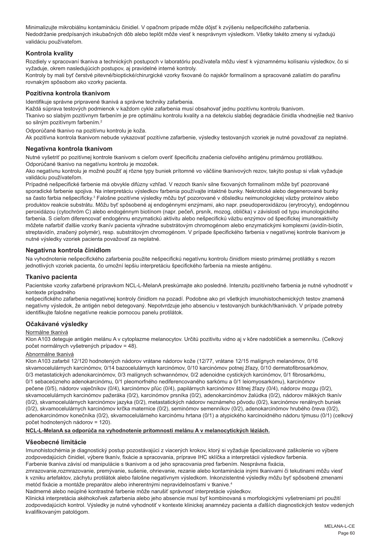Minimalizujte mikrobiálnu kontamináciu činidiel. V opačnom prípade môže dôjsť k zvýšeniu nešpecifického zafarbenia. Nedodržanie predpísaných inkubačných dôb alebo teplôt môže viesť k nesprávnym výsledkom. Všetky takéto zmeny si vyžadujú validáciu používateľom.

## **Kontrola kvality**

Rozdiely v spracovaní tkaniva a technických postupoch v laboratóriu používateľa môžu viesť k významnému kolísaniu výsledkov, čo si vyžaduje, okrem nasledujúcich postupov, aj pravidelné interné kontroly.

Kontroly by mali byť čerstvé pitevné/bioptické/chirurgické vzorky fixované čo najskôr formalínom a spracované zaliatím do parafínu rovnakým spôsobom ako vzorky pacienta.

## **Pozitívna kontrola tkanivom**

Identifikuje správne pripravené tkanivá a správne techniky zafarbenia.

Každá súprava testových podmienok v každom cykle zafarbenia musí obsahovať jednu pozitívnu kontrolu tkanivom.

Tkanivo so slabým pozitívnym farbením je pre optimálnu kontrolu kvality a na detekciu slabšej degradácie činidla vhodnejšie než tkanivo so silným pozitívnym farbením.<sup>2</sup>

Odporúčané tkanivo na pozitívnu kontrolu je koža.

Ak pozitívna kontrola tkanivom nebude vykazovať pozitívne zafarbenie, výsledky testovaných vzoriek je nutné považovať za neplatné.

## **Negatívna kontrola tkanivom**

Nutné vyšetriť po pozitívnej kontrole tkanivom s cieľom overiť špecificitu značenia cieľového antigénu primárnou protilátkou. Odporúčané tkanivo na negatívnu kontrolu je mozoček.

Ako negatívnu kontrolu je možné použiť aj rôzne typy buniek prítomné vo väčšine tkanivových rezov, takýto postup si však vyžaduje validáciu používateľom.

Prípadné nešpecifické farbenie má obvykle difúzny vzhľad. V rezoch tkanív silne fixovaných formalínom môže byť pozorované sporadické farbenie spojiva. Na interpretáciu výsledkov farbenia používajte intaktné bunky. Nekrotické alebo degenerované bunky sa často farbia nešpecificky.<sup>3</sup> Falošne pozitívne výsledky môžu byť pozorované v dôsledku neimunologickej väzby proteínov alebo produktov reakcie substrátu. Môžu byť spôsobené aj endogénnymi enzýmami, ako napr. pseudoperoxidázou (erytrocyty), endogénnou peroxidázou (cytochróm C) alebo endogénnym biotínom (napr. pečeň, prsník, mozog, oblička) v závislosti od typu imunologického farbenia. S cieľom diferencovať endogénnu enzymatickú aktivitu alebo nešpecifickú väzbu enzýmov od špecifickej imunoreaktivity môžete nafarbiť ďalšie vzorky tkanív pacienta výhradne substrátovým chromogénom alebo enzymatickými komplexmi (avidín-biotín, streptavidín, značený polymér), resp. substrátovým chromogénom. V prípade špecifického farbenia v negatívnej kontrole tkanivom je nutné výsledky vzoriek pacienta považovať za neplatné.

## **Negatívna kontrola činidlom**

Na vyhodnotenie nešpecifického zafarbenia použite nešpecifickú negatívnu kontrolu činidlom miesto primárnej protilátky s rezom jednotlivých vzoriek pacienta, čo umožní lepšiu interpretáciu špecifického farbenia na mieste antigénu.

## **Tkanivo pacienta**

Pacientske vzorky zafarbené prípravkom NCL-L-MelanA preskúmajte ako posledné. Intenzitu pozitívneho farbenia je nutné vyhodnotiť v kontexte prípadného

nešpecifického zafarbenia negatívnej kontroly činidlom na pozadí. Podobne ako pri všetkých imunohistochemických testov znamená negatívny výsledok, že antigén nebol detegovaný. Nepotvrdzuje jeho absenciu v testovaných bunkách/tkanivách. V prípade potreby identifikujte falošne negatívne reakcie pomocou panelu protilátok.

## **Očakávané výsledky**

## Normálne tkanivá

Klon A103 deteguje antigén melánu A v cytoplazme melanocytov. Určitú pozitivitu vidno aj v kôre nadobličiek a semenníku. (Celkový počet normálnych vyšetrených prípadov = 48).

#### Abnormálne tkanivá

Klon A103 zafarbil 12/120 hodnotených nádorov vrátane nádorov kože (12/77, vrátane 12/15 malígnych melanómov, 0/16 skvamocelulárnych karcinómov, 0/14 bazocelulárnych karcinómov, 0/10 karcinómov potnej žľazy, 0/10 dermatofibrosarkómov, 0/3 metastatických adenokarcinómov, 0/3 malígnych schwannómov, 0/2 adenoidne cystických karcinómov, 0/1 fibrosarkómu, 0/1 sebaceózneho adenokarcinómu, 0/1 pleomorfného nediferencovaného sarkómu a 0/1 leiomyosarkómu), karcinómov pečene (0/5), nádorov vaječníkov (0/4), karcinómov pľúc (0/4), papilárnych karcinómov štítnej žľazy (0/4), nádorov mozgu (0/2), skvamocelulárnych karcinómov pažeráka (0/2), karcinómov prsníka (0/2), adenokarcinómov žalúdka (0/2), nádorov mäkkých tkanív (0/2), skvamocelulárnych karcinómov jazyka (0/2), metastatických nádorov neznámeho pôvodu (0/2), karcinómov renálnych buniek (0/2), skvamocelulárnych karcinómov krčka maternice (0/2), seminómov semenníkov (0/2), adenokarcinómov hrubého čreva (0/2), adenokarcinómov konečníka (0/2), skvamocelulárneho karcinómu hrtana (0/1) a atypického karcinoidného nádoru týmusu (0/1) (celkový počet hodnotených nádorov = 120).

#### **NCL-L-MelanA sa odporúča na vyhodnotenie prítomnosti melánu A v melanocytických léziách.**

## **Všeobecné limitácie**

Imunohistochémia je diagnostický postup pozostávajúci z viacerých krokov, ktorý si vyžaduje špecializované zaškolenie vo výbere zodpovedajúcich činidiel, výbere tkanív, fixácie a spracovania, príprave IHC sklíčka a interpretácii výsledkov farbenia. Farbenie tkaniva závisí od manipulácie s tkanivom a od jeho spracovania pred farbením. Nesprávna fixácia,

zmrazovanie,rozmrazovanie, premývanie, sušenie, ohrievanie, rezanie alebo kontaminácia inými tkanivami či tekutinami môžu viesť k vzniku artefaktov, záchytu protilátok alebo falošne negatívnym výsledkom. Inkonzistentné výsledky môžu byť spôsobené zmenami metód fixácie a montáže preparátov alebo inherentnými nepravidelnosťami v tkanive.4

Nadmerné alebo neúplné kontrastné farbenie môže narušiť správnosť interpretácie výsledkov.

Klinická interpretácia akéhokoľvek zafarbenia alebo jeho absencie musí byť kombinovaná s morfologickými vyšetreniami pri použití zodpovedajúcich kontrol. Výsledky je nutné vyhodnotiť v kontexte klinickej anamnézy pacienta a ďalších diagnostických testov vedených kvalifikovaným patológom.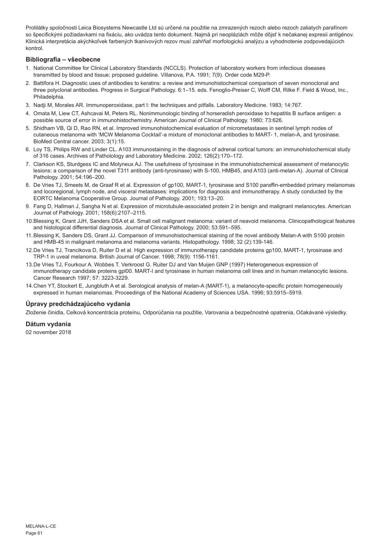Protilátky spoločnosti Leica Biosystems Newcastle Ltd sú určené na použitie na zmrazených rezoch alebo rezoch zaliatych parafínom so špecifickými požiadavkami na fixáciu, ako uvádza tento dokument. Najmä pri neopláziách môže dôjsť k nečakanej expresii antigénov. Klinická interpretácia akýchkoľvek farbených tkanivových rezov musí zahŕňať morfologickú analýzu a vyhodnotenie zodpovedajúcich kontrol.

## **Bibliografia – všeobecne**

- 1. National Committee for Clinical Laboratory Standards (NCCLS). Protection of laboratory workers from infectious diseases transmitted by blood and tissue; proposed guideline. Villanova, P.A. 1991; 7(9). Order code M29-P.
- 2. Battifora H. Diagnostic uses of antibodies to keratins: a review and immunohistochemical comparison of seven monoclonal and three polyclonal antibodies. Progress in Surgical Pathology. 6:1–15. eds. Fenoglio-Preiser C, Wolff CM, Rilke F. Field & Wood, Inc., Philadelphia.
- 3. Nadji M, Morales AR. Immunoperoxidase, part I: the techniques and pitfalls. Laboratory Medicine. 1983; 14:767.
- 4. Omata M, Liew CT, Ashcavai M, Peters RL. Nonimmunologic binding of horseradish peroxidase to hepatitis B surface antigen: a possible source of error in immunohistochemistry. American Journal of Clinical Pathology. 1980; 73:626.
- 5. Shidham VB, Qi D, Rao RN, et al. Improved immunohistochemical evaluation of micrometastases in sentinel lymph nodes of cutaneous melanoma with 'MCW Melanoma Cocktail'-a mixture of monoclonal antibodies to MART- 1, melan-A, and tyrosinase. BioMed Central cancer. 2003; 3(1):15.
- 6. Loy TS, Philips RW and Linder CL. A103 immunostaining in the diagnosis of adrenal cortical tumors: an immunohistochemical study of 316 cases. Archives of Patholology and Laboratory Medicine. 2002; 126(2):170–172.
- 7. Clarkson KS, Sturdgess IC and Molyneux AJ. The usefulness of tyrosinase in the immunohistochemical assessment of melanocytic lesions: a comparison of the novel T311 antibody (anti-tyrosinase) with S-100, HMB45, and A103 (anti-melan-A). Journal of Clinical Pathology. 2001; 54:196–200.
- 8. De Vries TJ, Smeets M, de Graaf R et al. Expression of gp100, MART-1, tyrosinase and S100 paraffin-embedded primary melanomas and locoregional, lymph node, and visceral metastases: implications for diagnosis and immunotherapy. A study conducted by the EORTC Melanoma Cooperative Group. Journal of Pathology. 2001; 193:13–20.
- 9. Fang D, Hallman J, Sangha N et al. Expression of microtubule-associated protein 2 in benign and malignant melanocytes. American Journal of Pathology. 2001; 158(6):2107–2115.
- 10.Blessing K, Grant JJH, Sanders DSA et al. Small cell malignant melanoma: variant of neavoid melanoma. Clinicopathological features and histological differential diagnosis. Journal of Clinical Pathology. 2000; 53:591–595.
- 11.Blessing K, Sanders DS, Grant JJ. Comparison of immunohistochemical staining of the novel antibody Melan-A with S100 protein and HMB-45 in malignant melanoma and melanoma variants. Histopathology. 1998; 32 (2):139-146.
- 12.De Vries TJ, Trancikova D, Ruiter D et al. High expression of immunotherapy candidate proteins gp100, MART-1, tyrosinase and TRP-1 in uveal melanoma. British Journal of Cancer. 1998; 78(9): 1156-1161.
- 13.De Vries TJ, Fourkour A. Wobbes T. Verkroost G. Ruiter DJ and Van Muijen GNP (1997) Heterogeneous expression of immunotherapy candidate proteins gpl00. MART-I and tyrosinase in human melanoma cell lines and in human melanocytic lesions. Cancer Research 1997; 57: 3223-3229.
- 14.Chen YT, Stockert E, Jungbluth A et al. Serological analysis of melan-A (MART-1), a melanocyte-specific protein homogeneously expressed in human melanomas. Proceedings of the National Academy of Sciences USA. 1996; 93:5915–5919.

## **Úpravy predchádzajúceho vydania**

Zloženie činidla, Celková koncentrácia proteínu, Odporúčania na použitie, Varovania a bezpečnostné opatrenia, Očakávané výsledky.

**Dátum vydania**

02 november 2018